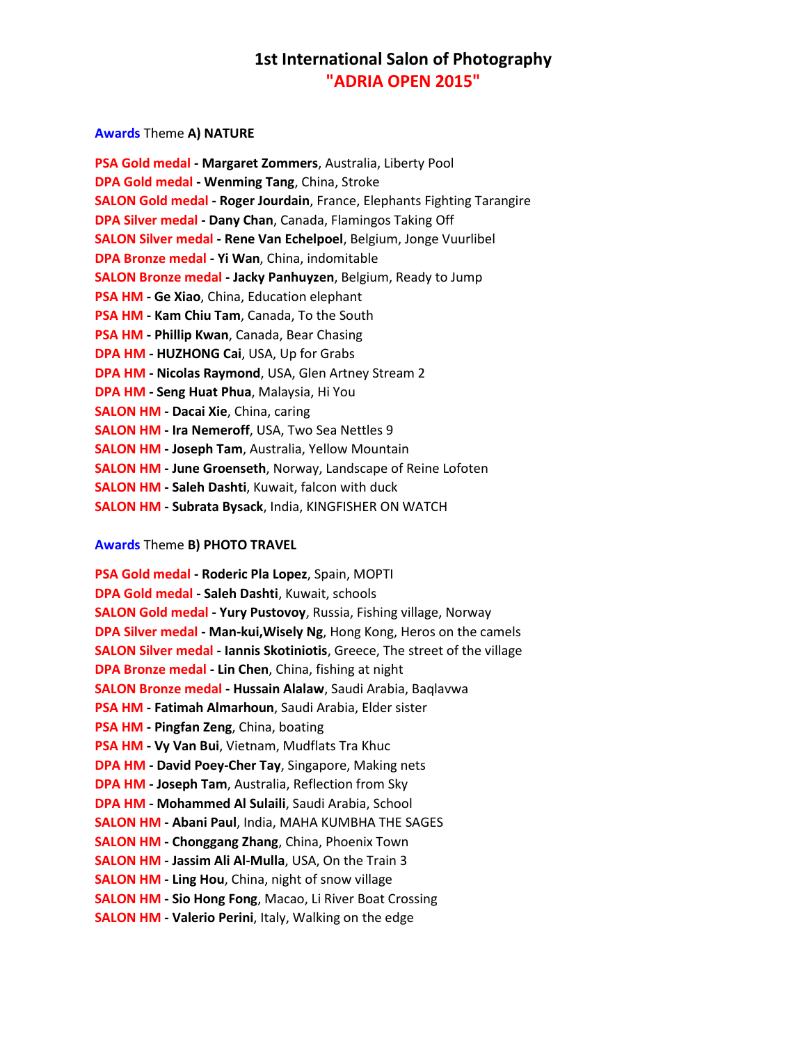## **Awards** Theme **A) NATURE**

| <b>PSA Gold medal - Margaret Zommers, Australia, Liberty Pool</b>               |
|---------------------------------------------------------------------------------|
| <b>DPA Gold medal - Wenming Tang, China, Stroke</b>                             |
| <b>SALON Gold medal - Roger Jourdain</b> , France, Elephants Fighting Tarangire |
| <b>DPA Silver medal - Dany Chan, Canada, Flamingos Taking Off</b>               |
| <b>SALON Silver medal - Rene Van Echelpoel</b> , Belgium, Jonge Vuurlibel       |
| DPA Bronze medal - Yi Wan, China, indomitable                                   |
| <b>SALON Bronze medal - Jacky Panhuyzen</b> , Belgium, Ready to Jump            |
| PSA HM - Ge Xiao, China, Education elephant                                     |
| PSA HM - Kam Chiu Tam, Canada, To the South                                     |
| PSA HM - Phillip Kwan, Canada, Bear Chasing                                     |
| <b>DPA HM - HUZHONG Cai, USA, Up for Grabs</b>                                  |
| DPA HM - Nicolas Raymond, USA, Glen Artney Stream 2                             |
| DPA HM - Seng Huat Phua, Malaysia, Hi You                                       |
| <b>SALON HM - Dacai Xie, China, caring</b>                                      |
| <b>SALON HM - Ira Nemeroff, USA, Two Sea Nettles 9</b>                          |
| <b>SALON HM - Joseph Tam, Australia, Yellow Mountain</b>                        |
| <b>SALON HM - June Groenseth, Norway, Landscape of Reine Lofoten</b>            |
| <b>SALON HM - Saleh Dashti</b> , Kuwait, falcon with duck                       |
| <b>SALON HM - Subrata Bysack, India, KINGFISHER ON WATCH</b>                    |

## **Awards** Theme **B) PHOTO TRAVEL**

**PSA Gold medal - Roderic Pla Lopez**, Spain, MOPTI **DPA Gold medal - Saleh Dashti**, Kuwait, schools **SALON Gold medal - Yury Pustovoy**, Russia, Fishing village, Norway **DPA Silver medal - Man-kui,Wisely Ng**, Hong Kong, Heros on the camels **SALON Silver medal - Iannis Skotiniotis**, Greece, The street of the village **DPA Bronze medal - Lin Chen**, China, fishing at night **SALON Bronze medal - Hussain Alalaw**, Saudi Arabia, Baqlavwa **PSA HM - Fatimah Almarhoun**, Saudi Arabia, Elder sister **PSA HM - Pingfan Zeng**, China, boating **PSA HM - Vy Van Bui**, Vietnam, Mudflats Tra Khuc **DPA HM - David Poey-Cher Tay**, Singapore, Making nets **DPA HM - Joseph Tam**, Australia, Reflection from Sky **DPA HM - Mohammed Al Sulaili**, Saudi Arabia, School **SALON HM - Abani Paul**, India, MAHA KUMBHA THE SAGES **SALON HM - Chonggang Zhang**, China, Phoenix Town **SALON HM - Jassim Ali Al-Mulla**, USA, On the Train 3 **SALON HM - Ling Hou**, China, night of snow village **SALON HM - Sio Hong Fong**, Macao, Li River Boat Crossing **SALON HM - Valerio Perini**, Italy, Walking on the edge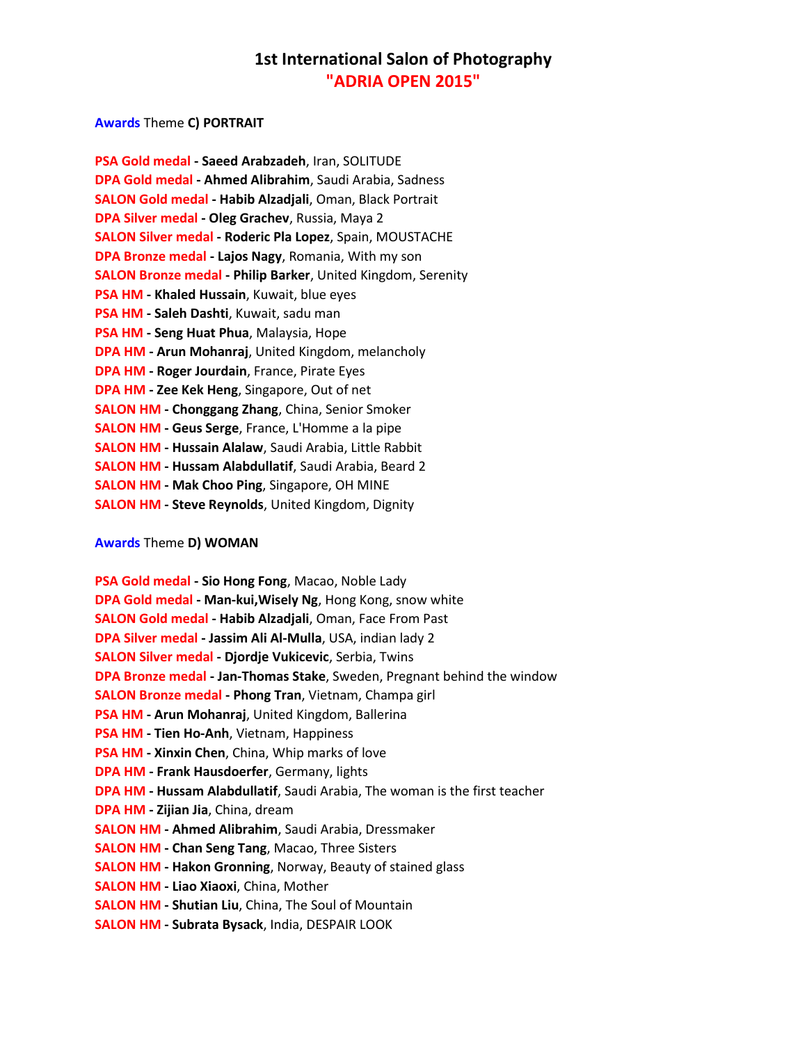## **Awards** Theme **C) PORTRAIT**

| PSA Gold medal - Saeed Arabzadeh, Iran, SOLITUDE                    |
|---------------------------------------------------------------------|
| DPA Gold medal - Ahmed Alibrahim, Saudi Arabia, Sadness             |
| <b>SALON Gold medal - Habib Alzadjali, Oman, Black Portrait</b>     |
| DPA Silver medal - Oleg Grachev, Russia, Maya 2                     |
| <b>SALON Silver medal - Roderic Pla Lopez</b> , Spain, MOUSTACHE    |
| DPA Bronze medal - Lajos Nagy, Romania, With my son                 |
| <b>SALON Bronze medal - Philip Barker, United Kingdom, Serenity</b> |
| PSA HM - Khaled Hussain, Kuwait, blue eyes                          |
| PSA HM - Saleh Dashti, Kuwait, sadu man                             |
| PSA HM - Seng Huat Phua, Malaysia, Hope                             |
| <b>DPA HM - Arun Mohanraj</b> , United Kingdom, melancholy          |
| <b>DPA HM - Roger Jourdain, France, Pirate Eyes</b>                 |
| <b>DPA HM - Zee Kek Heng, Singapore, Out of net</b>                 |
| <b>SALON HM - Chonggang Zhang, China, Senior Smoker</b>             |
| <b>SALON HM - Geus Serge, France, L'Homme a la pipe</b>             |
| <b>SALON HM - Hussain Alalaw</b> , Saudi Arabia, Little Rabbit      |
| <b>SALON HM - Hussam Alabdullatif, Saudi Arabia, Beard 2</b>        |
| <b>SALON HM - Mak Choo Ping, Singapore, OH MINE</b>                 |
| <b>SALON HM - Steve Reynolds, United Kingdom, Dignity</b>           |

### **Awards** Theme **D) WOMAN**

**PSA Gold medal - Sio Hong Fong**, Macao, Noble Lady **DPA Gold medal - Man-kui,Wisely Ng**, Hong Kong, snow white **SALON Gold medal - Habib Alzadjali**, Oman, Face From Past **DPA Silver medal - Jassim Ali Al-Mulla**, USA, indian lady 2 **SALON Silver medal - Djordje Vukicevic**, Serbia, Twins **DPA Bronze medal - Jan-Thomas Stake**, Sweden, Pregnant behind the window **SALON Bronze medal - Phong Tran**, Vietnam, Champa girl **PSA HM - Arun Mohanraj**, United Kingdom, Ballerina **PSA HM - Tien Ho-Anh**, Vietnam, Happiness **PSA HM - Xinxin Chen**, China, Whip marks of love **DPA HM - Frank Hausdoerfer**, Germany, lights **DPA HM - Hussam Alabdullatif**, Saudi Arabia, The woman is the first teacher **DPA HM - Zijian Jia**, China, dream **SALON HM - Ahmed Alibrahim**, Saudi Arabia, Dressmaker **SALON HM - Chan Seng Tang**, Macao, Three Sisters **SALON HM - Hakon Gronning**, Norway, Beauty of stained glass **SALON HM - Liao Xiaoxi**, China, Mother **SALON HM - Shutian Liu**, China, The Soul of Mountain **SALON HM - Subrata Bysack**, India, DESPAIR LOOK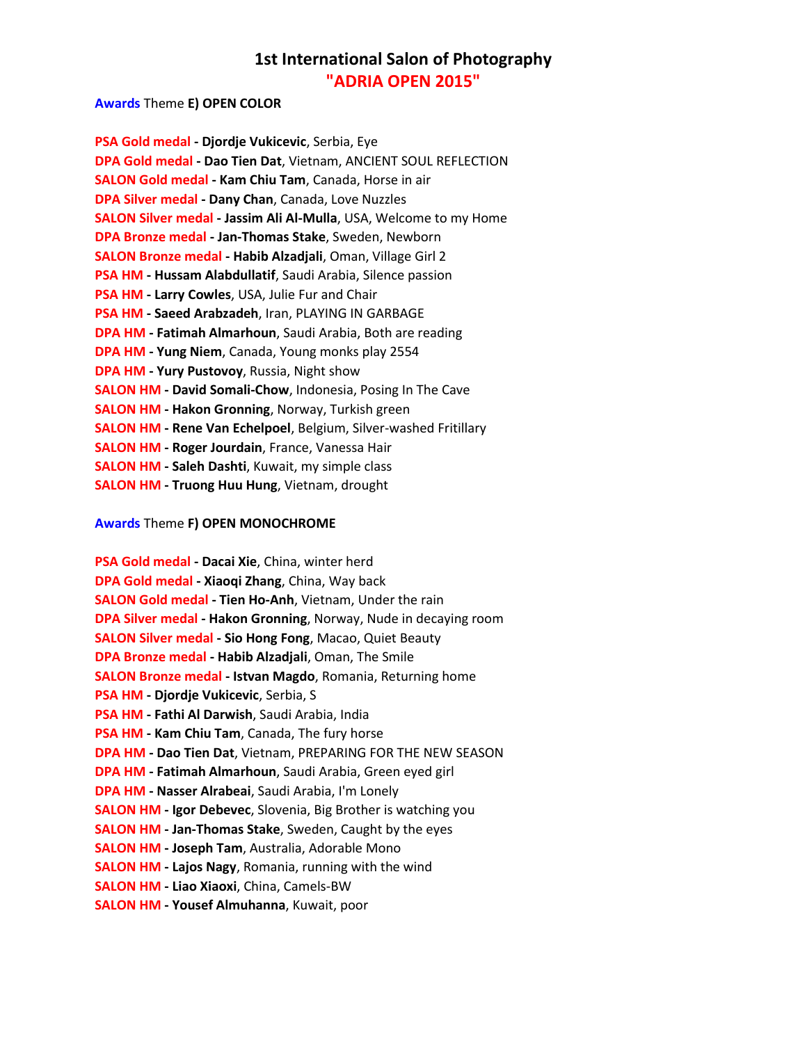## **Awards** Theme **E) OPEN COLOR**

| PSA Gold medal - Djordje Vukicevic, Serbia, Eye                          |
|--------------------------------------------------------------------------|
| DPA Gold medal - Dao Tien Dat, Vietnam, ANCIENT SOUL REFLECTION          |
| <b>SALON Gold medal - Kam Chiu Tam, Canada, Horse in air</b>             |
| <b>DPA Silver medal - Dany Chan, Canada, Love Nuzzles</b>                |
| <b>SALON Silver medal - Jassim Ali Al-Mulla, USA, Welcome to my Home</b> |
| DPA Bronze medal - Jan-Thomas Stake, Sweden, Newborn                     |
| SALON Bronze medal - Habib Alzadjali, Oman, Village Girl 2               |
| PSA HM - Hussam Alabdullatif, Saudi Arabia, Silence passion              |
| PSA HM - Larry Cowles, USA, Julie Fur and Chair                          |
| PSA HM - Saeed Arabzadeh, Iran, PLAYING IN GARBAGE                       |
| DPA HM - Fatimah Almarhoun, Saudi Arabia, Both are reading               |
| <b>DPA HM - Yung Niem, Canada, Young monks play 2554</b>                 |
| <b>DPA HM - Yury Pustovoy, Russia, Night show</b>                        |
| <b>SALON HM - David Somali-Chow</b> , Indonesia, Posing In The Cave      |
| <b>SALON HM - Hakon Gronning, Norway, Turkish green</b>                  |
| <b>SALON HM - Rene Van Echelpoel</b> , Belgium, Silver-washed Fritillary |
| <b>SALON HM - Roger Jourdain, France, Vanessa Hair</b>                   |
| <b>SALON HM - Saleh Dashti</b> , Kuwait, my simple class                 |
| <b>SALON HM - Truong Huu Hung, Vietnam, drought</b>                      |

## **Awards** Theme **F) OPEN MONOCHROME**

| PSA Gold medal - Dacai Xie, China, winter herd                           |
|--------------------------------------------------------------------------|
| DPA Gold medal - Xiaoqi Zhang, China, Way back                           |
| <b>SALON Gold medal - Tien Ho-Anh, Vietnam, Under the rain</b>           |
| <b>DPA Silver medal - Hakon Gronning</b> , Norway, Nude in decaying room |
| <b>SALON Silver medal - Sio Hong Fong, Macao, Quiet Beauty</b>           |
| DPA Bronze medal - Habib Alzadjali, Oman, The Smile                      |
| <b>SALON Bronze medal - Istvan Magdo, Romania, Returning home</b>        |
| PSA HM - Djordje Vukicevic, Serbia, S                                    |
| PSA HM - Fathi Al Darwish, Saudi Arabia, India                           |
| PSA HM - Kam Chiu Tam, Canada, The fury horse                            |
| DPA HM - Dao Tien Dat, Vietnam, PREPARING FOR THE NEW SEASON             |
| DPA HM - Fatimah Almarhoun, Saudi Arabia, Green eyed girl                |
| DPA HM - Nasser Alrabeai, Saudi Arabia, I'm Lonely                       |
| <b>SALON HM - Igor Debevec, Slovenia, Big Brother is watching you</b>    |
| <b>SALON HM - Jan-Thomas Stake, Sweden, Caught by the eyes</b>           |
| <b>SALON HM - Joseph Tam, Australia, Adorable Mono</b>                   |
| <b>SALON HM - Lajos Nagy, Romania, running with the wind</b>             |
| <b>SALON HM - Liao Xiaoxi</b> , China, Camels-BW                         |
| <b>SALON HM - Yousef Almuhanna, Kuwait, poor</b>                         |
|                                                                          |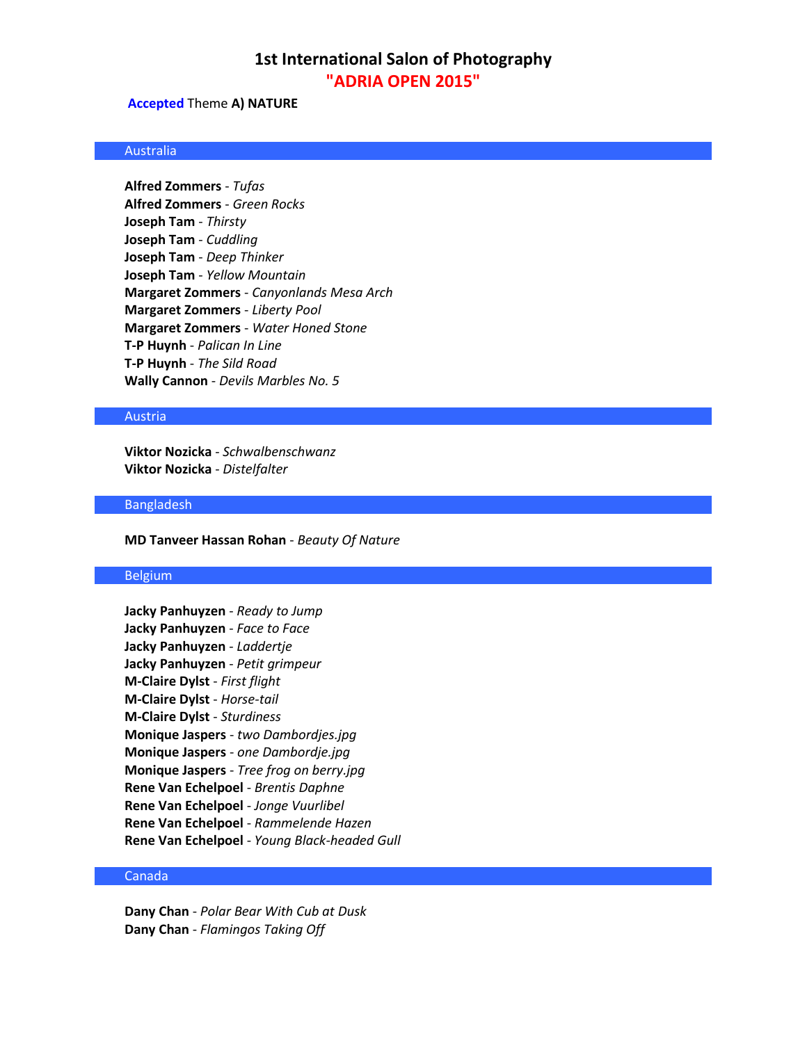### **Accepted** Theme **A) NATURE**

## Australia

**Alfred Zommers** - *Tufas* **Alfred Zommers** - *Green Rocks* **Joseph Tam** - *Thirsty* **Joseph Tam** - *Cuddling* **Joseph Tam** - *Deep Thinker* **Joseph Tam** - *Yellow Mountain* **Margaret Zommers** - *Canyonlands Mesa Arch* **Margaret Zommers** - *Liberty Pool* **Margaret Zommers** - *Water Honed Stone* **T-P Huynh** - *Palican In Line* **T-P Huynh** - *The Sild Road* **Wally Cannon** - *Devils Marbles No. 5*

#### Austria

**Viktor Nozicka** - *Schwalbenschwanz* **Viktor Nozicka** - *Distelfalter*

### Bangladesh

**MD Tanveer Hassan Rohan** - *Beauty Of Nature*

## Belgium

**Jacky Panhuyzen** - *Ready to Jump* **Jacky Panhuyzen** - *Face to Face* **Jacky Panhuyzen** - *Laddertje* **Jacky Panhuyzen** - *Petit grimpeur* **M-Claire Dylst** - *First flight* **M-Claire Dylst** - *Horse-tail* **M-Claire Dylst** - *Sturdiness* **Monique Jaspers** - *two Dambordjes.jpg* **Monique Jaspers** - *one Dambordje.jpg* **Monique Jaspers** - *Tree frog on berry.jpg* **Rene Van Echelpoel** - *Brentis Daphne* **Rene Van Echelpoel** - *Jonge Vuurlibel* **Rene Van Echelpoel** - *Rammelende Hazen* **Rene Van Echelpoel** - *Young Black-headed Gull*

### Canada

**Dany Chan** - *Polar Bear With Cub at Dusk* **Dany Chan** - *Flamingos Taking Off*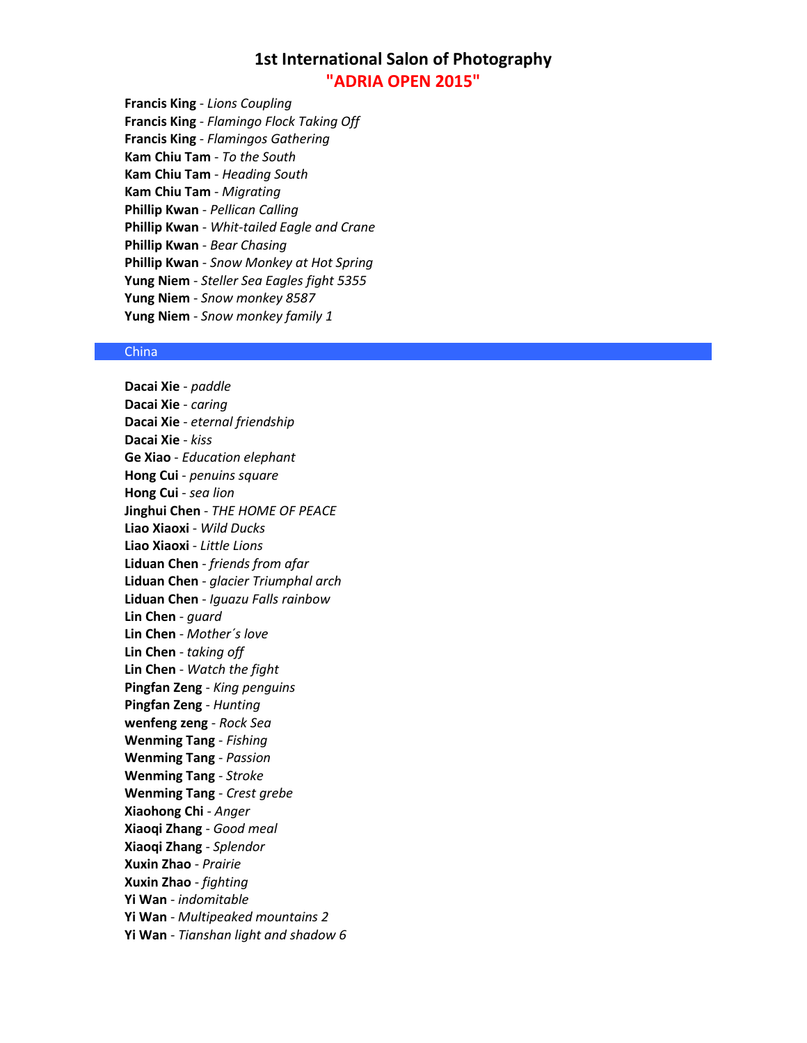**Francis King** - *Lions Coupling* **Francis King** - *Flamingo Flock Taking Off* **Francis King** - *Flamingos Gathering* **Kam Chiu Tam** - *To the South* **Kam Chiu Tam** - *Heading South* **Kam Chiu Tam** - *Migrating* **Phillip Kwan** - *Pellican Calling* **Phillip Kwan** - *Whit-tailed Eagle and Crane* **Phillip Kwan** - *Bear Chasing* **Phillip Kwan** - *Snow Monkey at Hot Spring* **Yung Niem** - *Steller Sea Eagles fight 5355* **Yung Niem** - *Snow monkey 8587* **Yung Niem** - *Snow monkey family 1*

## **China**

**Dacai Xie** - *paddle* **Dacai Xie** - *caring* **Dacai Xie** - *eternal friendship* **Dacai Xie** - *kiss* **Ge Xiao** - *Education elephant* **Hong Cui** - *penuins square* **Hong Cui** - *sea lion* **Jinghui Chen** - *THE HOME OF PEACE* **Liao Xiaoxi** - *Wild Ducks* **Liao Xiaoxi** - *Little Lions* **Liduan Chen** - *friends from afar* **Liduan Chen** - *glacier Triumphal arch* **Liduan Chen** - *Iguazu Falls rainbow* **Lin Chen** - *guard* **Lin Chen** - *Mother´s love* **Lin Chen** - *taking off* **Lin Chen** - *Watch the fight* **Pingfan Zeng** - *King penguins* **Pingfan Zeng** - *Hunting* **wenfeng zeng** - *Rock Sea* **Wenming Tang** - *Fishing* **Wenming Tang** - *Passion* **Wenming Tang** - *Stroke* **Wenming Tang** - *Crest grebe* **Xiaohong Chi** - *Anger* **Xiaoqi Zhang** - *Good meal* **Xiaoqi Zhang** - *Splendor* **Xuxin Zhao** - *Prairie* **Xuxin Zhao** - *fighting* **Yi Wan** - *indomitable* **Yi Wan** - *Multipeaked mountains 2* **Yi Wan** - *Tianshan light and shadow 6*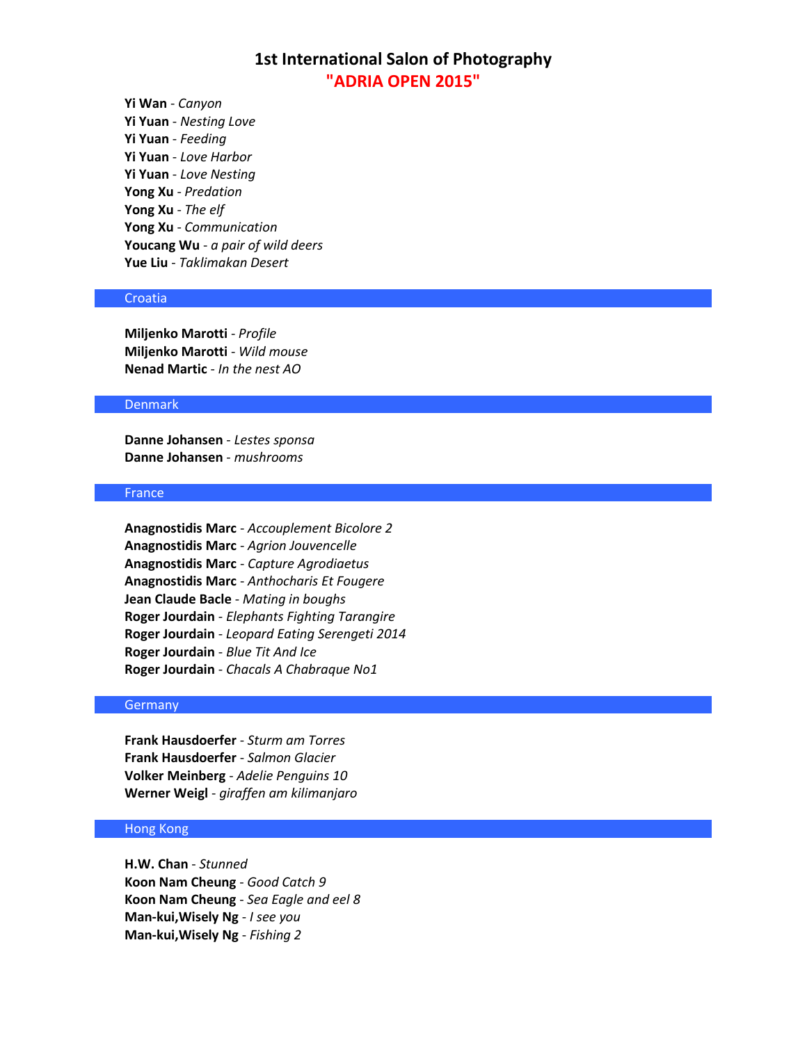**Yi Wan** - *Canyon* **Yi Yuan** - *Nesting Love* **Yi Yuan** - *Feeding* **Yi Yuan** - *Love Harbor* **Yi Yuan** - *Love Nesting* **Yong Xu** - *Predation* **Yong Xu** - *The elf* **Yong Xu** - *Communication* **Youcang Wu** - *a pair of wild deers* **Yue Liu** - *Taklimakan Desert*

## Croatia

**Miljenko Marotti** - *Profile* **Miljenko Marotti** - *Wild mouse* **Nenad Martic** - *In the nest AO*

### Denmark

**Danne Johansen** - *Lestes sponsa* **Danne Johansen** - *mushrooms*

## France

**Anagnostidis Marc** - *Accouplement Bicolore 2* **Anagnostidis Marc** - *Agrion Jouvencelle* **Anagnostidis Marc** - *Capture Agrodiaetus* **Anagnostidis Marc** - *Anthocharis Et Fougere* **Jean Claude Bacle** - *Mating in boughs* **Roger Jourdain** - *Elephants Fighting Tarangire* **Roger Jourdain** - *Leopard Eating Serengeti 2014* **Roger Jourdain** - *Blue Tit And Ice* **Roger Jourdain** - *Chacals A Chabraque No1*

### Germany

**Frank Hausdoerfer** - *Sturm am Torres* **Frank Hausdoerfer** - *Salmon Glacier* **Volker Meinberg** - *Adelie Penguins 10* **Werner Weigl** - *giraffen am kilimanjaro*

## Hong Kong

**H.W. Chan** - *Stunned* **Koon Nam Cheung** - *Good Catch 9* **Koon Nam Cheung** - *Sea Eagle and eel 8* **Man-kui,Wisely Ng** - *I see you* **Man-kui,Wisely Ng** - *Fishing 2*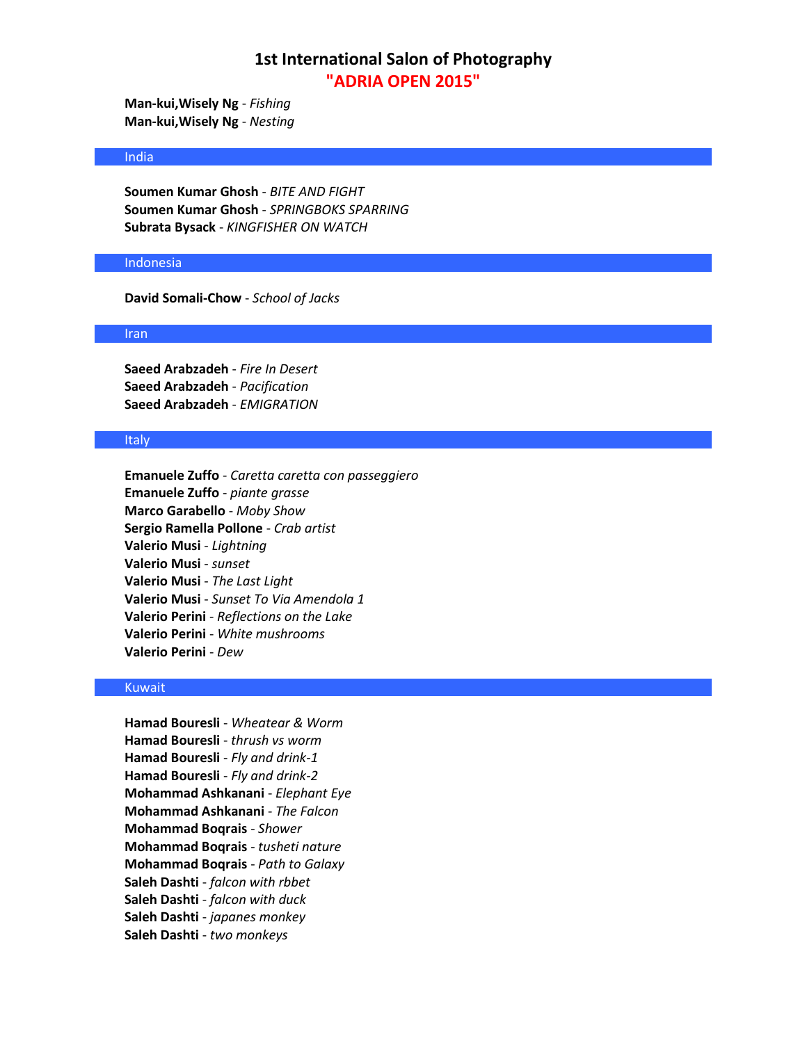**Man-kui,Wisely Ng** - *Fishing* **Man-kui,Wisely Ng** - *Nesting*

### India

**Soumen Kumar Ghosh** - *BITE AND FIGHT* **Soumen Kumar Ghosh** - *SPRINGBOKS SPARRING* **Subrata Bysack** - *KINGFISHER ON WATCH*

## Indonesia

**David Somali-Chow** - *School of Jacks*

### Iran

**Saeed Arabzadeh** - *Fire In Desert* **Saeed Arabzadeh** - *Pacification* **Saeed Arabzadeh** - *EMIGRATION*

### Italy

**Emanuele Zuffo** - *Caretta caretta con passeggiero* **Emanuele Zuffo** - *piante grasse* **Marco Garabello** - *Moby Show* **Sergio Ramella Pollone** - *Crab artist* **Valerio Musi** - *Lightning* **Valerio Musi** - *sunset* **Valerio Musi** - *The Last Light* **Valerio Musi** - *Sunset To Via Amendola 1* **Valerio Perini** - *Reflections on the Lake* **Valerio Perini** - *White mushrooms* **Valerio Perini** - *Dew*

## Kuwait

**Hamad Bouresli** - *Wheatear & Worm* **Hamad Bouresli** - *thrush vs worm* **Hamad Bouresli** - *Fly and drink-1* **Hamad Bouresli** - *Fly and drink-2* **Mohammad Ashkanani** - *Elephant Eye* **Mohammad Ashkanani** - *The Falcon* **Mohammad Boqrais** - *Shower* **Mohammad Boqrais** - *tusheti nature* **Mohammad Boqrais** - *Path to Galaxy* **Saleh Dashti** - *falcon with rbbet* **Saleh Dashti** - *falcon with duck* **Saleh Dashti** - *japanes monkey* **Saleh Dashti** - *two monkeys*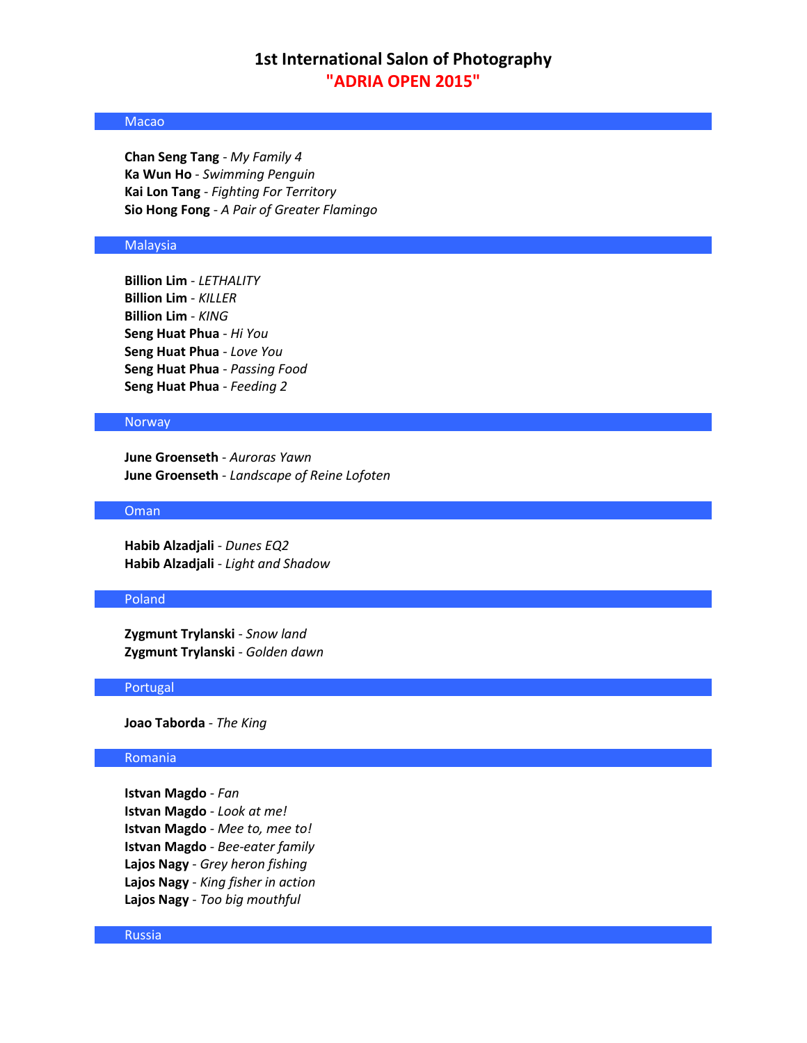## Macao

**Chan Seng Tang** - *My Family 4* **Ka Wun Ho** - *Swimming Penguin* **Kai Lon Tang** - *Fighting For Territory* **Sio Hong Fong** - *A Pair of Greater Flamingo*

### **Malaysia**

**Billion Lim** - *LETHALITY* **Billion Lim** - *KILLER* **Billion Lim** - *KING* **Seng Huat Phua** - *Hi You* **Seng Huat Phua** - *Love You* **Seng Huat Phua** - *Passing Food* **Seng Huat Phua** - *Feeding 2*

## Norway

**June Groenseth** - *Auroras Yawn* **June Groenseth** - *Landscape of Reine Lofoten*

### Oman

**Habib Alzadjali** - *Dunes EQ2* **Habib Alzadjali** - *Light and Shadow*

### Poland

**Zygmunt Trylanski** - *Snow land* **Zygmunt Trylanski** - *Golden dawn*

### Portugal

**Joao Taborda** - *The King*

#### Romania

**Istvan Magdo** - *Fan* **Istvan Magdo** - *Look at me!* **Istvan Magdo** - *Mee to, mee to!* **Istvan Magdo** - *Bee-eater family* **Lajos Nagy** - *Grey heron fishing* **Lajos Nagy** - *King fisher in action* **Lajos Nagy** - *Too big mouthful*

### Russia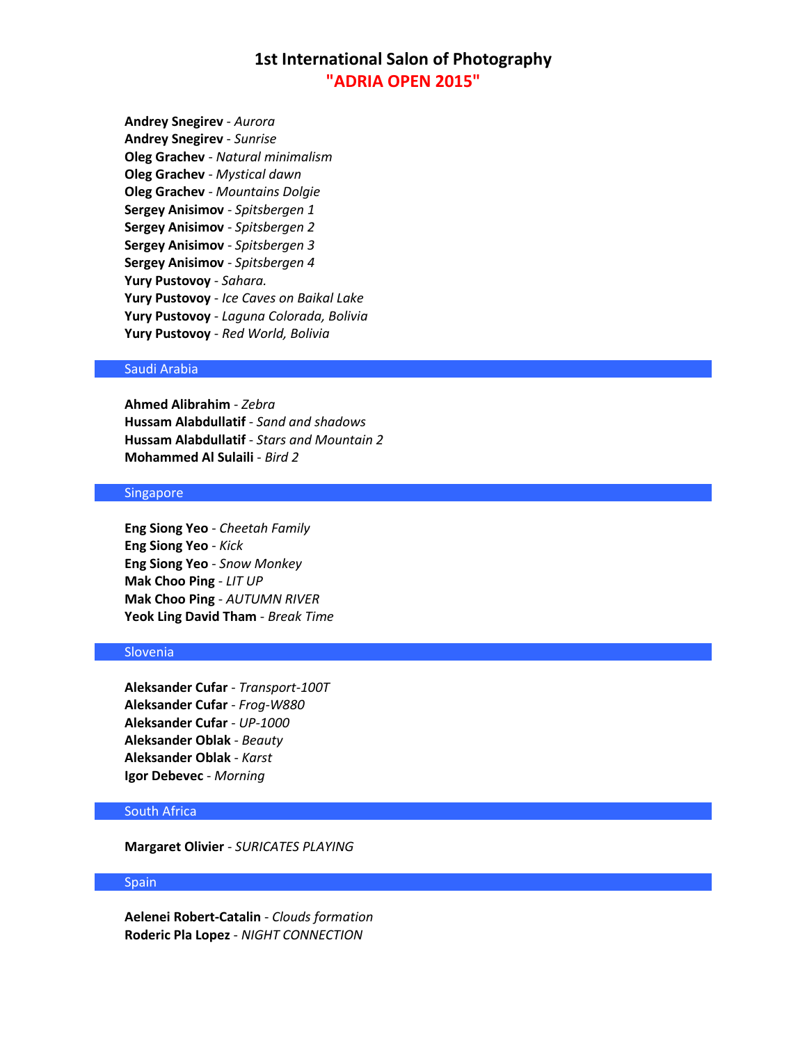**Andrey Snegirev** - *Aurora* **Andrey Snegirev** - *Sunrise* **Oleg Grachev** - *Natural minimalism* **Oleg Grachev** - *Mystical dawn* **Oleg Grachev** - *Mountains Dolgie* **Sergey Anisimov** - *Spitsbergen 1* **Sergey Anisimov** - *Spitsbergen 2* **Sergey Anisimov** - *Spitsbergen 3* **Sergey Anisimov** - *Spitsbergen 4* **Yury Pustovoy** - *Sahara.* **Yury Pustovoy** - *Ice Caves on Baikal Lake* **Yury Pustovoy** - *Laguna Colorada, Bolivia* **Yury Pustovoy** - *Red World, Bolivia*

## Saudi Arabia

**Ahmed Alibrahim** - *Zebra* **Hussam Alabdullatif** - *Sand and shadows* **Hussam Alabdullatif** - *Stars and Mountain 2* **Mohammed Al Sulaili** - *Bird 2*

## Singapore

**Eng Siong Yeo** - *Cheetah Family* **Eng Siong Yeo** - *Kick* **Eng Siong Yeo** - *Snow Monkey* **Mak Choo Ping** - *LIT UP* **Mak Choo Ping** - *AUTUMN RIVER* **Yeok Ling David Tham** - *Break Time*

## Slovenia

**Aleksander Cufar** - *Transport-100T* **Aleksander Cufar** - *Frog-W880* **Aleksander Cufar** - *UP-1000* **Aleksander Oblak** - *Beauty* **Aleksander Oblak** - *Karst* **Igor Debevec** - *Morning*

## South Africa

**Margaret Olivier** - *SURICATES PLAYING*

## Spain

**Aelenei Robert-Catalin** - *Clouds formation* **Roderic Pla Lopez** - *NIGHT CONNECTION*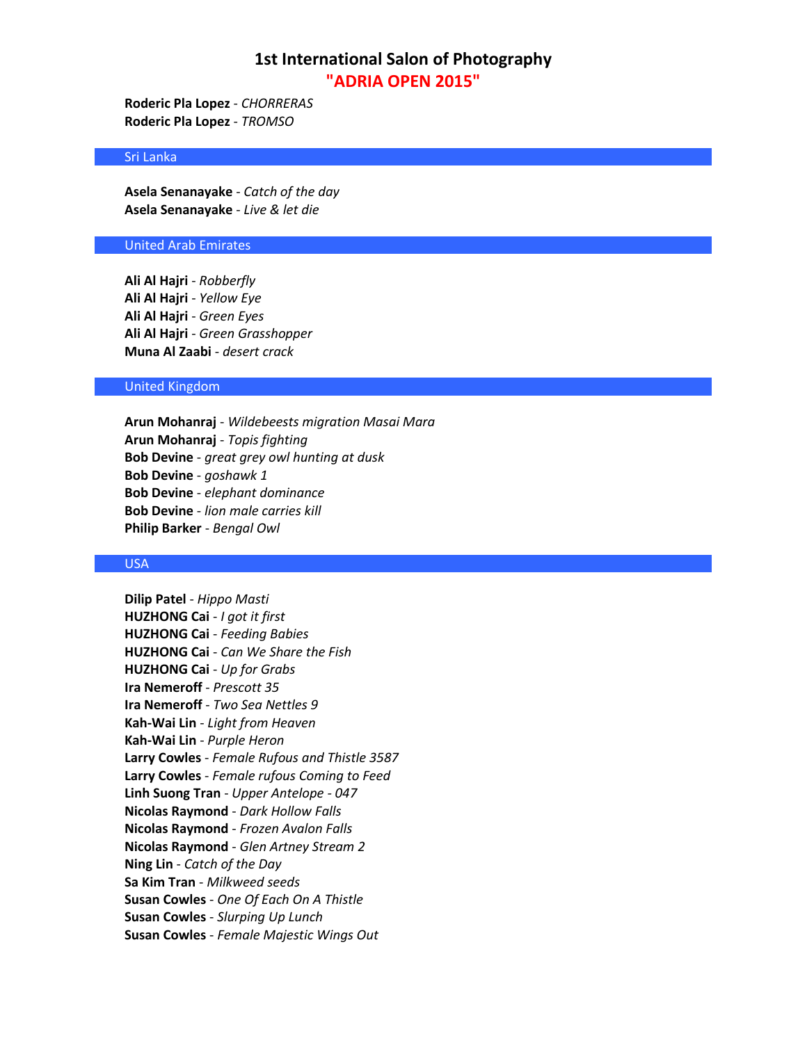**Roderic Pla Lopez** - *CHORRERAS* **Roderic Pla Lopez** - *TROMSO*

### Sri Lanka

**Asela Senanayake** - *Catch of the day* **Asela Senanayake** - *Live & let die*

### United Arab Emirates

**Ali Al Hajri** - *Robberfly* **Ali Al Hajri** - *Yellow Eye* **Ali Al Hajri** - *Green Eyes* **Ali Al Hajri** - *Green Grasshopper* **Muna Al Zaabi** - *desert crack*

### United Kingdom

**Arun Mohanraj** - *Wildebeests migration Masai Mara* **Arun Mohanraj** - *Topis fighting* **Bob Devine** - *great grey owl hunting at dusk* **Bob Devine** - *goshawk 1* **Bob Devine** - *elephant dominance* **Bob Devine** - *lion male carries kill* **Philip Barker** - *Bengal Owl*

#### USA

**Dilip Patel** - *Hippo Masti* **HUZHONG Cai** - *I got it first* **HUZHONG Cai** - *Feeding Babies* **HUZHONG Cai** - *Can We Share the Fish* **HUZHONG Cai** - *Up for Grabs* **Ira Nemeroff** - *Prescott 35* **Ira Nemeroff** - *Two Sea Nettles 9* **Kah-Wai Lin** - *Light from Heaven* **Kah-Wai Lin** - *Purple Heron* **Larry Cowles** - *Female Rufous and Thistle 3587* **Larry Cowles** - *Female rufous Coming to Feed* **Linh Suong Tran** - *Upper Antelope - 047* **Nicolas Raymond** - *Dark Hollow Falls* **Nicolas Raymond** - *Frozen Avalon Falls* **Nicolas Raymond** - *Glen Artney Stream 2* **Ning Lin** - *Catch of the Day* **Sa Kim Tran** - *Milkweed seeds* **Susan Cowles** - *One Of Each On A Thistle* **Susan Cowles** - *Slurping Up Lunch* **Susan Cowles** - *Female Majestic Wings Out*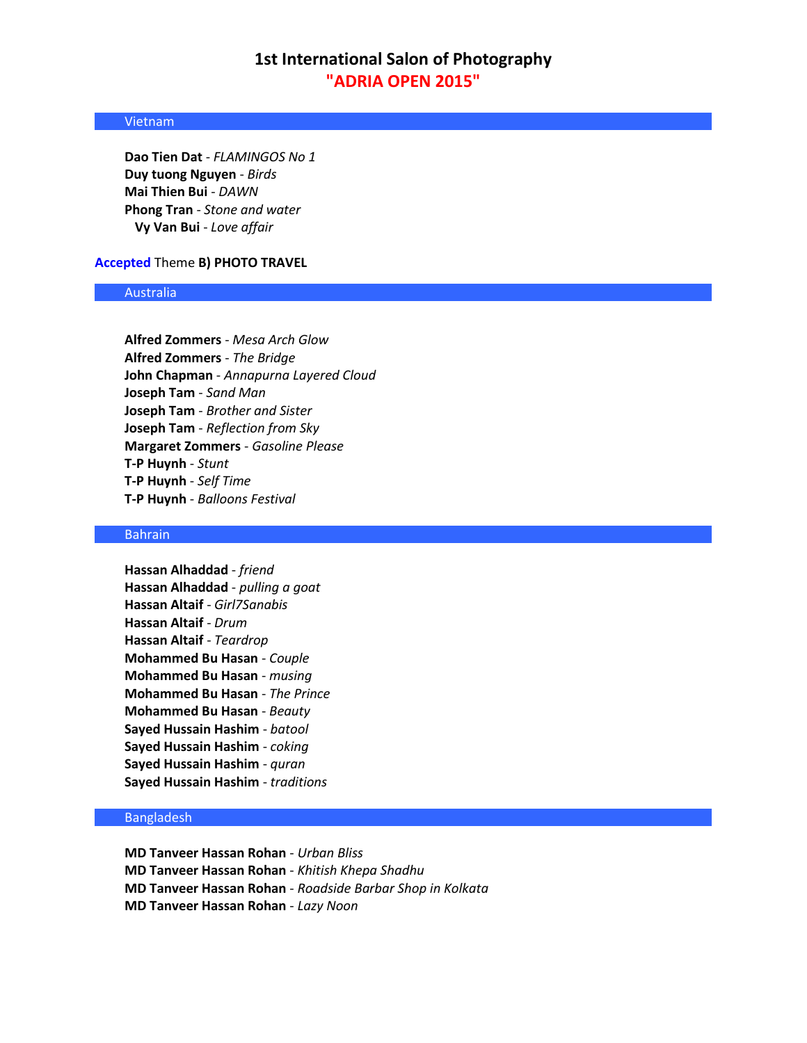## Vietnam

**Dao Tien Dat** - *FLAMINGOS No 1* **Duy tuong Nguyen** - *Birds* **Mai Thien Bui** - *DAWN* **Phong Tran** - *Stone and water* **Vy Van Bui** - *Love affair*

## **Accepted** Theme **B) PHOTO TRAVEL**

## Australia

**Alfred Zommers** - *Mesa Arch Glow* **Alfred Zommers** - *The Bridge* **John Chapman** - *Annapurna Layered Cloud* **Joseph Tam** - *Sand Man* **Joseph Tam** - *Brother and Sister* **Joseph Tam** - *Reflection from Sky* **Margaret Zommers** - *Gasoline Please* **T-P Huynh** - *Stunt* **T-P Huynh** - *Self Time* **T-P Huynh** - *Balloons Festival*

## Bahrain

**Hassan Alhaddad** - *friend* **Hassan Alhaddad** - *pulling a goat* **Hassan Altaif** - *Girl7Sanabis* **Hassan Altaif** - *Drum* **Hassan Altaif** - *Teardrop* **Mohammed Bu Hasan** - *Couple* **Mohammed Bu Hasan** - *musing* **Mohammed Bu Hasan** - *The Prince* **Mohammed Bu Hasan** - *Beauty* **Sayed Hussain Hashim** - *batool* **Sayed Hussain Hashim** - *coking* **Sayed Hussain Hashim** - *quran* **Sayed Hussain Hashim** - *traditions*

## Bangladesh

**MD Tanveer Hassan Rohan** - *Urban Bliss* **MD Tanveer Hassan Rohan** - *Khitish Khepa Shadhu* **MD Tanveer Hassan Rohan** - *Roadside Barbar Shop in Kolkata* **MD Tanveer Hassan Rohan** - *Lazy Noon*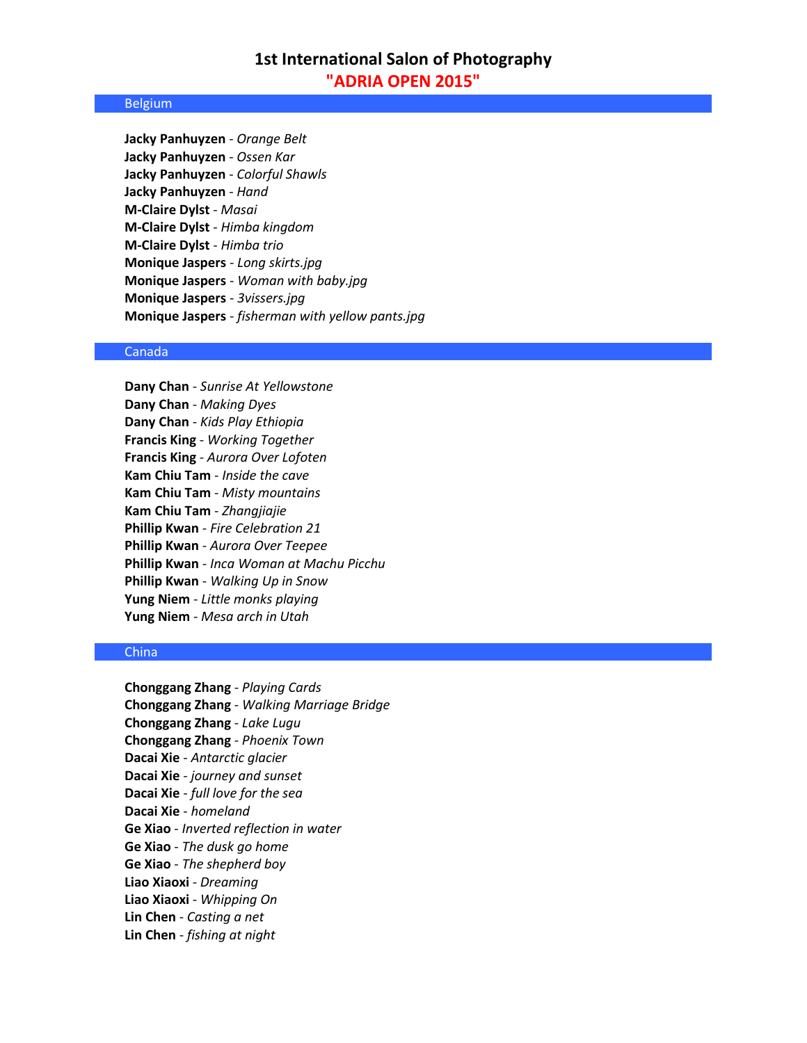#### Belgium

**Jacky Panhuyzen** - *Orange Belt* **Jacky Panhuyzen** - *Ossen Kar* **Jacky Panhuyzen** - *Colorful Shawls* **Jacky Panhuyzen** - *Hand* **M-Claire Dylst** - *Masai* **M-Claire Dylst** - *Himba kingdom* **M-Claire Dylst** - *Himba trio* **Monique Jaspers** - *Long skirts.jpg* **Monique Jaspers** - *Woman with baby.jpg* **Monique Jaspers** - *3vissers.jpg* **Monique Jaspers** - *fisherman with yellow pants.jpg*

### Canada

**Dany Chan** - *Sunrise At Yellowstone* **Dany Chan** - *Making Dyes* **Dany Chan** - *Kids Play Ethiopia* **Francis King** - *Working Together* **Francis King** - *Aurora Over Lofoten* **Kam Chiu Tam** - *Inside the cave* **Kam Chiu Tam** - *Misty mountains* **Kam Chiu Tam** - *Zhangjiajie* **Phillip Kwan** - *Fire Celebration 21* **Phillip Kwan** - *Aurora Over Teepee* **Phillip Kwan** - *Inca Woman at Machu Picchu* **Phillip Kwan** - *Walking Up in Snow* **Yung Niem** - *Little monks playing* **Yung Niem** - *Mesa arch in Utah*

## **China**

**Chonggang Zhang** - *Playing Cards* **Chonggang Zhang** - *Walking Marriage Bridge* **Chonggang Zhang** - *Lake Lugu* **Chonggang Zhang** - *Phoenix Town* **Dacai Xie** - *Antarctic glacier* **Dacai Xie** - *journey and sunset* **Dacai Xie** - *full love for the sea* **Dacai Xie** - *homeland* **Ge Xiao** - *Inverted reflection in water* **Ge Xiao** - *The dusk go home* **Ge Xiao** - *The shepherd boy* **Liao Xiaoxi** - *Dreaming* **Liao Xiaoxi** - *Whipping On* **Lin Chen** - *Casting a net* **Lin Chen** - *fishing at night*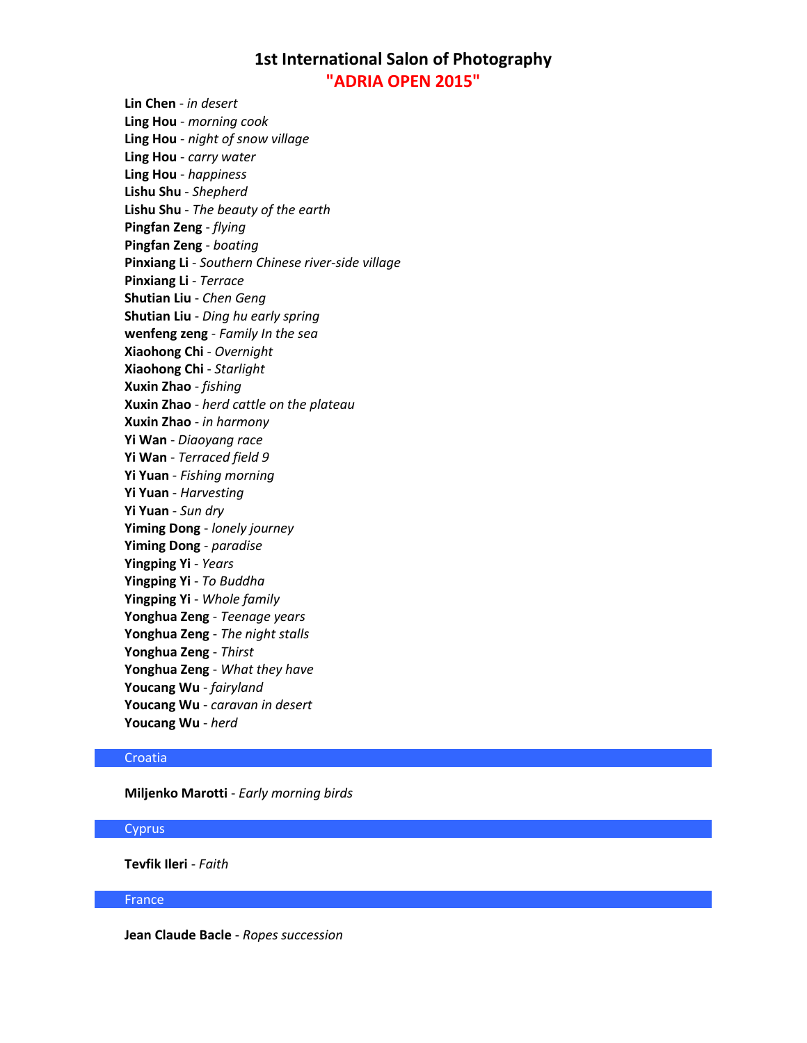**Lin Chen** - *in desert* **Ling Hou** - *morning cook* **Ling Hou** - *night of snow village* **Ling Hou** - *carry water* **Ling Hou** - *happiness* **Lishu Shu** - *Shepherd* **Lishu Shu** - *The beauty of the earth* **Pingfan Zeng** - *flying* **Pingfan Zeng** - *boating* **Pinxiang Li** - *Southern Chinese river-side village* **Pinxiang Li** - *Terrace* **Shutian Liu** - *Chen Geng* **Shutian Liu** - *Ding hu early spring* **wenfeng zeng** - *Family In the sea* **Xiaohong Chi** - *Overnight* **Xiaohong Chi** - *Starlight* **Xuxin Zhao** - *fishing* **Xuxin Zhao** - *herd cattle on the plateau* **Xuxin Zhao** - *in harmony* **Yi Wan** - *Diaoyang race* **Yi Wan** - *Terraced field 9* **Yi Yuan** - *Fishing morning* **Yi Yuan** - *Harvesting* **Yi Yuan** - *Sun dry* **Yiming Dong** - *lonely journey* **Yiming Dong** - *paradise* **Yingping Yi** - *Years* **Yingping Yi** - *To Buddha* **Yingping Yi** - *Whole family* **Yonghua Zeng** - *Teenage years* **Yonghua Zeng** - *The night stalls* **Yonghua Zeng** - *Thirst* **Yonghua Zeng** - *What they have* **Youcang Wu** - *fairyland* **Youcang Wu** - *caravan in desert* **Youcang Wu** - *herd*

## **Croatia**

**Miljenko Marotti** - *Early morning birds*

### **Cyprus**

**Tevfik Ileri** - *Faith*

France

**Jean Claude Bacle** - *Ropes succession*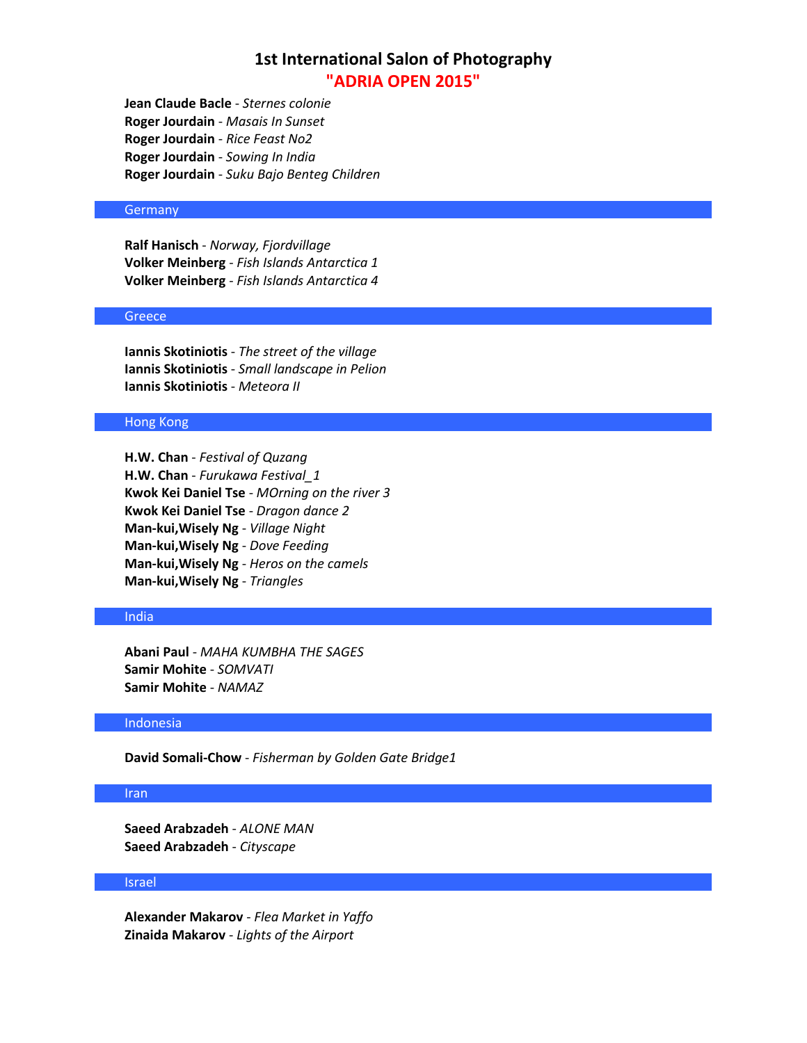**Jean Claude Bacle** - *Sternes colonie* **Roger Jourdain** - *Masais In Sunset* **Roger Jourdain** - *Rice Feast No2* **Roger Jourdain** - *Sowing In India* **Roger Jourdain** - *Suku Bajo Benteg Children*

## **Germany**

**Ralf Hanisch** - *Norway, Fjordvillage* **Volker Meinberg** - *Fish Islands Antarctica 1* **Volker Meinberg** - *Fish Islands Antarctica 4*

### **Greece**

**Iannis Skotiniotis** - *The street of the village* **Iannis Skotiniotis** - *Small landscape in Pelion* **Iannis Skotiniotis** - *Meteora II*

## Hong Kong

**H.W. Chan** - *Festival of Quzang* **H.W. Chan** - *Furukawa Festival\_1* **Kwok Kei Daniel Tse** - *MOrning on the river 3* **Kwok Kei Daniel Tse** - *Dragon dance 2* **Man-kui,Wisely Ng** - *Village Night* **Man-kui,Wisely Ng** - *Dove Feeding* **Man-kui,Wisely Ng** - *Heros on the camels* **Man-kui,Wisely Ng** - *Triangles*

## India

**Abani Paul** - *MAHA KUMBHA THE SAGES* **Samir Mohite** - *SOMVATI* **Samir Mohite** - *NAMAZ*

### Indonesia

**David Somali-Chow** - *Fisherman by Golden Gate Bridge1*

## Iran

**Saeed Arabzadeh** - *ALONE MAN* **Saeed Arabzadeh** - *Cityscape*

## Israel

**Alexander Makarov** - *Flea Market in Yaffo* **Zinaida Makarov** - *Lights of the Airport*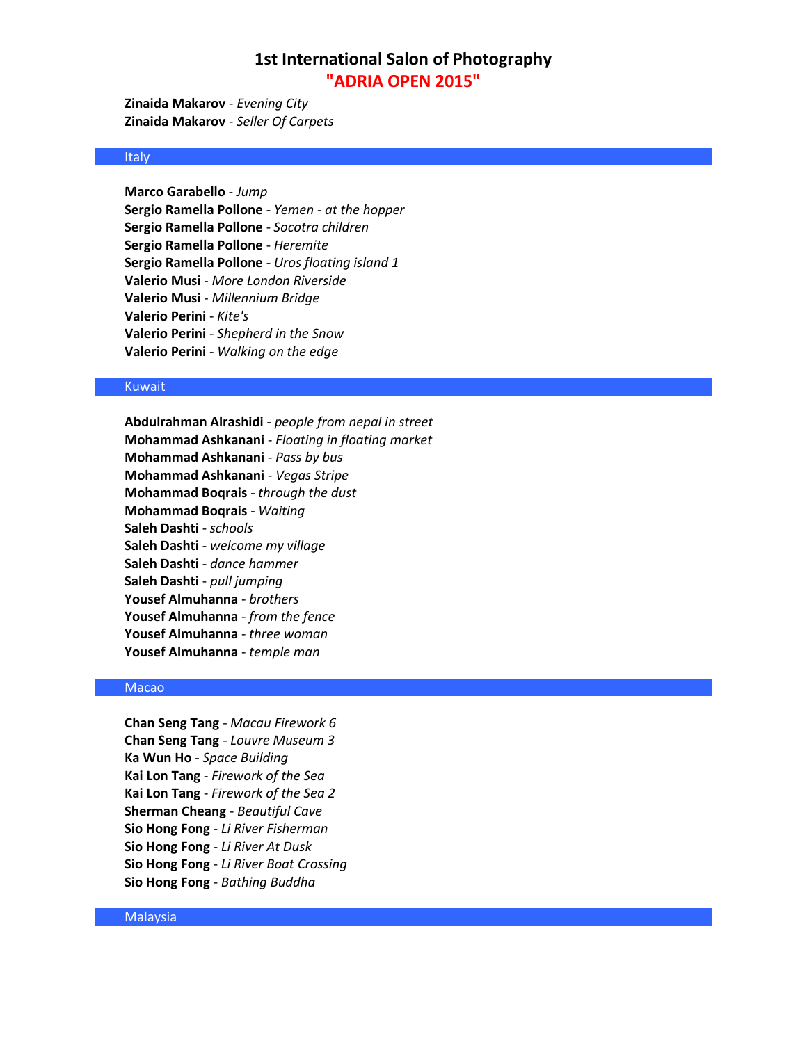**Zinaida Makarov** - *Evening City* **Zinaida Makarov** - *Seller Of Carpets*

## Italy

**Marco Garabello** - *Jump* **Sergio Ramella Pollone** - *Yemen - at the hopper* **Sergio Ramella Pollone** - *Socotra children* **Sergio Ramella Pollone** - *Heremite* **Sergio Ramella Pollone** - *Uros floating island 1* **Valerio Musi** - *More London Riverside* **Valerio Musi** - *Millennium Bridge* **Valerio Perini** - *Kite's* **Valerio Perini** - *Shepherd in the Snow* **Valerio Perini** - *Walking on the edge*

### Kuwait

**Abdulrahman Alrashidi** - *people from nepal in street* **Mohammad Ashkanani** - *Floating in floating market* **Mohammad Ashkanani** - *Pass by bus* **Mohammad Ashkanani** - *Vegas Stripe* **Mohammad Boqrais** - *through the dust* **Mohammad Boqrais** - *Waiting* **Saleh Dashti** - *schools* **Saleh Dashti** - *welcome my village* **Saleh Dashti** - *dance hammer* **Saleh Dashti** - *pull jumping* **Yousef Almuhanna** - *brothers* **Yousef Almuhanna** - *from the fence* **Yousef Almuhanna** - *three woman* **Yousef Almuhanna** - *temple man*

## Macao

**Chan Seng Tang** - *Macau Firework 6* **Chan Seng Tang** - *Louvre Museum 3* **Ka Wun Ho** - *Space Building* **Kai Lon Tang** - *Firework of the Sea* **Kai Lon Tang** - *Firework of the Sea 2* **Sherman Cheang** - *Beautiful Cave* **Sio Hong Fong** - *Li River Fisherman* **Sio Hong Fong** - *Li River At Dusk* **Sio Hong Fong** - *Li River Boat Crossing* **Sio Hong Fong** - *Bathing Buddha*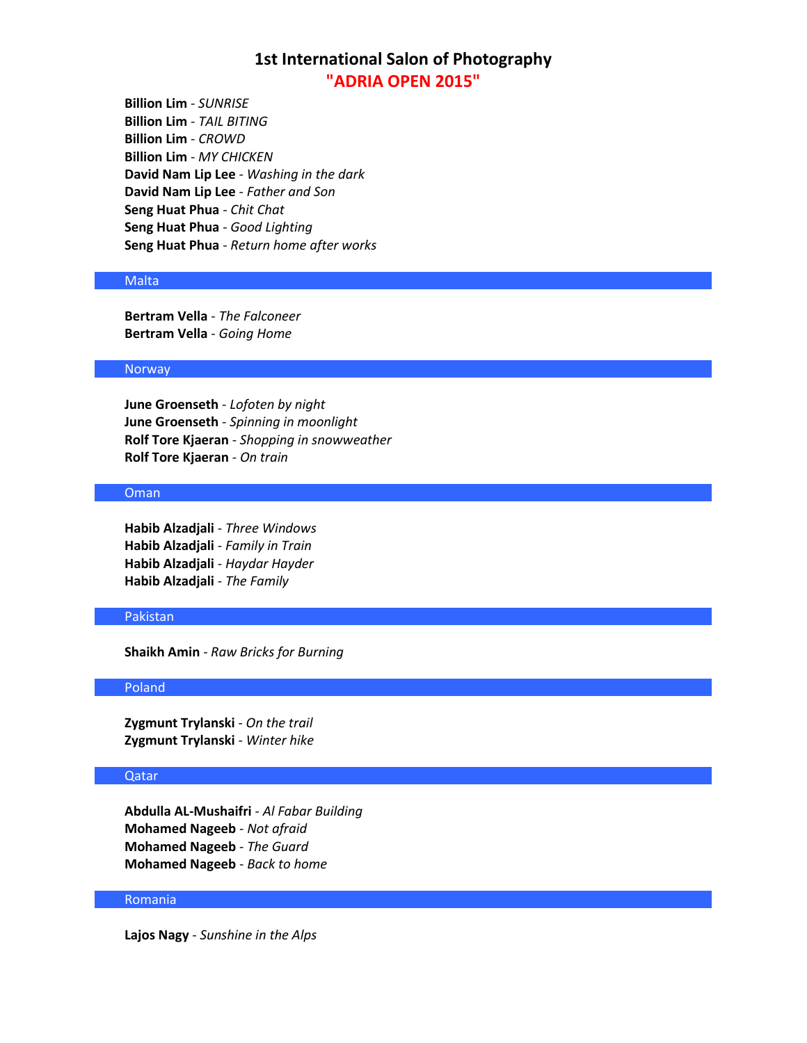**Billion Lim** - *SUNRISE* **Billion Lim** - *TAIL BITING* **Billion Lim** - *CROWD* **Billion Lim** - *MY CHICKEN* **David Nam Lip Lee** - *Washing in the dark* **David Nam Lip Lee** - *Father and Son* **Seng Huat Phua** - *Chit Chat* **Seng Huat Phua** - *Good Lighting* **Seng Huat Phua** - *Return home after works*

### Malta

**Bertram Vella** - *The Falconeer* **Bertram Vella** - *Going Home*

## Norway

**June Groenseth** - *Lofoten by night* **June Groenseth** - *Spinning in moonlight* **Rolf Tore Kjaeran** - *Shopping in snowweather* **Rolf Tore Kjaeran** - *On train*

## Oman

**Habib Alzadjali** - *Three Windows* **Habib Alzadjali** - *Family in Train* **Habib Alzadjali** - *Haydar Hayder* **Habib Alzadjali** - *The Family*

## Pakistan

**Shaikh Amin** - *Raw Bricks for Burning*

### Poland

**Zygmunt Trylanski** - *On the trail* **Zygmunt Trylanski** - *Winter hike*

## Qatar

**Abdulla AL-Mushaifri** - *Al Fabar Building* **Mohamed Nageeb** - *Not afraid* **Mohamed Nageeb** - *The Guard* **Mohamed Nageeb** - *Back to home*

#### Romania

**Lajos Nagy** - *Sunshine in the Alps*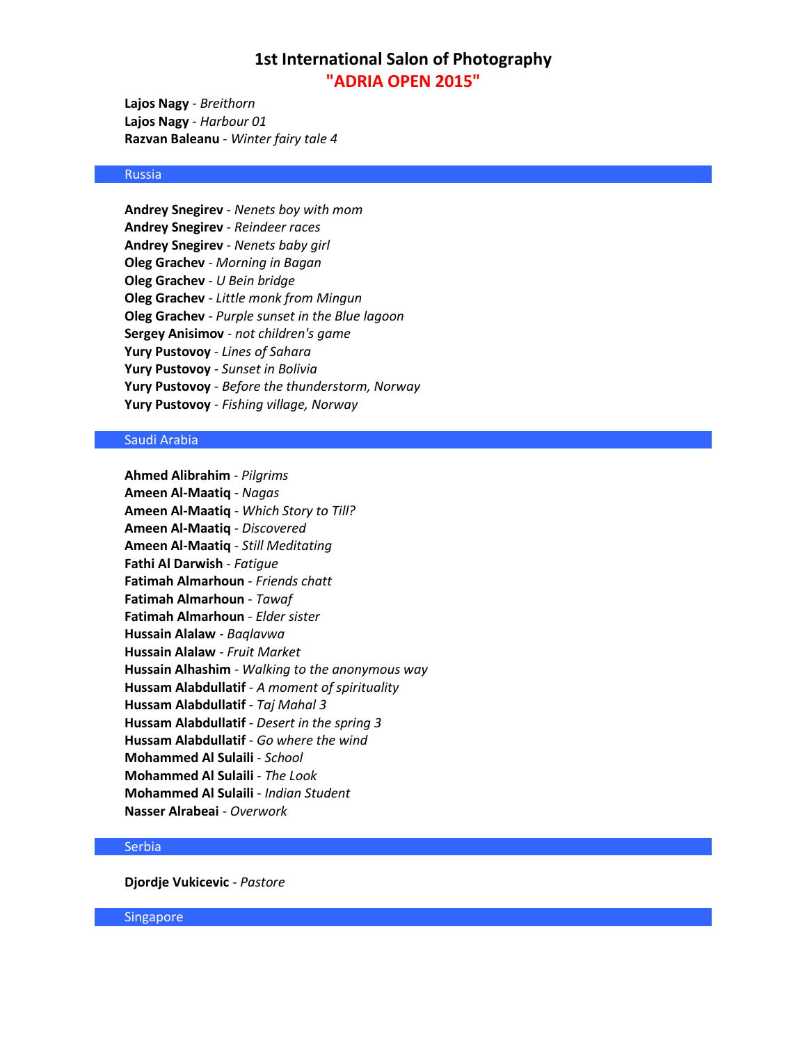**Lajos Nagy** - *Breithorn* **Lajos Nagy** - *Harbour 01* **Razvan Baleanu** - *Winter fairy tale 4*

## Russia

**Andrey Snegirev** - *Nenets boy with mom* **Andrey Snegirev** - *Reindeer races* **Andrey Snegirev** - *Nenets baby girl* **Oleg Grachev** - *Morning in Bagan* **Oleg Grachev** - *U Bein bridge* **Oleg Grachev** - *Little monk from Mingun* **Oleg Grachev** - *Purple sunset in the Blue lagoon* **Sergey Anisimov** - *not children's game* **Yury Pustovoy** - *Lines of Sahara* **Yury Pustovoy** - *Sunset in Bolivia* **Yury Pustovoy** - *Before the thunderstorm, Norway* **Yury Pustovoy** - *Fishing village, Norway*

### Saudi Arabia

**Ahmed Alibrahim** - *Pilgrims* **Ameen Al-Maatiq** - *Nagas* **Ameen Al-Maatiq** - *Which Story to Till?* **Ameen Al-Maatiq** - *Discovered* **Ameen Al-Maatiq** - *Still Meditating* **Fathi Al Darwish** - *Fatigue* **Fatimah Almarhoun** - *Friends chatt* **Fatimah Almarhoun** - *Tawaf* **Fatimah Almarhoun** - *Elder sister* **Hussain Alalaw** - *Baqlavwa* **Hussain Alalaw** - *Fruit Market* **Hussain Alhashim** - *Walking to the anonymous way* **Hussam Alabdullatif** - *A moment of spirituality* **Hussam Alabdullatif** - *Taj Mahal 3* **Hussam Alabdullatif** - *Desert in the spring 3* **Hussam Alabdullatif** - *Go where the wind* **Mohammed Al Sulaili** - *School* **Mohammed Al Sulaili** - *The Look* **Mohammed Al Sulaili** - *Indian Student* **Nasser Alrabeai** - *Overwork* 

## **Serbia**

**Djordje Vukicevic** - *Pastore*

Singapore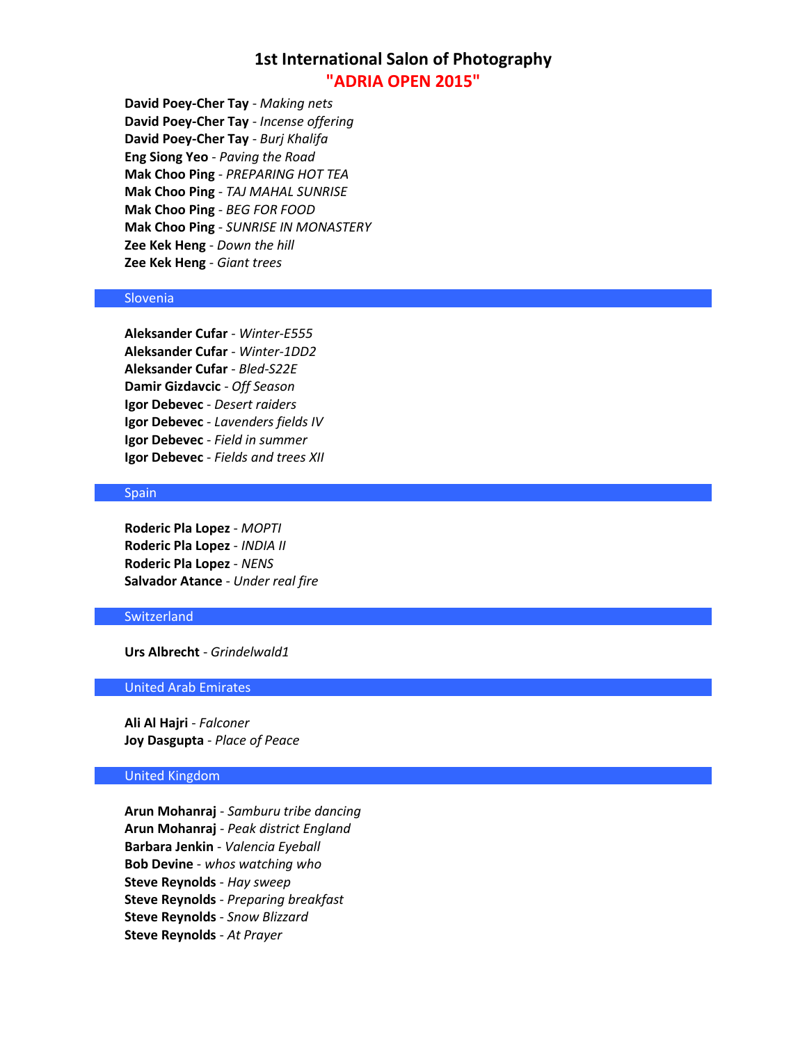**David Poey-Cher Tay** - *Making nets* **David Poey-Cher Tay** - *Incense offering* **David Poey-Cher Tay** - *Burj Khalifa* **Eng Siong Yeo** - *Paving the Road* **Mak Choo Ping** - *PREPARING HOT TEA* **Mak Choo Ping** - *TAJ MAHAL SUNRISE* **Mak Choo Ping** - *BEG FOR FOOD* **Mak Choo Ping** - *SUNRISE IN MONASTERY* **Zee Kek Heng** - *Down the hill* **Zee Kek Heng** - *Giant trees*

## Slovenia

**Aleksander Cufar** - *Winter-E555* **Aleksander Cufar** - *Winter-1DD2* **Aleksander Cufar** - *Bled-S22E* **Damir Gizdavcic** - *Off Season* **Igor Debevec** - *Desert raiders* **Igor Debevec** - *Lavenders fields IV* **Igor Debevec** - *Field in summer* **Igor Debevec** - *Fields and trees XII*

### Spain

**Roderic Pla Lopez** - *MOPTI* **Roderic Pla Lopez** - *INDIA II* **Roderic Pla Lopez** - *NENS* **Salvador Atance** - *Under real fire*

## **Switzerland**

**Urs Albrecht** - *Grindelwald1*

## United Arab Emirates

**Ali Al Hajri** - *Falconer* **Joy Dasgupta** - *Place of Peace*

## United Kingdom

**Arun Mohanraj** - *Samburu tribe dancing* **Arun Mohanraj** - *Peak district England* **Barbara Jenkin** - *Valencia Eyeball* **Bob Devine** - *whos watching who* **Steve Reynolds** - *Hay sweep* **Steve Reynolds** - *Preparing breakfast* **Steve Reynolds** - *Snow Blizzard* **Steve Reynolds** - *At Prayer*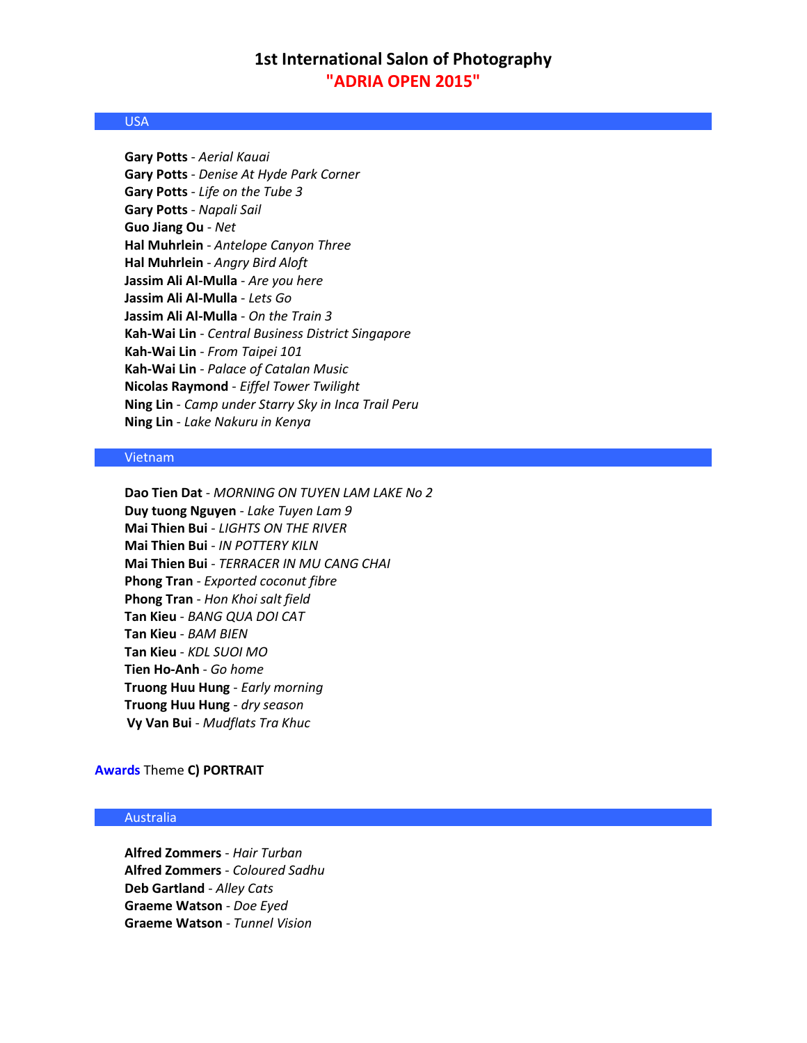## USA

**Gary Potts** - *Aerial Kauai* **Gary Potts** - *Denise At Hyde Park Corner* **Gary Potts** - *Life on the Tube 3* **Gary Potts** - *Napali Sail* **Guo Jiang Ou** - *Net* **Hal Muhrlein** - *Antelope Canyon Three* **Hal Muhrlein** - *Angry Bird Aloft* **Jassim Ali Al-Mulla** - *Are you here* **Jassim Ali Al-Mulla** - *Lets Go* **Jassim Ali Al-Mulla** - *On the Train 3* **Kah-Wai Lin** - *Central Business District Singapore* **Kah-Wai Lin** - *From Taipei 101* **Kah-Wai Lin** - *Palace of Catalan Music* **Nicolas Raymond** - *Eiffel Tower Twilight* **Ning Lin** - *Camp under Starry Sky in Inca Trail Peru* **Ning Lin** - *Lake Nakuru in Kenya*

## Vietnam

**Dao Tien Dat** - *MORNING ON TUYEN LAM LAKE No 2* **Duy tuong Nguyen** - *Lake Tuyen Lam 9* **Mai Thien Bui** - *LIGHTS ON THE RIVER* **Mai Thien Bui** - *IN POTTERY KILN* **Mai Thien Bui** - *TERRACER IN MU CANG CHAI* **Phong Tran** - *Exported coconut fibre* **Phong Tran** - *Hon Khoi salt field* **Tan Kieu** - *BANG QUA DOI CAT* **Tan Kieu** - *BAM BIEN* **Tan Kieu** - *KDL SUOI MO* **Tien Ho-Anh** - *Go home* **Truong Huu Hung** - *Early morning* **Truong Huu Hung** - *dry season* **Vy Van Bui** - *Mudflats Tra Khuc*

### **Awards** Theme **C) PORTRAIT**

## Australia

**Alfred Zommers** - *Hair Turban* **Alfred Zommers** - *Coloured Sadhu* **Deb Gartland** - *Alley Cats* **Graeme Watson** - *Doe Eyed* **Graeme Watson** - *Tunnel Vision*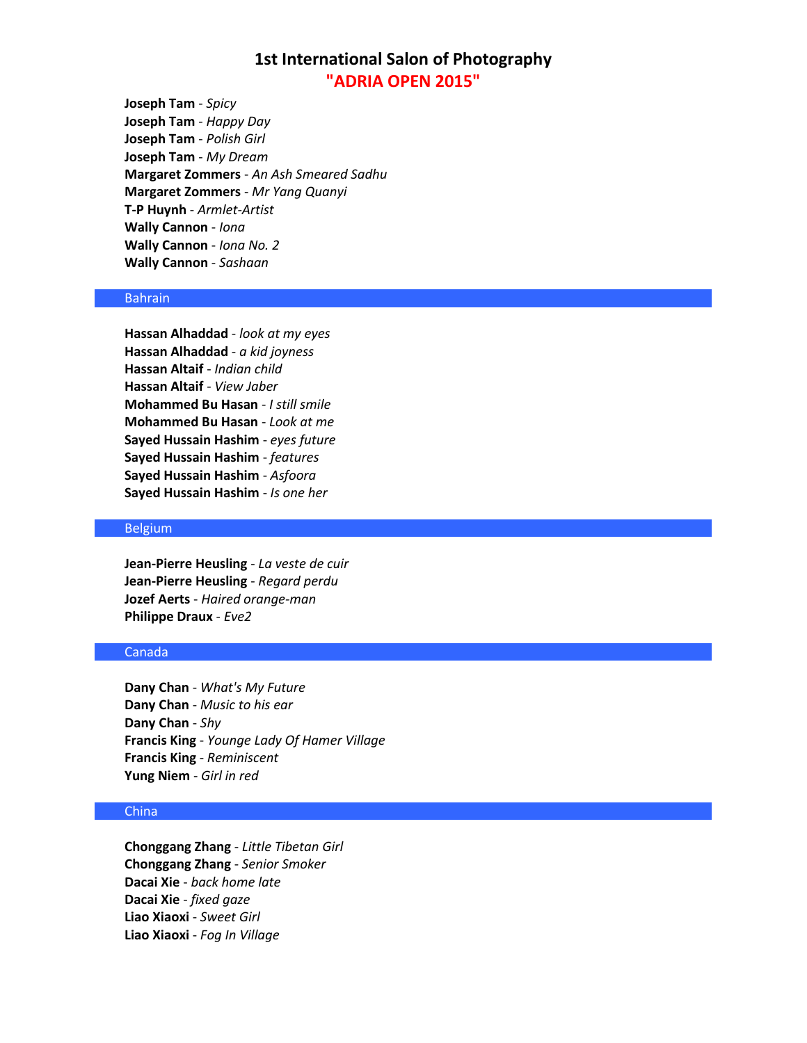**Joseph Tam** - *Spicy* **Joseph Tam** - *Happy Day* **Joseph Tam** - *Polish Girl* **Joseph Tam** - *My Dream* **Margaret Zommers** - *An Ash Smeared Sadhu* **Margaret Zommers** - *Mr Yang Quanyi* **T-P Huynh** - *Armlet-Artist* **Wally Cannon** - *Iona* **Wally Cannon** - *Iona No. 2* **Wally Cannon** - *Sashaan*

## Bahrain

**Hassan Alhaddad** - *look at my eyes* **Hassan Alhaddad** - *a kid joyness* **Hassan Altaif** - *Indian child* **Hassan Altaif** - *View Jaber* **Mohammed Bu Hasan** - *I still smile* **Mohammed Bu Hasan** - *Look at me* **Sayed Hussain Hashim** - *eyes future* **Sayed Hussain Hashim** - *features* **Sayed Hussain Hashim** - *Asfoora* **Sayed Hussain Hashim** - *Is one her*

### Belgium

**Jean-Pierre Heusling** - *La veste de cuir* **Jean-Pierre Heusling** - *Regard perdu* **Jozef Aerts** - *Haired orange-man* **Philippe Draux** - *Eve2*

## Canada

**Dany Chan** - *What's My Future* **Dany Chan** - *Music to his ear* **Dany Chan** - *Shy* **Francis King** - *Younge Lady Of Hamer Village* **Francis King** - *Reminiscent* **Yung Niem** - *Girl in red*

## China

**Chonggang Zhang** - *Little Tibetan Girl* **Chonggang Zhang** - *Senior Smoker* **Dacai Xie** - *back home late* **Dacai Xie** - *fixed gaze* **Liao Xiaoxi** - *Sweet Girl* **Liao Xiaoxi** - *Fog In Village*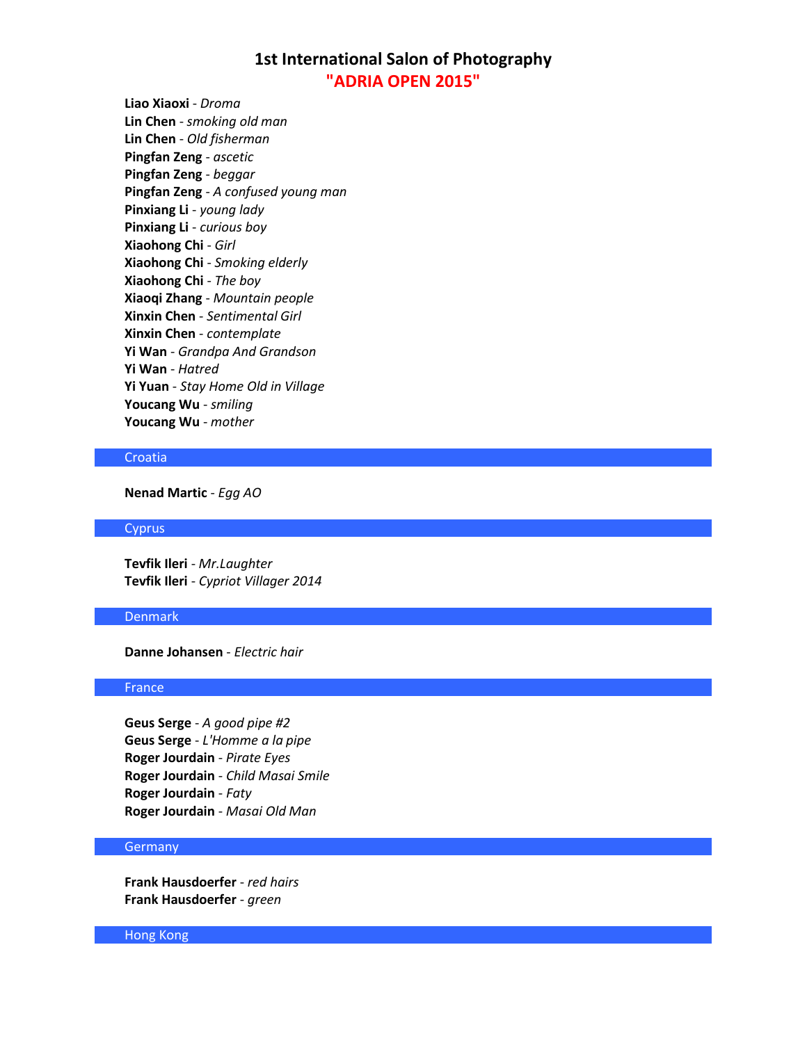**Liao Xiaoxi** - *Droma* **Lin Chen** - *smoking old man* **Lin Chen** - *Old fisherman* **Pingfan Zeng** - *ascetic* **Pingfan Zeng** - *beggar* **Pingfan Zeng** - *A confused young man* **Pinxiang Li** - *young lady* **Pinxiang Li** - *curious boy* **Xiaohong Chi** - *Girl* **Xiaohong Chi** - *Smoking elderly* **Xiaohong Chi** - *The boy* **Xiaoqi Zhang** - *Mountain people* **Xinxin Chen** - *Sentimental Girl* **Xinxin Chen** - *contemplate* **Yi Wan** - *Grandpa And Grandson* **Yi Wan** - *Hatred* **Yi Yuan** - *Stay Home Old in Village* **Youcang Wu** - *smiling* **Youcang Wu** - *mother*

## Croatia

**Nenad Martic** - *Egg AO*

### **Cyprus**

**Tevfik Ileri** - *Mr.Laughter* **Tevfik Ileri** - *Cypriot Villager 2014*

## Denmark

**Danne Johansen** - *Electric hair*

### France

**Geus Serge** - *A good pipe #2* **Geus Serge** - *L'Homme a la pipe* **Roger Jourdain** - *Pirate Eyes* **Roger Jourdain** - *Child Masai Smile* **Roger Jourdain** - *Faty* **Roger Jourdain** - *Masai Old Man*

## **Germany**

**Frank Hausdoerfer** - *red hairs* **Frank Hausdoerfer** - *green*

Hong Kong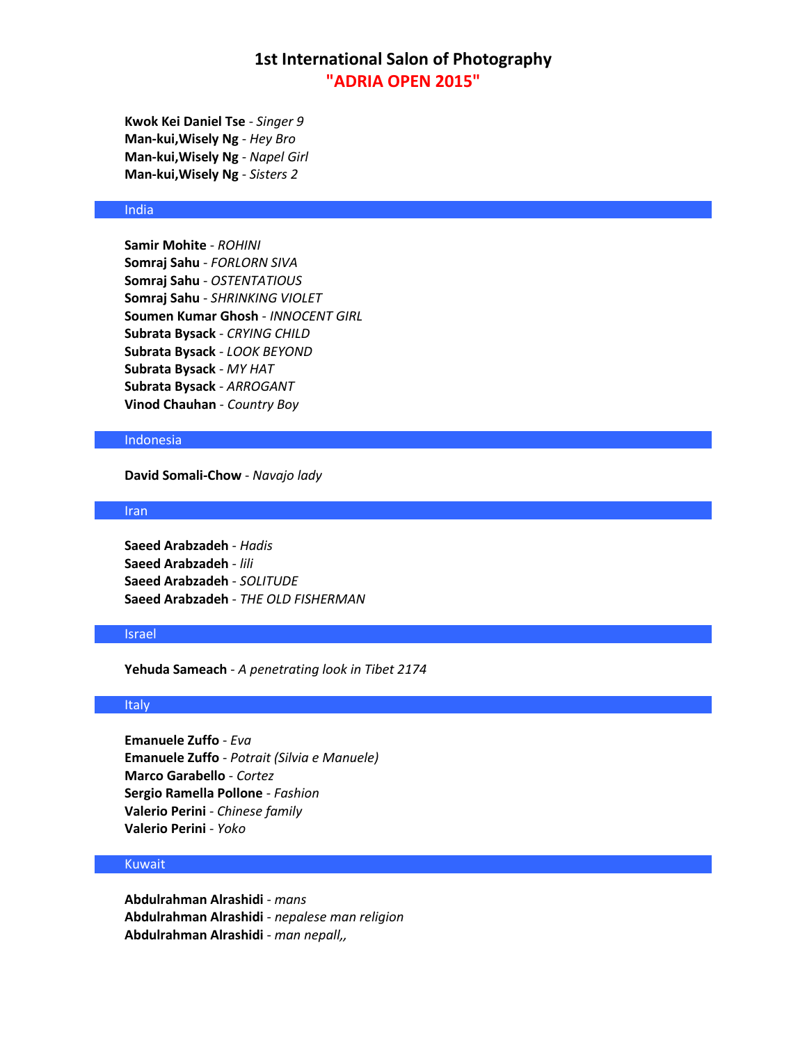**Kwok Kei Daniel Tse** - *Singer 9* **Man-kui,Wisely Ng** - *Hey Bro* **Man-kui,Wisely Ng** - *Napel Girl* **Man-kui,Wisely Ng** - *Sisters 2*

## India

**Samir Mohite** - *ROHINI* **Somraj Sahu** - *FORLORN SIVA* **Somraj Sahu** - *OSTENTATIOUS* **Somraj Sahu** - *SHRINKING VIOLET* **Soumen Kumar Ghosh** - *INNOCENT GIRL* **Subrata Bysack** - *CRYING CHILD* **Subrata Bysack** - *LOOK BEYOND* **Subrata Bysack** - *MY HAT* **Subrata Bysack** - *ARROGANT* **Vinod Chauhan** - *Country Boy*

#### Indonesia

**David Somali-Chow** - *Navajo lady*

### Iran

**Saeed Arabzadeh** - *Hadis* **Saeed Arabzadeh** - *lili* **Saeed Arabzadeh** - *SOLITUDE* **Saeed Arabzadeh** - *THE OLD FISHERMAN*

## Israel

**Yehuda Sameach** - *A penetrating look in Tibet 2174*

### Italy

**Emanuele Zuffo** - *Eva* **Emanuele Zuffo** - *Potrait (Silvia e Manuele)* **Marco Garabello** - *Cortez* **Sergio Ramella Pollone** - *Fashion* **Valerio Perini** - *Chinese family* **Valerio Perini** - *Yoko*

### Kuwait

**Abdulrahman Alrashidi** - *mans* **Abdulrahman Alrashidi** - *nepalese man religion* **Abdulrahman Alrashidi** - *man nepall,,*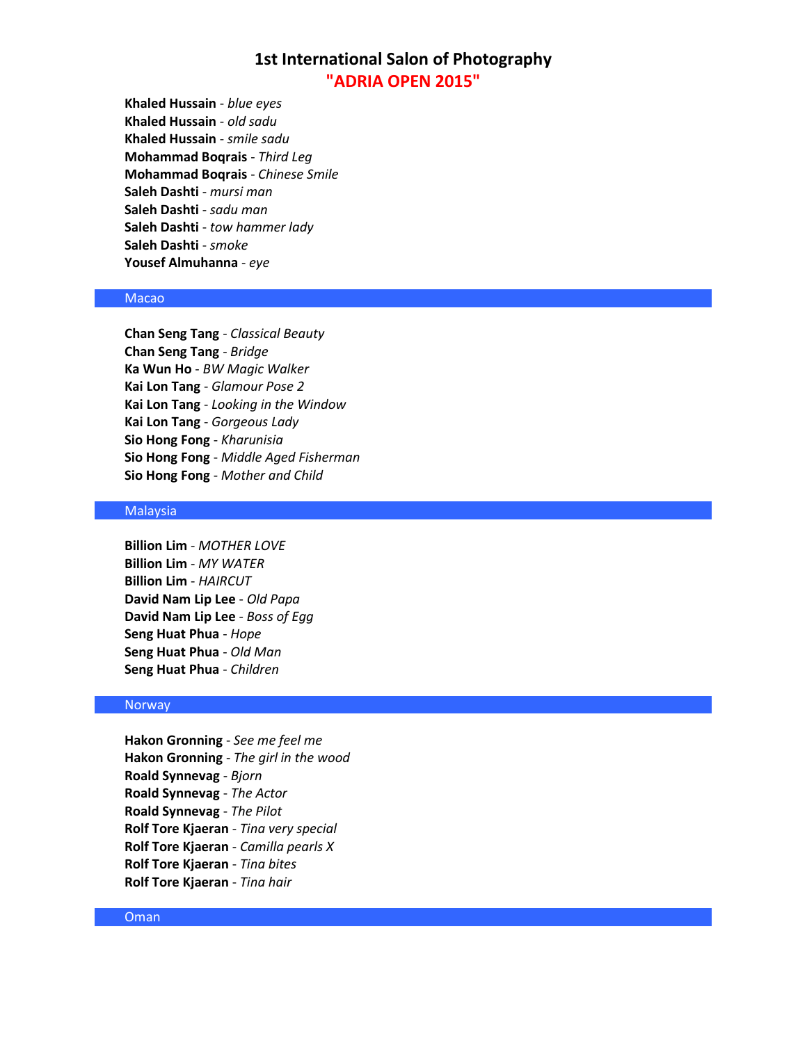**Khaled Hussain** - *blue eyes* **Khaled Hussain** - *old sadu* **Khaled Hussain** - *smile sadu* **Mohammad Boqrais** - *Third Leg* **Mohammad Boqrais** - *Chinese Smile* **Saleh Dashti** - *mursi man* **Saleh Dashti** - *sadu man* **Saleh Dashti** - *tow hammer lady* **Saleh Dashti** - *smoke* **Yousef Almuhanna** - *eye*

## Macao

**Chan Seng Tang** - *Classical Beauty* **Chan Seng Tang** - *Bridge* **Ka Wun Ho** - *BW Magic Walker* **Kai Lon Tang** - *Glamour Pose 2* **Kai Lon Tang** - *Looking in the Window* **Kai Lon Tang** - *Gorgeous Lady* **Sio Hong Fong** - *Kharunisia* **Sio Hong Fong** - *Middle Aged Fisherman* **Sio Hong Fong** - *Mother and Child*

### Malaysia

**Billion Lim** - *MOTHER LOVE* **Billion Lim** - *MY WATER* **Billion Lim** - *HAIRCUT* **David Nam Lip Lee** - *Old Papa* **David Nam Lip Lee** - *Boss of Egg* **Seng Huat Phua** - *Hope* **Seng Huat Phua** - *Old Man* **Seng Huat Phua** - *Children*

### **Norway**

**Hakon Gronning** - *See me feel me* **Hakon Gronning** - *The girl in the wood* **Roald Synnevag** - *Bjorn* **Roald Synnevag** - *The Actor* **Roald Synnevag** - *The Pilot* **Rolf Tore Kjaeran** - *Tina very special* **Rolf Tore Kjaeran** - *Camilla pearls X* **Rolf Tore Kjaeran** - *Tina bites* **Rolf Tore Kjaeran** - *Tina hair*

#### Oman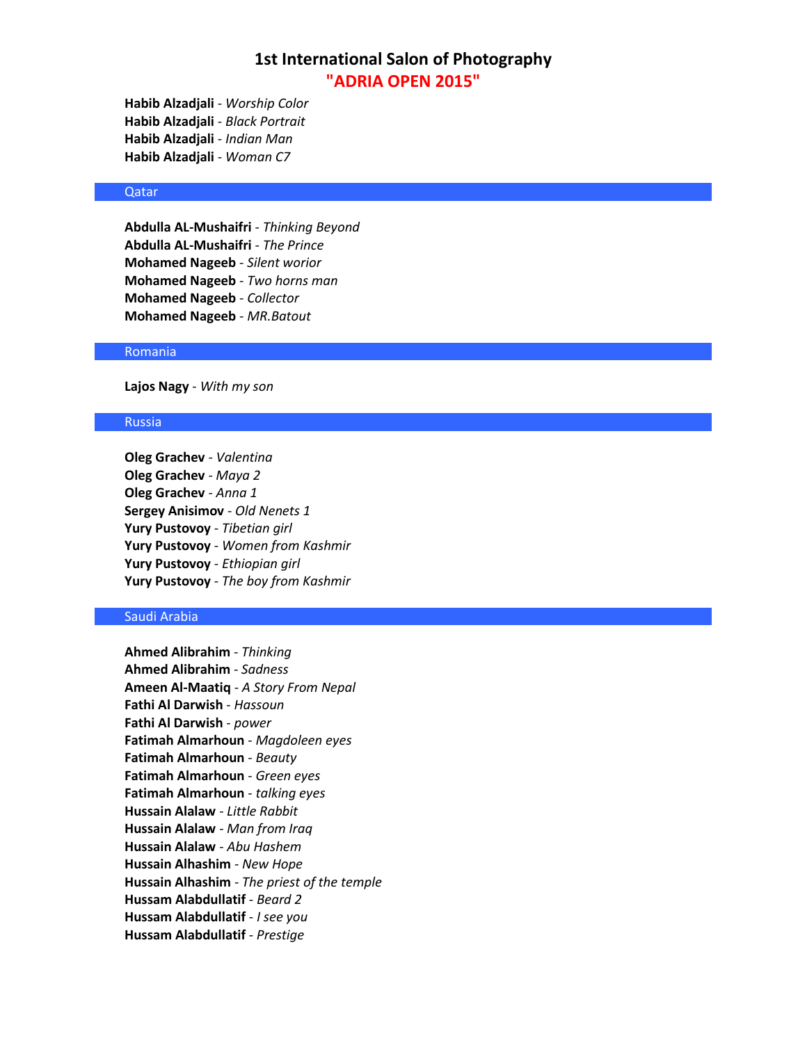**Habib Alzadjali** - *Worship Color* **Habib Alzadjali** - *Black Portrait* **Habib Alzadjali** - *Indian Man* **Habib Alzadjali** - *Woman C7*

### Qatar

**Abdulla AL-Mushaifri** - *Thinking Beyond* **Abdulla AL-Mushaifri** - *The Prince* **Mohamed Nageeb** - *Silent worior* **Mohamed Nageeb** - *Two horns man* **Mohamed Nageeb** - *Collector* **Mohamed Nageeb** - *MR.Batout*

### Romania

**Lajos Nagy** - *With my son*

### Russia

**Oleg Grachev** - *Valentina* **Oleg Grachev** - *Maya 2* **Oleg Grachev** - *Anna 1* **Sergey Anisimov** - *Old Nenets 1* **Yury Pustovoy** - *Tibetian girl* **Yury Pustovoy** - *Women from Kashmir* **Yury Pustovoy** - *Ethiopian girl* **Yury Pustovoy** - *The boy from Kashmir*

## Saudi Arabia

**Ahmed Alibrahim** - *Thinking* **Ahmed Alibrahim** - *Sadness* **Ameen Al-Maatiq** - *A Story From Nepal* **Fathi Al Darwish** - *Hassoun* **Fathi Al Darwish** - *power* **Fatimah Almarhoun** - *Magdoleen eyes* **Fatimah Almarhoun** - *Beauty* **Fatimah Almarhoun** - *Green eyes* **Fatimah Almarhoun** - *talking eyes* **Hussain Alalaw** - *Little Rabbit* **Hussain Alalaw** - *Man from Iraq* **Hussain Alalaw** - *Abu Hashem* **Hussain Alhashim** - *New Hope* **Hussain Alhashim** - *The priest of the temple* **Hussam Alabdullatif** - *Beard 2* **Hussam Alabdullatif** - *I see you* **Hussam Alabdullatif** - *Prestige*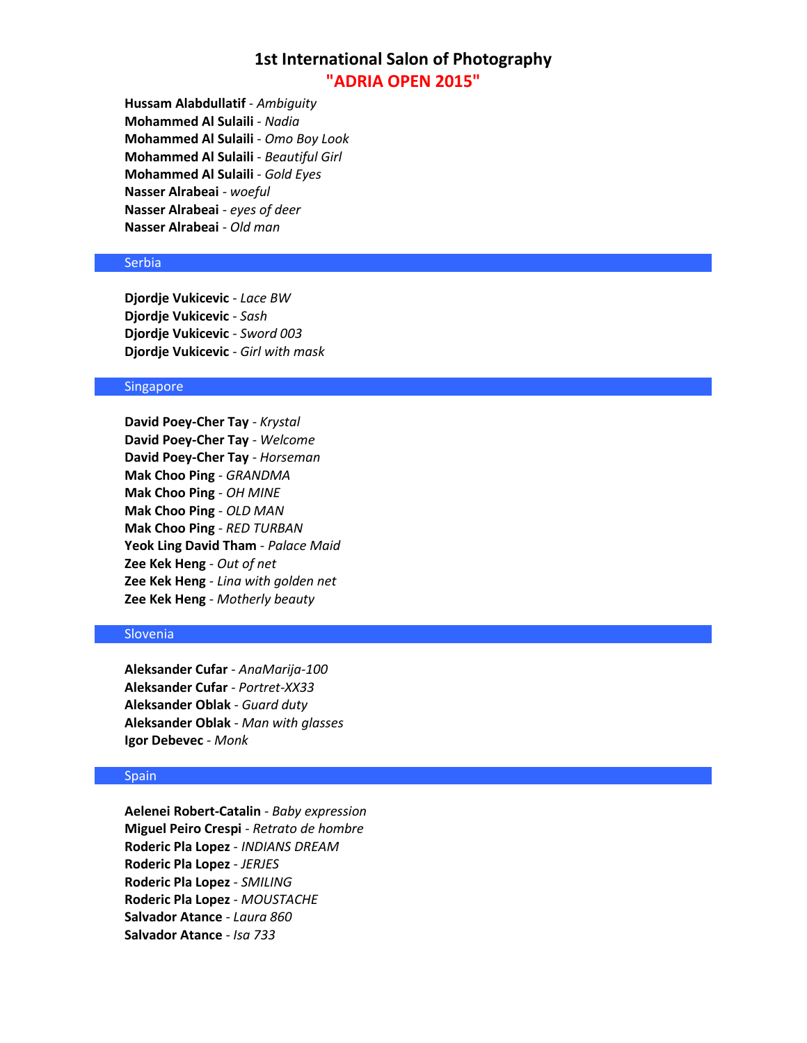**Hussam Alabdullatif** - *Ambiguity* **Mohammed Al Sulaili** - *Nadia* **Mohammed Al Sulaili** - *Omo Boy Look* **Mohammed Al Sulaili** - *Beautiful Girl* **Mohammed Al Sulaili** - *Gold Eyes* **Nasser Alrabeai** - *woeful* **Nasser Alrabeai** - *eyes of deer* **Nasser Alrabeai** - *Old man*

## **Serbia**

**Djordje Vukicevic** - *Lace BW* **Djordje Vukicevic** - *Sash* **Djordje Vukicevic** - *Sword 003* **Djordje Vukicevic** - *Girl with mask*

### Singapore

**David Poey-Cher Tay** - *Krystal* **David Poey-Cher Tay** - *Welcome* **David Poey-Cher Tay** - *Horseman* **Mak Choo Ping** - *GRANDMA* **Mak Choo Ping** - *OH MINE* **Mak Choo Ping** - *OLD MAN* **Mak Choo Ping** - *RED TURBAN* **Yeok Ling David Tham** - *Palace Maid* **Zee Kek Heng** - *Out of net* **Zee Kek Heng** - *Lina with golden net* **Zee Kek Heng** - *Motherly beauty*

## Slovenia

**Aleksander Cufar** - *AnaMarija-100* **Aleksander Cufar** - *Portret-XX33* **Aleksander Oblak** - *Guard duty* **Aleksander Oblak** - *Man with glasses* **Igor Debevec** - *Monk*

## **Spain**

**Aelenei Robert-Catalin** - *Baby expression* **Miguel Peiro Crespi** - *Retrato de hombre* **Roderic Pla Lopez** - *INDIANS DREAM* **Roderic Pla Lopez** - *JERJES* **Roderic Pla Lopez** - *SMILING* **Roderic Pla Lopez** - *MOUSTACHE* **Salvador Atance** - *Laura 860* **Salvador Atance** - *Isa 733*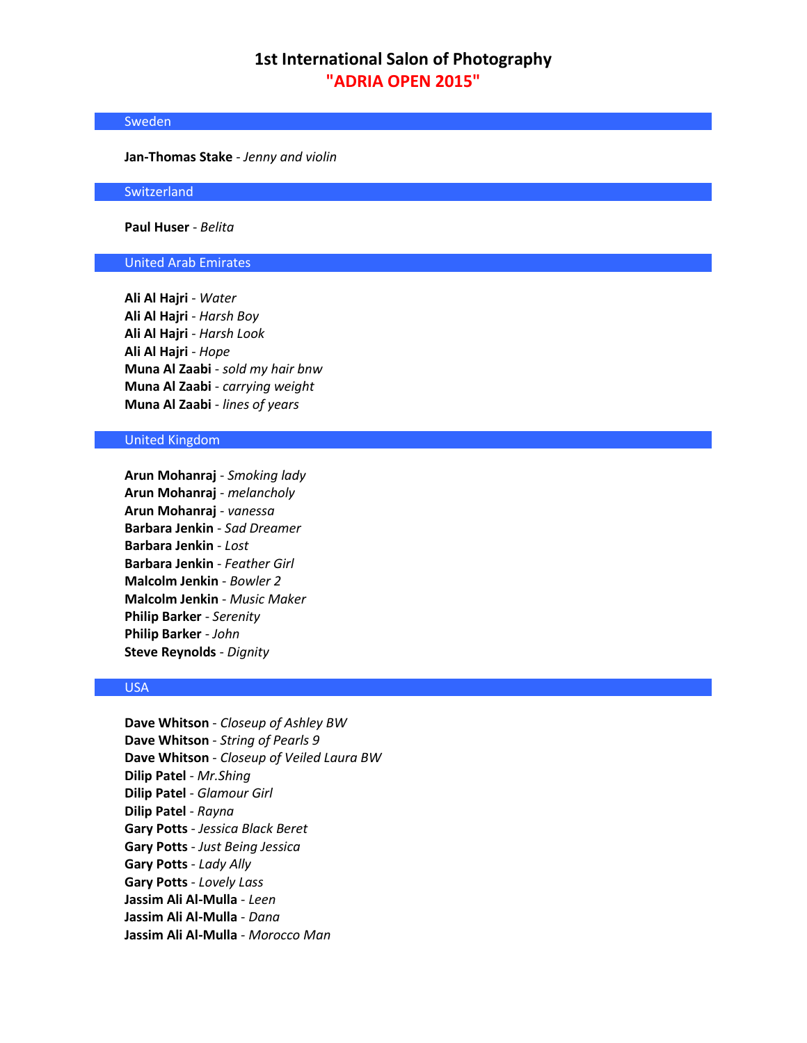### Sweden

**Jan-Thomas Stake** - *Jenny and violin*

**Switzerland** 

**Paul Huser** - *Belita*

## United Arab Emirates

**Ali Al Hajri** - *Water* **Ali Al Hajri** - *Harsh Boy* **Ali Al Hajri** - *Harsh Look* **Ali Al Hajri** - *Hope* **Muna Al Zaabi** - *sold my hair bnw* **Muna Al Zaabi** - *carrying weight* **Muna Al Zaabi** - *lines of years*

### United Kingdom

**Arun Mohanraj** - *Smoking lady* **Arun Mohanraj** - *melancholy* **Arun Mohanraj** - *vanessa* **Barbara Jenkin** - *Sad Dreamer* **Barbara Jenkin** - *Lost* **Barbara Jenkin** - *Feather Girl* **Malcolm Jenkin** - *Bowler 2* **Malcolm Jenkin** - *Music Maker* **Philip Barker** - *Serenity* **Philip Barker** - *John* **Steve Reynolds** - *Dignity*

## USA

**Dave Whitson** - *Closeup of Ashley BW* **Dave Whitson** - *String of Pearls 9* **Dave Whitson** - *Closeup of Veiled Laura BW* **Dilip Patel** - *Mr.Shing* **Dilip Patel** - *Glamour Girl* **Dilip Patel** - *Rayna* **Gary Potts** - *Jessica Black Beret* **Gary Potts** - *Just Being Jessica* **Gary Potts** - *Lady Ally* **Gary Potts** - *Lovely Lass* **Jassim Ali Al-Mulla** - *Leen* **Jassim Ali Al-Mulla** - *Dana* **Jassim Ali Al-Mulla** - *Morocco Man*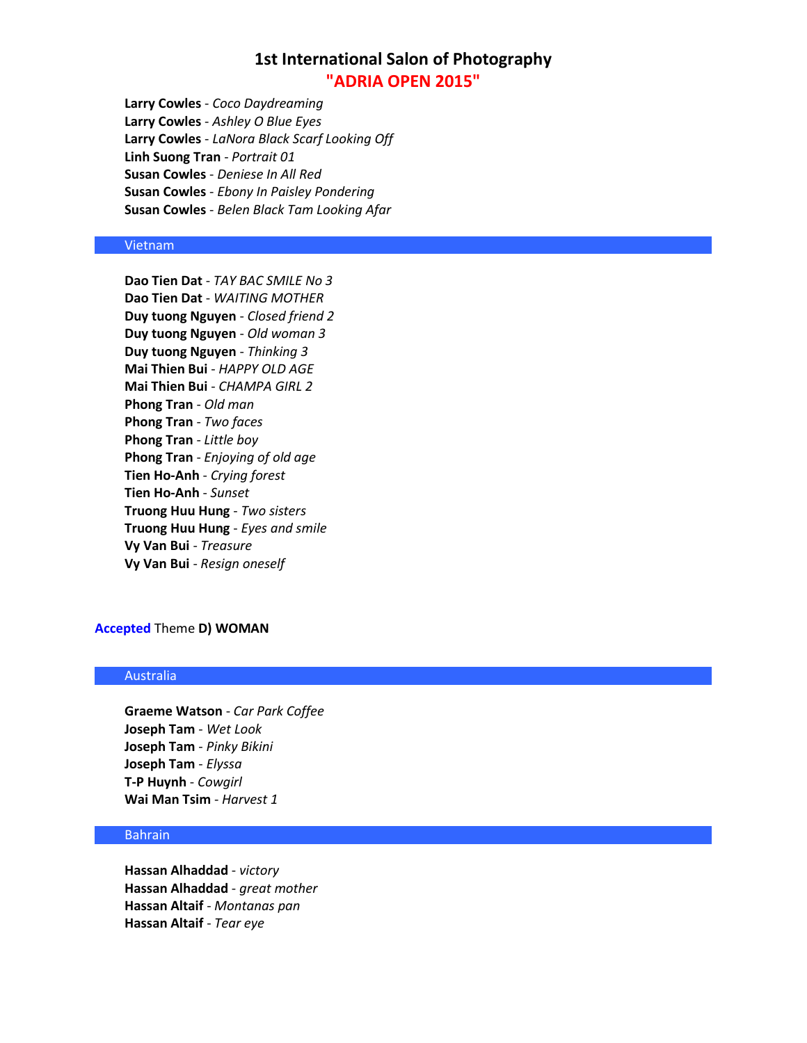**Larry Cowles** - *Coco Daydreaming* **Larry Cowles** - *Ashley O Blue Eyes* **Larry Cowles** - *LaNora Black Scarf Looking Off* **Linh Suong Tran** - *Portrait 01* **Susan Cowles** - *Deniese In All Red* **Susan Cowles** - *Ebony In Paisley Pondering* **Susan Cowles** - *Belen Black Tam Looking Afar*

### Vietnam

**Dao Tien Dat** - *TAY BAC SMILE No 3* **Dao Tien Dat** - *WAITING MOTHER* **Duy tuong Nguyen** - *Closed friend 2* **Duy tuong Nguyen** - *Old woman 3* **Duy tuong Nguyen** - *Thinking 3* **Mai Thien Bui** - *HAPPY OLD AGE* **Mai Thien Bui** - *CHAMPA GIRL 2* **Phong Tran** - *Old man* **Phong Tran** - *Two faces* **Phong Tran** - *Little boy* **Phong Tran** - *Enjoying of old age* **Tien Ho-Anh** - *Crying forest* **Tien Ho-Anh** - *Sunset* **Truong Huu Hung** - *Two sisters* **Truong Huu Hung** - *Eyes and smile* **Vy Van Bui** - *Treasure* **Vy Van Bui** - *Resign oneself*

### **Accepted** Theme **D) WOMAN**

### Australia

**Graeme Watson** - *Car Park Coffee* **Joseph Tam** - *Wet Look* **Joseph Tam** - *Pinky Bikini* **Joseph Tam** - *Elyssa* **T-P Huynh** - *Cowgirl* **Wai Man Tsim** - *Harvest 1*

## **Bahrain**

**Hassan Alhaddad** - *victory* **Hassan Alhaddad** - *great mother* **Hassan Altaif** - *Montanas pan* **Hassan Altaif** - *Tear eye*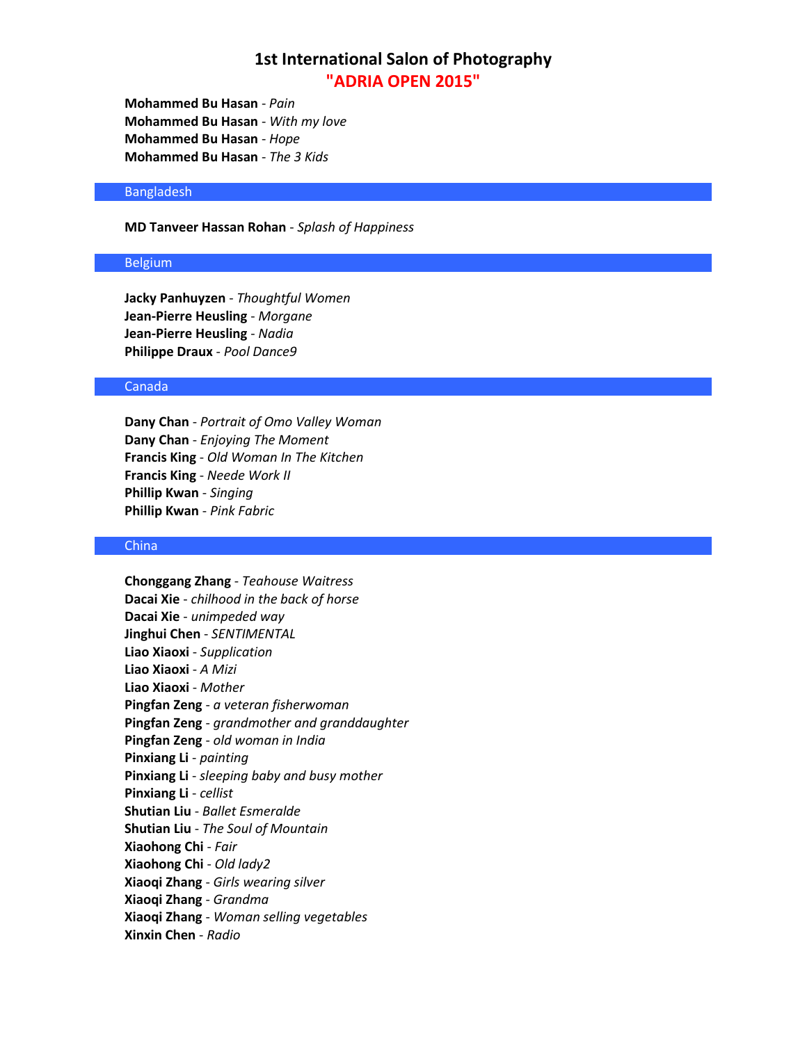**Mohammed Bu Hasan** - *Pain* **Mohammed Bu Hasan** - *With my love* **Mohammed Bu Hasan** - *Hope* **Mohammed Bu Hasan** - *The 3 Kids*

### Bangladesh

### **MD Tanveer Hassan Rohan** - *Splash of Happiness*

## Belgium

**Jacky Panhuyzen** - *Thoughtful Women* **Jean-Pierre Heusling** - *Morgane* **Jean-Pierre Heusling** - *Nadia* **Philippe Draux** - *Pool Dance9*

### Canada

**Dany Chan** - *Portrait of Omo Valley Woman* **Dany Chan** - *Enjoying The Moment* **Francis King** - *Old Woman In The Kitchen* **Francis King** - *Neede Work II* **Phillip Kwan** - *Singing* **Phillip Kwan** - *Pink Fabric*

## China

**Chonggang Zhang** - *Teahouse Waitress* **Dacai Xie** - *chilhood in the back of horse* **Dacai Xie** - *unimpeded way* **Jinghui Chen** - *SENTIMENTAL* **Liao Xiaoxi** - *Supplication* **Liao Xiaoxi** - *A Mizi* **Liao Xiaoxi** - *Mother* **Pingfan Zeng** - *a veteran fisherwoman* **Pingfan Zeng** - *grandmother and granddaughter* **Pingfan Zeng** - *old woman in India* **Pinxiang Li** - *painting* **Pinxiang Li** - *sleeping baby and busy mother* **Pinxiang Li** - *cellist* **Shutian Liu** - *Ballet Esmeralde* **Shutian Liu** - *The Soul of Mountain* **Xiaohong Chi** - *Fair* **Xiaohong Chi** - *Old lady2* **Xiaoqi Zhang** - *Girls wearing silver* **Xiaoqi Zhang** - *Grandma* **Xiaoqi Zhang** - *Woman selling vegetables* **Xinxin Chen** - *Radio*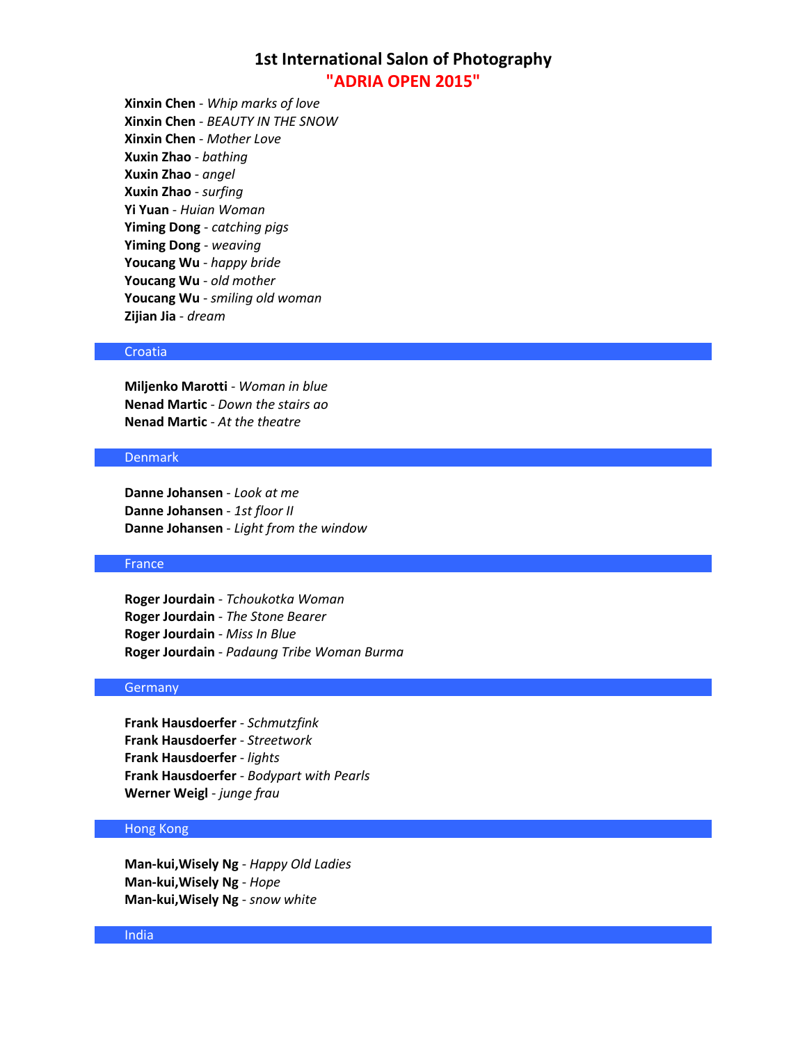**Xinxin Chen** - *Whip marks of love* **Xinxin Chen** - *BEAUTY IN THE SNOW* **Xinxin Chen** - *Mother Love* **Xuxin Zhao** - *bathing* **Xuxin Zhao** - *angel* **Xuxin Zhao** - *surfing* **Yi Yuan** - *Huian Woman* **Yiming Dong** - *catching pigs* **Yiming Dong** - *weaving* **Youcang Wu** - *happy bride* **Youcang Wu** - *old mother* **Youcang Wu** - *smiling old woman* **Zijian Jia** - *dream*

### Croatia

**Miljenko Marotti** - *Woman in blue* **Nenad Martic** - *Down the stairs ao* **Nenad Martic** - *At the theatre*

## Denmark

**Danne Johansen** - *Look at me* **Danne Johansen** - *1st floor II* **Danne Johansen** - *Light from the window*

### **France**

**Roger Jourdain** - *Tchoukotka Woman* **Roger Jourdain** - *The Stone Bearer* **Roger Jourdain** - *Miss In Blue* **Roger Jourdain** - *Padaung Tribe Woman Burma*

## **Germany**

**Frank Hausdoerfer** - *Schmutzfink* **Frank Hausdoerfer** - *Streetwork* **Frank Hausdoerfer** - *lights* **Frank Hausdoerfer** - *Bodypart with Pearls* **Werner Weigl** - *junge frau*

## Hong Kong

**Man-kui,Wisely Ng** - *Happy Old Ladies* **Man-kui,Wisely Ng** - *Hope* **Man-kui,Wisely Ng** - *snow white*

#### India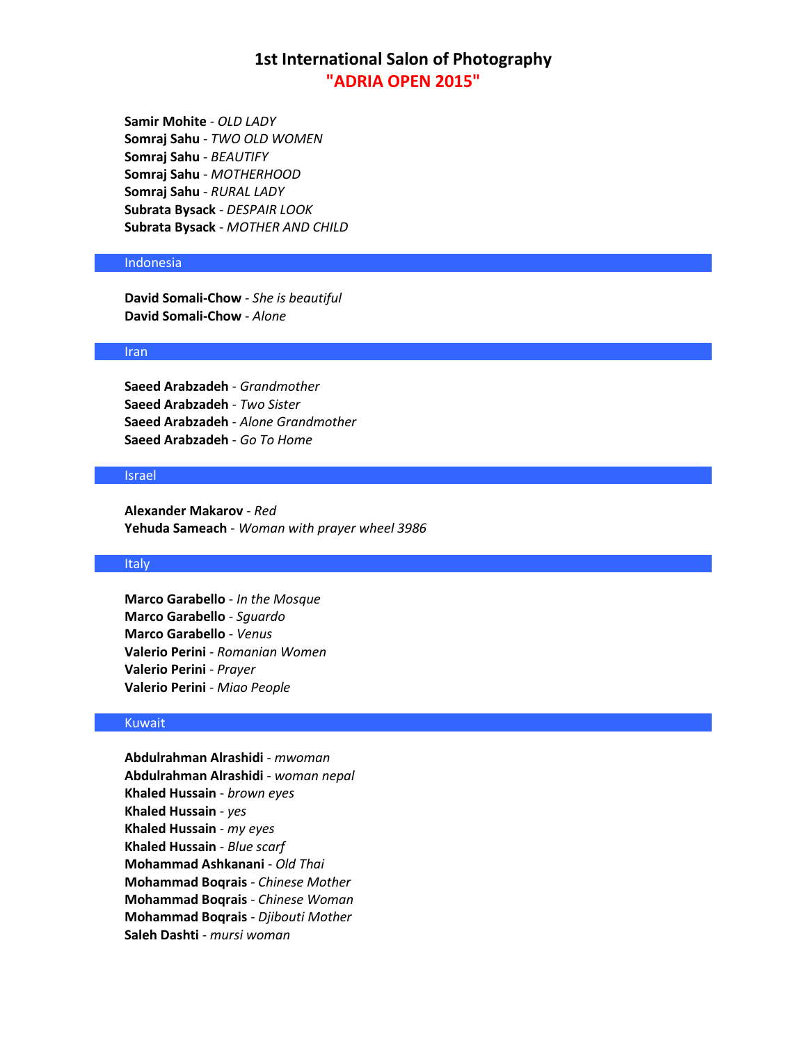**Samir Mohite** - *OLD LADY* **Somraj Sahu** - *TWO OLD WOMEN* **Somraj Sahu** - *BEAUTIFY* **Somraj Sahu** - *MOTHERHOOD* **Somraj Sahu** - *RURAL LADY* **Subrata Bysack** - *DESPAIR LOOK* **Subrata Bysack** - *MOTHER AND CHILD*

## Indonesia

**David Somali-Chow** - *She is beautiful* **David Somali-Chow** - *Alone*

### Iran

**Saeed Arabzadeh** - *Grandmother* **Saeed Arabzadeh** - *Two Sister* **Saeed Arabzadeh** - *Alone Grandmother* **Saeed Arabzadeh** - *Go To Home*

#### Israel

**Alexander Makarov** - *Red* **Yehuda Sameach** - *Woman with prayer wheel 3986*

### Italy

**Marco Garabello** - *In the Mosque* **Marco Garabello** - *Sguardo* **Marco Garabello** - *Venus* **Valerio Perini** - *Romanian Women* **Valerio Perini** - *Prayer* **Valerio Perini** - *Miao People*

#### Kuwait

**Abdulrahman Alrashidi** - *mwoman* **Abdulrahman Alrashidi** - *woman nepal* **Khaled Hussain** - *brown eyes* **Khaled Hussain** - *yes* **Khaled Hussain** - *my eyes* **Khaled Hussain** - *Blue scarf* **Mohammad Ashkanani** - *Old Thai* **Mohammad Boqrais** - *Chinese Mother* **Mohammad Boqrais** - *Chinese Woman* **Mohammad Boqrais** - *Djibouti Mother* **Saleh Dashti** - *mursi woman*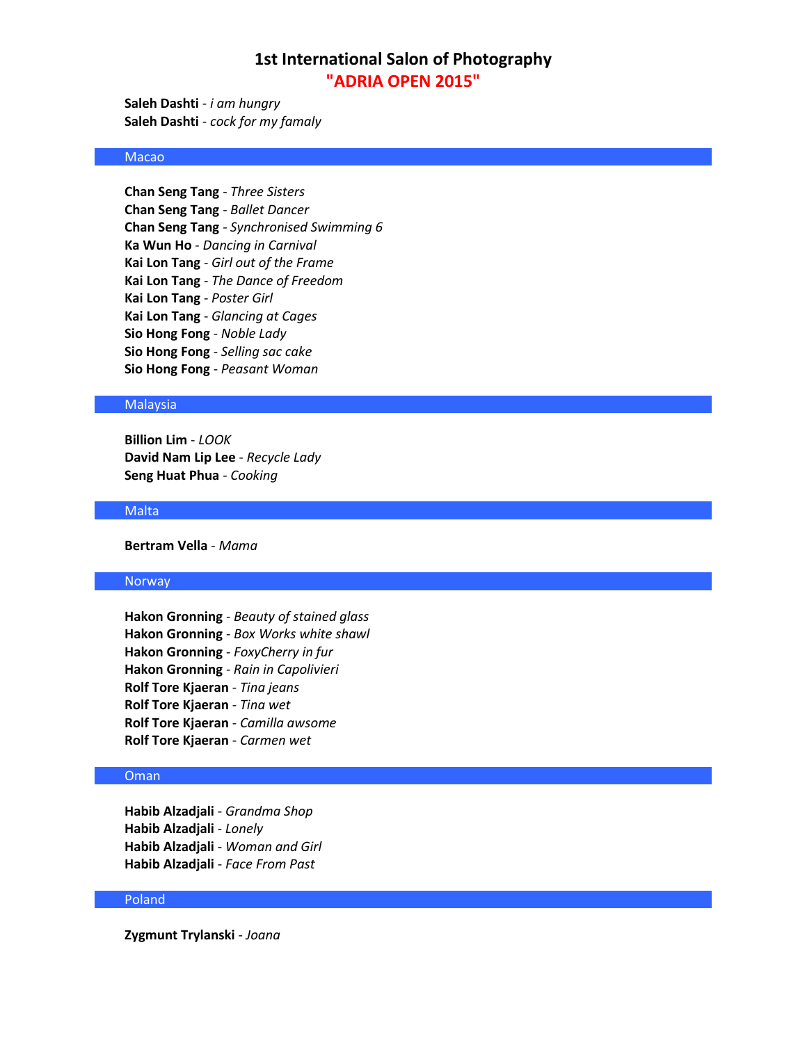**Saleh Dashti** - *i am hungry* **Saleh Dashti** - *cock for my famaly*

## Macao

**Chan Seng Tang** - *Three Sisters* **Chan Seng Tang** - *Ballet Dancer* **Chan Seng Tang** - *Synchronised Swimming 6* **Ka Wun Ho** - *Dancing in Carnival* **Kai Lon Tang** - *Girl out of the Frame* **Kai Lon Tang** - *The Dance of Freedom* **Kai Lon Tang** - *Poster Girl* **Kai Lon Tang** - *Glancing at Cages* **Sio Hong Fong** - *Noble Lady* **Sio Hong Fong** - *Selling sac cake* **Sio Hong Fong** - *Peasant Woman*

## **Malaysia**

**Billion Lim** - *LOOK* **David Nam Lip Lee** - *Recycle Lady* **Seng Huat Phua** - *Cooking*

### Malta

**Bertram Vella** - *Mama*

### Norway

**Hakon Gronning** - *Beauty of stained glass* **Hakon Gronning** - *Box Works white shawl* **Hakon Gronning** - *FoxyCherry in fur* **Hakon Gronning** - *Rain in Capolivieri* **Rolf Tore Kjaeran** - *Tina jeans* **Rolf Tore Kjaeran** - *Tina wet* **Rolf Tore Kjaeran** - *Camilla awsome* **Rolf Tore Kjaeran** - *Carmen wet*

## Oman

**Habib Alzadjali** - *Grandma Shop* **Habib Alzadjali** - *Lonely* **Habib Alzadjali** - *Woman and Girl* **Habib Alzadjali** - *Face From Past*

#### Poland

**Zygmunt Trylanski** - *Joana*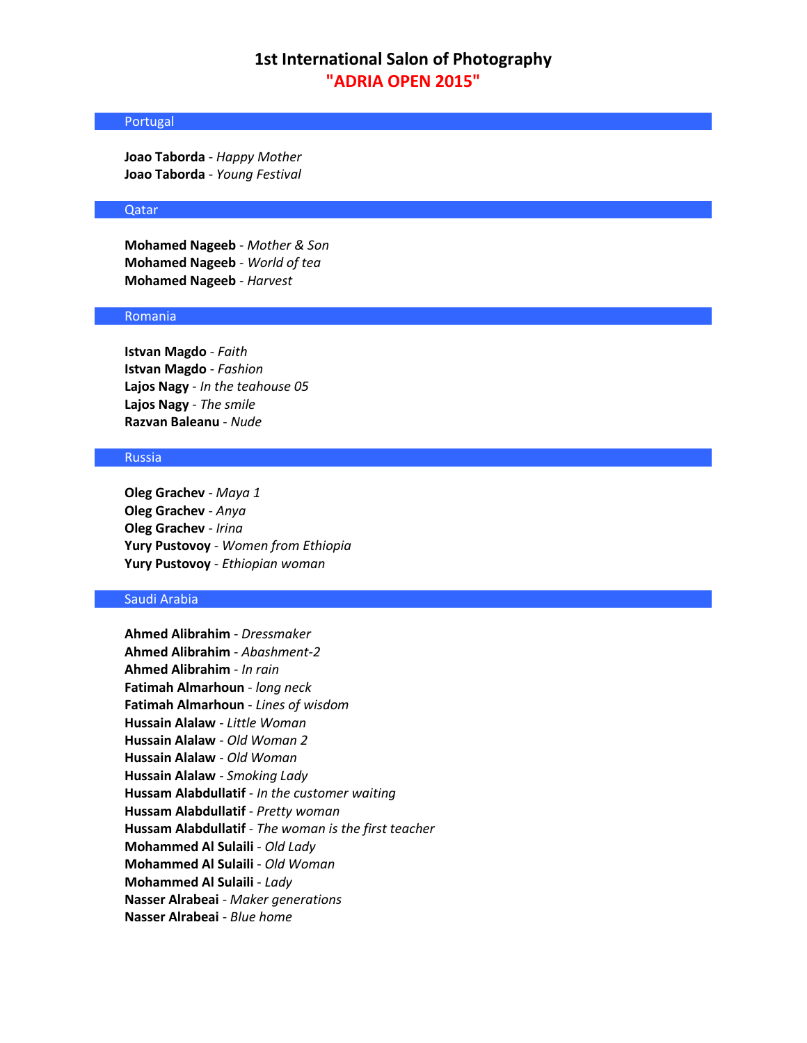## Portugal

**Joao Taborda** - *Happy Mother* **Joao Taborda** - *Young Festival*

## Qatar

**Mohamed Nageeb** - *Mother & Son* **Mohamed Nageeb** - *World of tea* **Mohamed Nageeb** - *Harvest*

### Romania

**Istvan Magdo** - *Faith* **Istvan Magdo** - *Fashion* **Lajos Nagy** - *In the teahouse 05* **Lajos Nagy** - *The smile* **Razvan Baleanu** - *Nude*

## Russia

**Oleg Grachev** - *Maya 1* **Oleg Grachev** - *Anya* **Oleg Grachev** - *Irina* **Yury Pustovoy** - *Women from Ethiopia* **Yury Pustovoy** - *Ethiopian woman*

## Saudi Arabia

**Ahmed Alibrahim** - *Dressmaker* **Ahmed Alibrahim** - *Abashment-2* **Ahmed Alibrahim** - *In rain* **Fatimah Almarhoun** - *long neck* **Fatimah Almarhoun** - *Lines of wisdom* **Hussain Alalaw** - *Little Woman* **Hussain Alalaw** - *Old Woman 2* **Hussain Alalaw** - *Old Woman* **Hussain Alalaw** - *Smoking Lady* **Hussam Alabdullatif** - *In the customer waiting* **Hussam Alabdullatif** - *Pretty woman* **Hussam Alabdullatif** - *The woman is the first teacher* **Mohammed Al Sulaili** - *Old Lady* **Mohammed Al Sulaili** - *Old Woman* **Mohammed Al Sulaili** - *Lady* **Nasser Alrabeai** - *Maker generations* **Nasser Alrabeai** - *Blue home*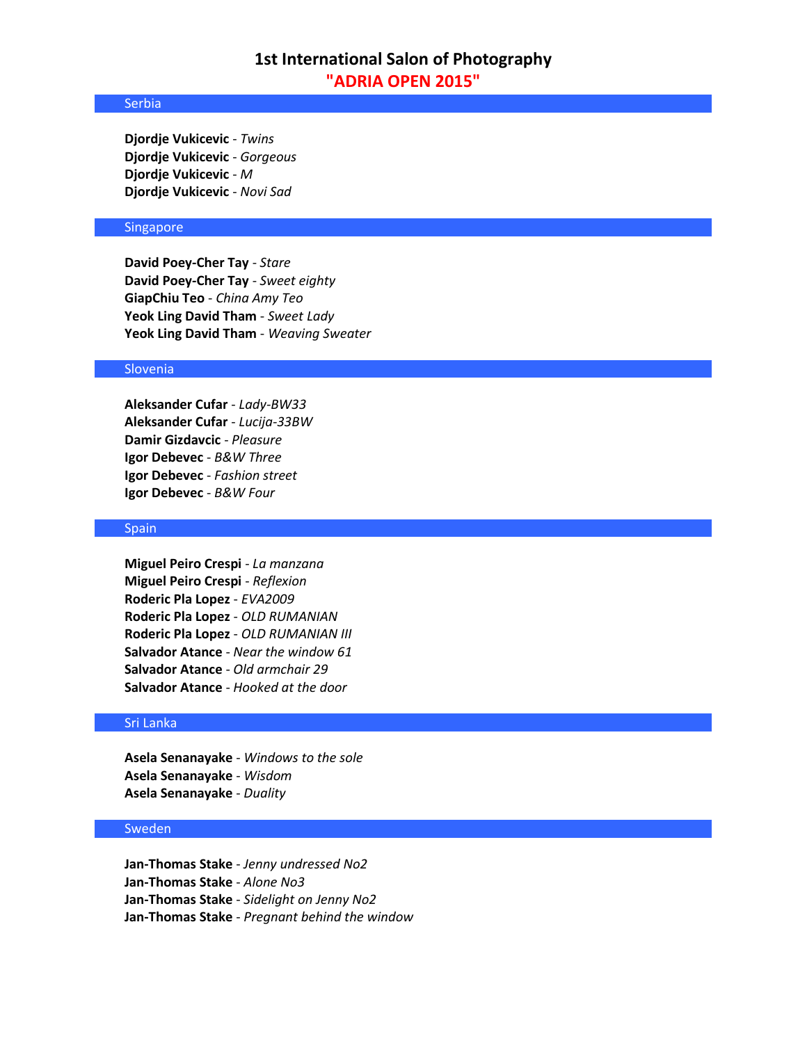### Serbia

**Djordje Vukicevic** - *Twins* **Djordje Vukicevic** - *Gorgeous* **Djordje Vukicevic** - *M* **Djordje Vukicevic** - *Novi Sad*

## Singapore

**David Poey-Cher Tay** - *Stare* **David Poey-Cher Tay** - *Sweet eighty* **GiapChiu Teo** - *China Amy Teo* **Yeok Ling David Tham** - *Sweet Lady* **Yeok Ling David Tham** - *Weaving Sweater*

## Slovenia

**Aleksander Cufar** - *Lady-BW33* **Aleksander Cufar** - *Lucija-33BW* **Damir Gizdavcic** - *Pleasure* **Igor Debevec** - *B&W Three* **Igor Debevec** - *Fashion street* **Igor Debevec** - *B&W Four*

### Spain

**Miguel Peiro Crespi** - *La manzana* **Miguel Peiro Crespi** - *Reflexion* **Roderic Pla Lopez** - *EVA2009* **Roderic Pla Lopez** - *OLD RUMANIAN* **Roderic Pla Lopez** - *OLD RUMANIAN III* **Salvador Atance** - *Near the window 61* **Salvador Atance** - *Old armchair 29* **Salvador Atance** - *Hooked at the door*

### Sri Lanka

**Asela Senanayake** - *Windows to the sole* **Asela Senanayake** - *Wisdom* **Asela Senanayake** - *Duality*

## Sweden

**Jan-Thomas Stake** - *Jenny undressed No2* **Jan-Thomas Stake** - *Alone No3* **Jan-Thomas Stake** - *Sidelight on Jenny No2* **Jan-Thomas Stake** - *Pregnant behind the window*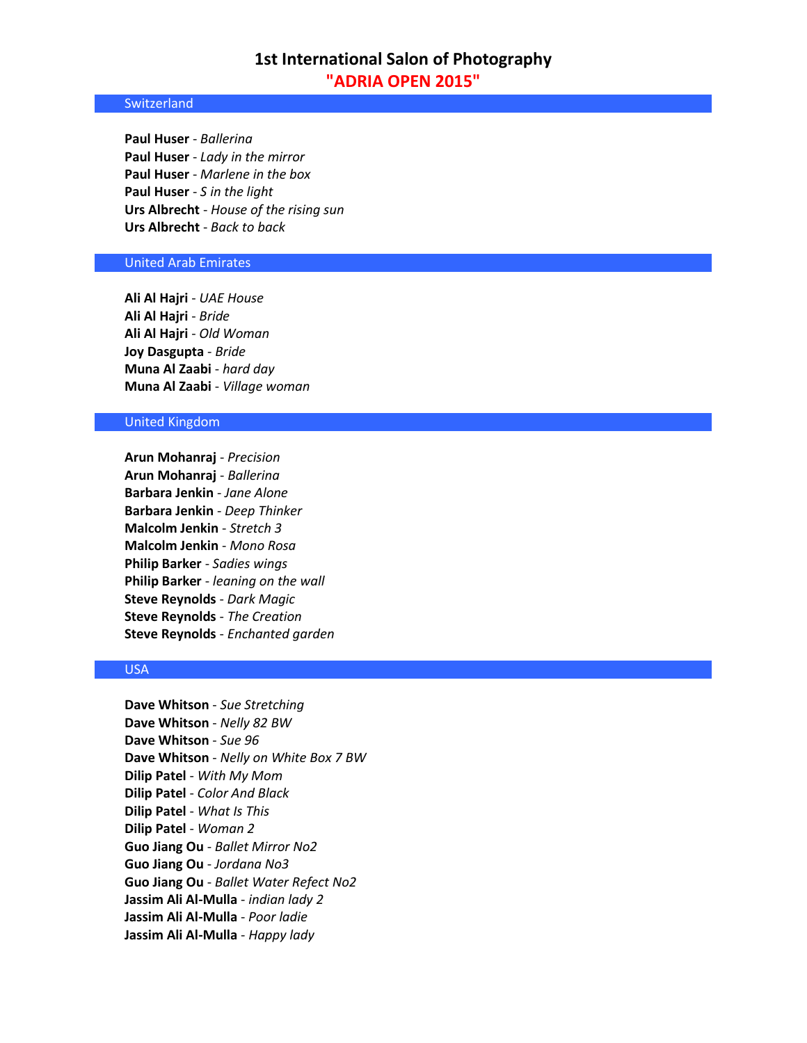### **Switzerland**

**Paul Huser** - *Ballerina* **Paul Huser** - *Lady in the mirror* **Paul Huser** - *Marlene in the box* **Paul Huser** - *S in the light* **Urs Albrecht** - *House of the rising sun* **Urs Albrecht** - *Back to back*

## United Arab Emirates

**Ali Al Hajri** - *UAE House* **Ali Al Hajri** - *Bride* **Ali Al Hajri** - *Old Woman* **Joy Dasgupta** - *Bride* **Muna Al Zaabi** - *hard day* **Muna Al Zaabi** - *Village woman*

## United Kingdom

**Arun Mohanraj** - *Precision* **Arun Mohanraj** - *Ballerina* **Barbara Jenkin** - *Jane Alone* **Barbara Jenkin** - *Deep Thinker* **Malcolm Jenkin** - *Stretch 3* **Malcolm Jenkin** - *Mono Rosa* **Philip Barker** - *Sadies wings* **Philip Barker** - *leaning on the wall* **Steve Reynolds** - *Dark Magic* **Steve Reynolds** - *The Creation* **Steve Reynolds** - *Enchanted garden*

## USA

**Dave Whitson** - *Sue Stretching* **Dave Whitson** - *Nelly 82 BW* **Dave Whitson** - *Sue 96* **Dave Whitson** - *Nelly on White Box 7 BW* **Dilip Patel** - *With My Mom* **Dilip Patel** - *Color And Black* **Dilip Patel** - *What Is This* **Dilip Patel** - *Woman 2* **Guo Jiang Ou** - *Ballet Mirror No2* **Guo Jiang Ou** - *Jordana No3* **Guo Jiang Ou** - *Ballet Water Refect No2* **Jassim Ali Al-Mulla** - *indian lady 2* **Jassim Ali Al-Mulla** - *Poor ladie* **Jassim Ali Al-Mulla** - *Happy lady*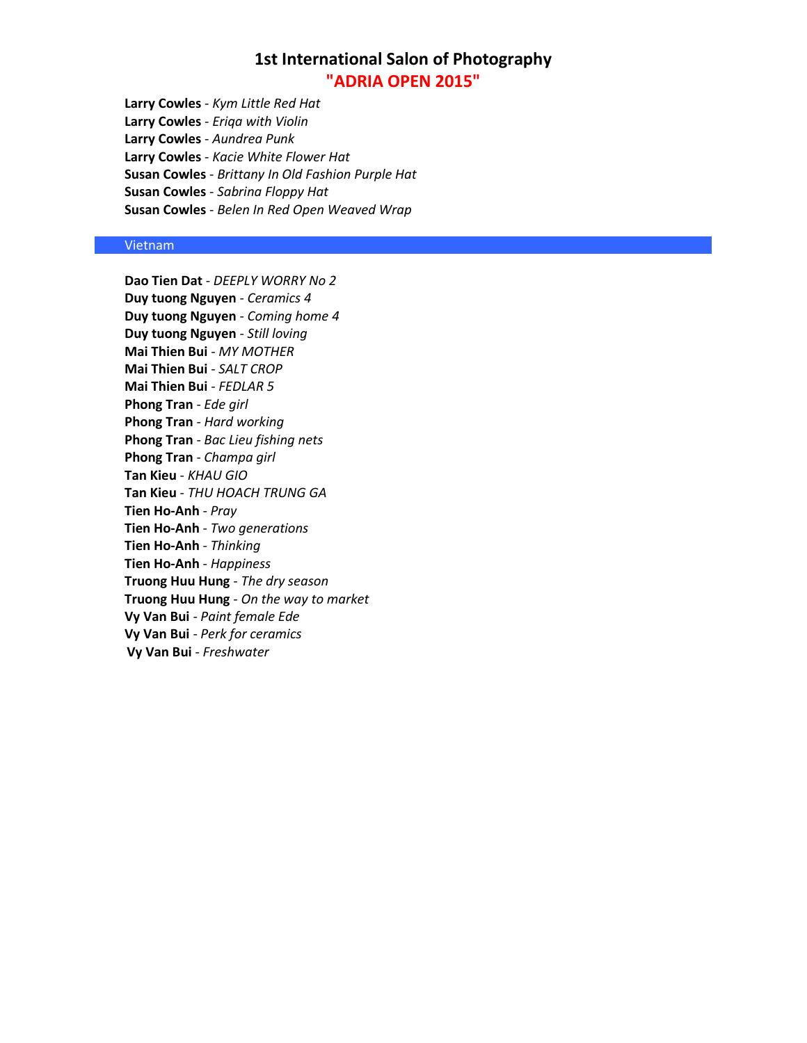**Larry Cowles** - *Kym Little Red Hat* **Larry Cowles** - *Eriqa with Violin* **Larry Cowles** - *Aundrea Punk* **Larry Cowles** - *Kacie White Flower Hat* **Susan Cowles** - *Brittany In Old Fashion Purple Hat* **Susan Cowles** - *Sabrina Floppy Hat* **Susan Cowles** - *Belen In Red Open Weaved Wrap*

### Vietnam

**Dao Tien Dat** - *DEEPLY WORRY No 2* **Duy tuong Nguyen** - *Ceramics 4* **Duy tuong Nguyen** - *Coming home 4* **Duy tuong Nguyen** - *Still loving* **Mai Thien Bui** - *MY MOTHER* **Mai Thien Bui** - *SALT CROP* **Mai Thien Bui** - *FEDLAR 5* **Phong Tran** - *Ede girl* **Phong Tran** - *Hard working* **Phong Tran** - *Bac Lieu fishing nets* **Phong Tran** - *Champa girl* **Tan Kieu** - *KHAU GIO* **Tan Kieu** - *THU HOACH TRUNG GA* **Tien Ho-Anh** - *Pray* **Tien Ho-Anh** - *Two generations* **Tien Ho-Anh** - *Thinking* **Tien Ho-Anh** - *Happiness* **Truong Huu Hung** - *The dry season* **Truong Huu Hung** - *On the way to market* **Vy Van Bui** - *Paint female Ede* **Vy Van Bui** - *Perk for ceramics* **Vy Van Bui** - *Freshwater*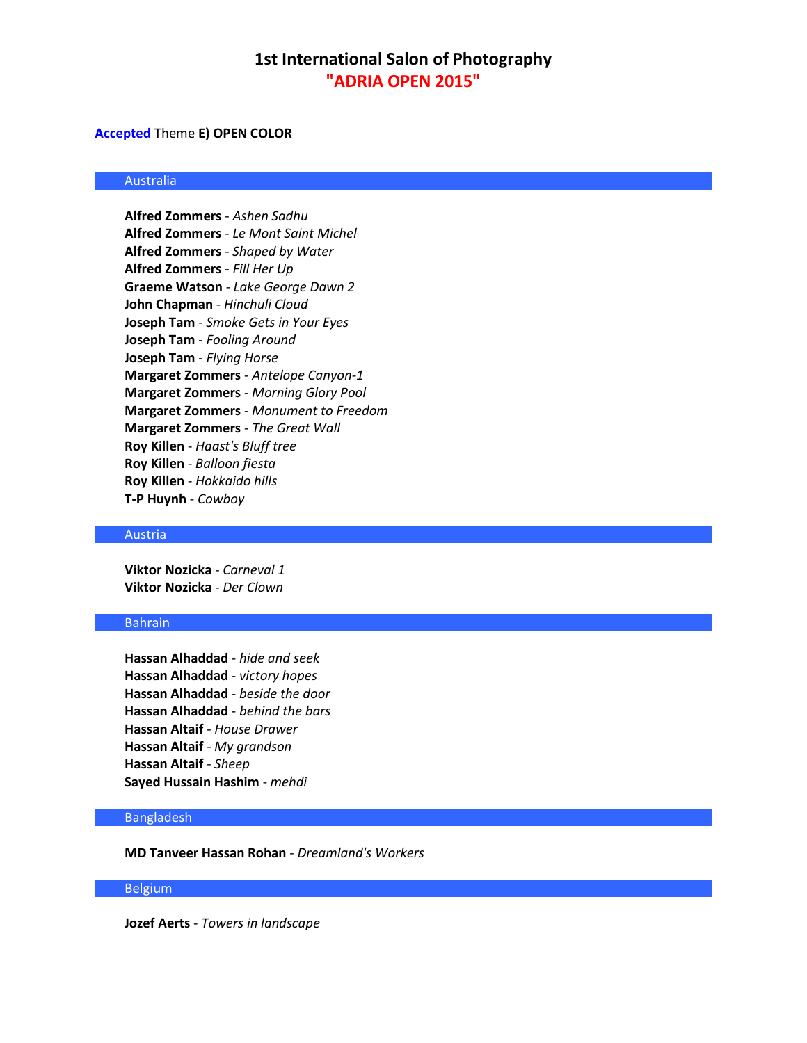### **Accepted** Theme **E) OPEN COLOR**

### Australia

**Alfred Zommers** - *Ashen Sadhu* **Alfred Zommers** - *Le Mont Saint Michel* **Alfred Zommers** - *Shaped by Water* **Alfred Zommers** - *Fill Her Up* **Graeme Watson** - *Lake George Dawn 2* **John Chapman** - *Hinchuli Cloud* **Joseph Tam** - *Smoke Gets in Your Eyes* **Joseph Tam** - *Fooling Around* **Joseph Tam** - *Flying Horse* **Margaret Zommers** - *Antelope Canyon-1* **Margaret Zommers** - *Morning Glory Pool* **Margaret Zommers** - *Monument to Freedom* **Margaret Zommers** - *The Great Wall* **Roy Killen** - *Haast's Bluff tree* **Roy Killen** - *Balloon fiesta* **Roy Killen** - *Hokkaido hills* **T-P Huynh** - *Cowboy*

### Austria

**Viktor Nozicka** - *Carneval 1* **Viktor Nozicka** - *Der Clown*

## Bahrain

**Hassan Alhaddad** - *hide and seek* **Hassan Alhaddad** - *victory hopes* **Hassan Alhaddad** - *beside the door* **Hassan Alhaddad** - *behind the bars* **Hassan Altaif** - *House Drawer* **Hassan Altaif** - *My grandson* **Hassan Altaif** - *Sheep* **Sayed Hussain Hashim** - *mehdi*

### Bangladesh

**MD Tanveer Hassan Rohan** - *Dreamland's Workers*

### Belgium

**Jozef Aerts** - *Towers in landscape*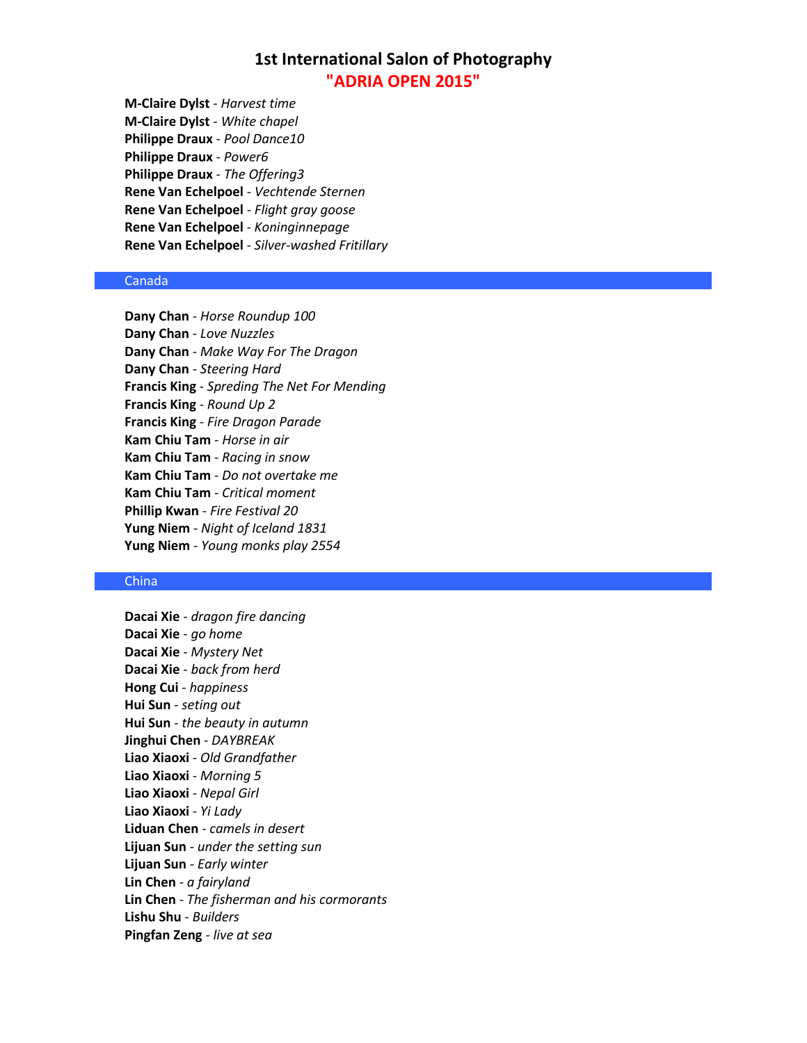**M-Claire Dylst** - *Harvest time* **M-Claire Dylst** - *White chapel* **Philippe Draux** - *Pool Dance10* **Philippe Draux** - *Power6* **Philippe Draux** - *The Offering3* **Rene Van Echelpoel** - *Vechtende Sternen* **Rene Van Echelpoel** - *Flight gray goose* **Rene Van Echelpoel** - *Koninginnepage* **Rene Van Echelpoel** - *Silver-washed Fritillary*

### Canada

**Dany Chan** - *Horse Roundup 100* **Dany Chan** - *Love Nuzzles* **Dany Chan** - *Make Way For The Dragon* **Dany Chan** - *Steering Hard* **Francis King** - *Spreding The Net For Mending* **Francis King** - *Round Up 2* **Francis King** - *Fire Dragon Parade* **Kam Chiu Tam** - *Horse in air* **Kam Chiu Tam** - *Racing in snow* **Kam Chiu Tam** - *Do not overtake me* **Kam Chiu Tam** - *Critical moment* **Phillip Kwan** - *Fire Festival 20* **Yung Niem** - *Night of Iceland 1831* **Yung Niem** - *Young monks play 2554*

### **China**

**Dacai Xie** - *dragon fire dancing* **Dacai Xie** - *go home* **Dacai Xie** - *Mystery Net* **Dacai Xie** - *back from herd* **Hong Cui** - *happiness* **Hui Sun** - *seting out* **Hui Sun** - *the beauty in autumn* **Jinghui Chen** - *DAYBREAK* **Liao Xiaoxi** - *Old Grandfather* **Liao Xiaoxi** - *Morning 5* **Liao Xiaoxi** - *Nepal Girl* **Liao Xiaoxi** - *Yi Lady* **Liduan Chen** - *camels in desert* **Lijuan Sun** - *under the setting sun* **Lijuan Sun** - *Early winter* **Lin Chen** - *a fairyland* **Lin Chen** - *The fisherman and his cormorants* **Lishu Shu** - *Builders* **Pingfan Zeng** - *live at sea*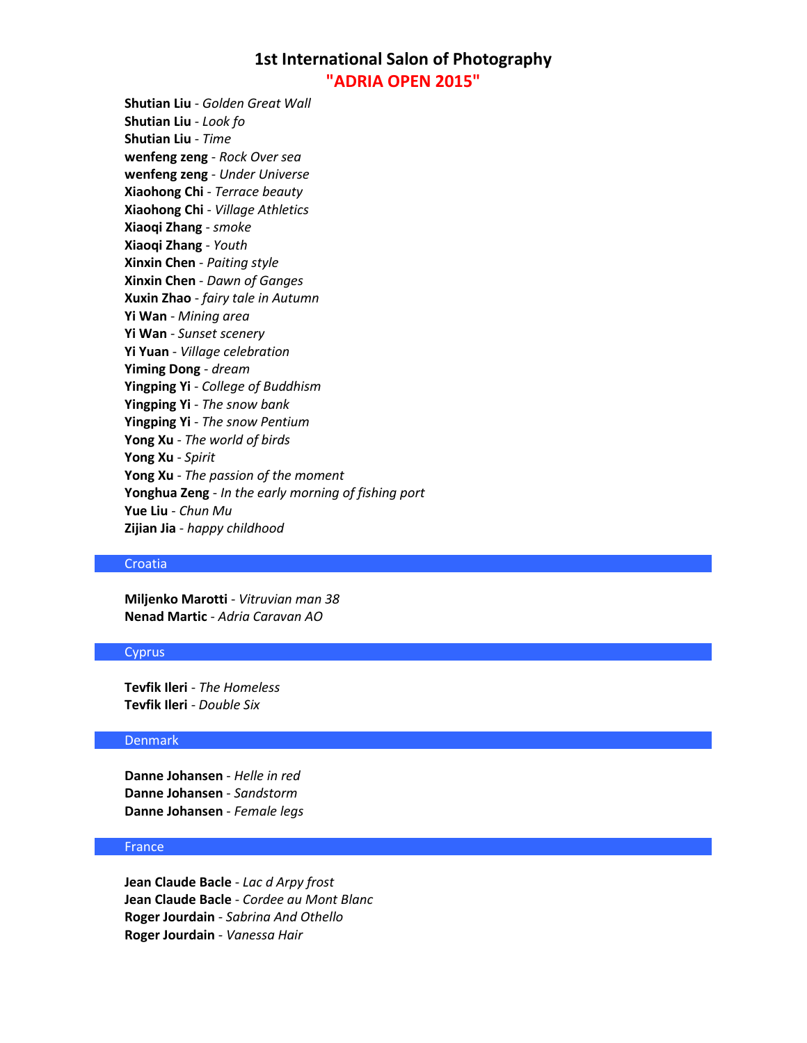**Shutian Liu** - *Golden Great Wall* **Shutian Liu** - *Look fo* **Shutian Liu** - *Time* **wenfeng zeng** - *Rock Over sea* **wenfeng zeng** - *Under Universe* **Xiaohong Chi** - *Terrace beauty* **Xiaohong Chi** - *Village Athletics* **Xiaoqi Zhang** - *smoke* **Xiaoqi Zhang** - *Youth* **Xinxin Chen** - *Paiting style* **Xinxin Chen** - *Dawn of Ganges* **Xuxin Zhao** - *fairy tale in Autumn* **Yi Wan** - *Mining area* **Yi Wan** - *Sunset scenery* **Yi Yuan** - *Village celebration* **Yiming Dong** - *dream* **Yingping Yi** - *College of Buddhism* **Yingping Yi** - *The snow bank* **Yingping Yi** - *The snow Pentium* **Yong Xu** - *The world of birds* **Yong Xu** - *Spirit* **Yong Xu** - *The passion of the moment* **Yonghua Zeng** - *In the early morning of fishing port* **Yue Liu** - *Chun Mu* **Zijian Jia** - *happy childhood*

#### Croatia

**Miljenko Marotti** - *Vitruvian man 38* **Nenad Martic** - *Adria Caravan AO*

### Cyprus

**Tevfik Ileri** - *The Homeless* **Tevfik Ileri** - *Double Six*

### Denmark

**Danne Johansen** - *Helle in red* **Danne Johansen** - *Sandstorm* **Danne Johansen** - *Female legs*

## France

**Jean Claude Bacle** - *Lac d Arpy frost* **Jean Claude Bacle** - *Cordee au Mont Blanc* **Roger Jourdain** - *Sabrina And Othello* **Roger Jourdain** - *Vanessa Hair*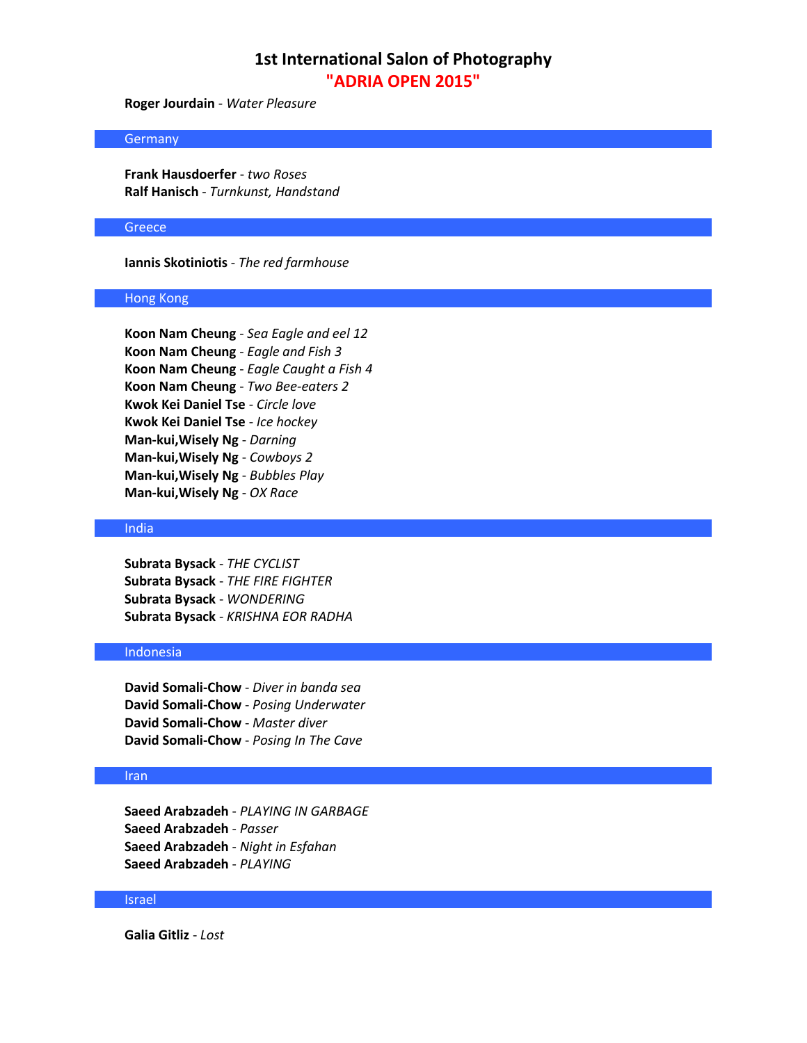**Roger Jourdain** - *Water Pleasure*

### **Germany**

**Frank Hausdoerfer** - *two Roses* **Ralf Hanisch** - *Turnkunst, Handstand*

### **Greece**

**Iannis Skotiniotis** - *The red farmhouse*

### Hong Kong

**Koon Nam Cheung** - *Sea Eagle and eel 12* **Koon Nam Cheung** - *Eagle and Fish 3* **Koon Nam Cheung** - *Eagle Caught a Fish 4* **Koon Nam Cheung** - *Two Bee-eaters 2* **Kwok Kei Daniel Tse** - *Circle love* **Kwok Kei Daniel Tse** - *Ice hockey* **Man-kui,Wisely Ng** - *Darning* **Man-kui,Wisely Ng** - *Cowboys 2* **Man-kui,Wisely Ng** - *Bubbles Play* **Man-kui,Wisely Ng** - *OX Race*

### India

**Subrata Bysack** - *THE CYCLIST* **Subrata Bysack** - *THE FIRE FIGHTER* **Subrata Bysack** - *WONDERING* **Subrata Bysack** - *KRISHNA EOR RADHA*

## Indonesia

**David Somali-Chow** - *Diver in banda sea* **David Somali-Chow** - *Posing Underwater* **David Somali-Chow** - *Master diver* **David Somali-Chow** - *Posing In The Cave*

## Iran

**Saeed Arabzadeh** - *PLAYING IN GARBAGE* **Saeed Arabzadeh** - *Passer* **Saeed Arabzadeh** - *Night in Esfahan* **Saeed Arabzadeh** - *PLAYING*

#### Israel

**Galia Gitliz** - *Lost*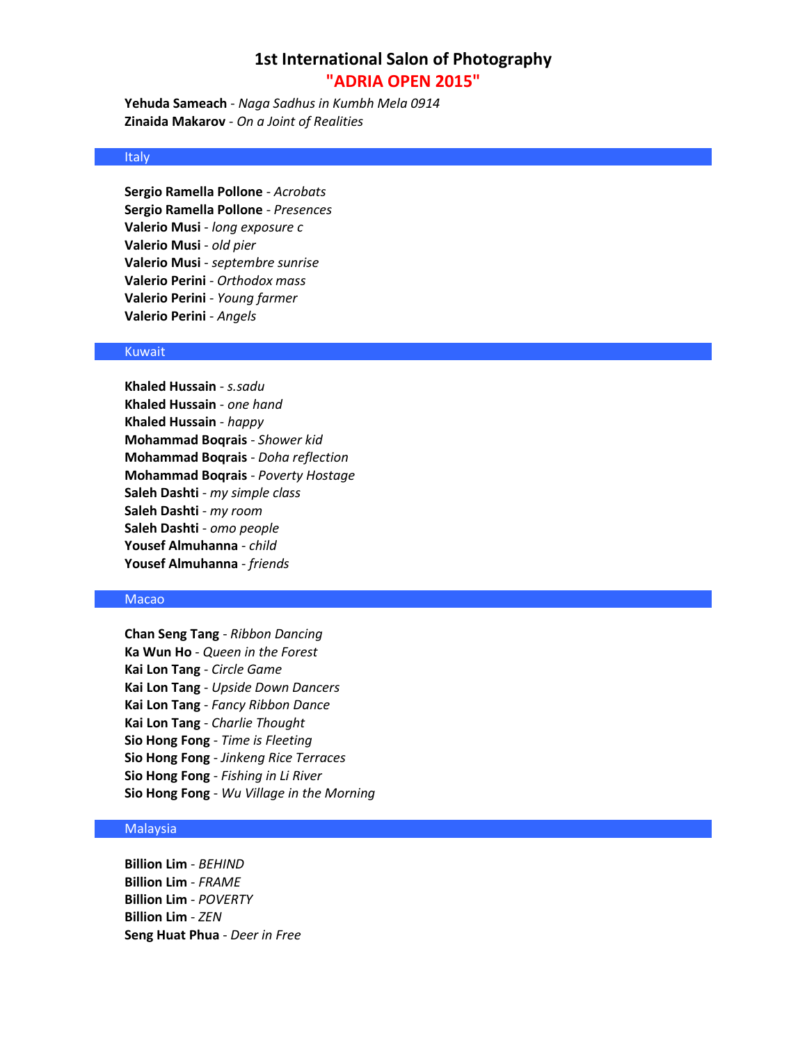**Yehuda Sameach** - *Naga Sadhus in Kumbh Mela 0914* **Zinaida Makarov** - *On a Joint of Realities*

## Italy

**Sergio Ramella Pollone** - *Acrobats* **Sergio Ramella Pollone** - *Presences* **Valerio Musi** - *long exposure c* **Valerio Musi** - *old pier* **Valerio Musi** - *septembre sunrise* **Valerio Perini** - *Orthodox mass* **Valerio Perini** - *Young farmer* **Valerio Perini** - *Angels*

### Kuwait

**Khaled Hussain** - *s.sadu* **Khaled Hussain** - *one hand* **Khaled Hussain** - *happy* **Mohammad Boqrais** - *Shower kid* **Mohammad Boqrais** - *Doha reflection* **Mohammad Boqrais** - *Poverty Hostage* **Saleh Dashti** - *my simple class* **Saleh Dashti** - *my room* **Saleh Dashti** - *omo people* **Yousef Almuhanna** - *child* **Yousef Almuhanna** - *friends*

## Macao

**Chan Seng Tang** - *Ribbon Dancing* **Ka Wun Ho** - *Queen in the Forest* **Kai Lon Tang** - *Circle Game* **Kai Lon Tang** - *Upside Down Dancers* **Kai Lon Tang** - *Fancy Ribbon Dance* **Kai Lon Tang** - *Charlie Thought* **Sio Hong Fong** - *Time is Fleeting* **Sio Hong Fong** - *Jinkeng Rice Terraces* **Sio Hong Fong** - *Fishing in Li River* **Sio Hong Fong** - *Wu Village in the Morning*

## **Malaysia**

**Billion Lim** - *BEHIND* **Billion Lim** - *FRAME* **Billion Lim** - *POVERTY* **Billion Lim** - *ZEN* **Seng Huat Phua** - *Deer in Free*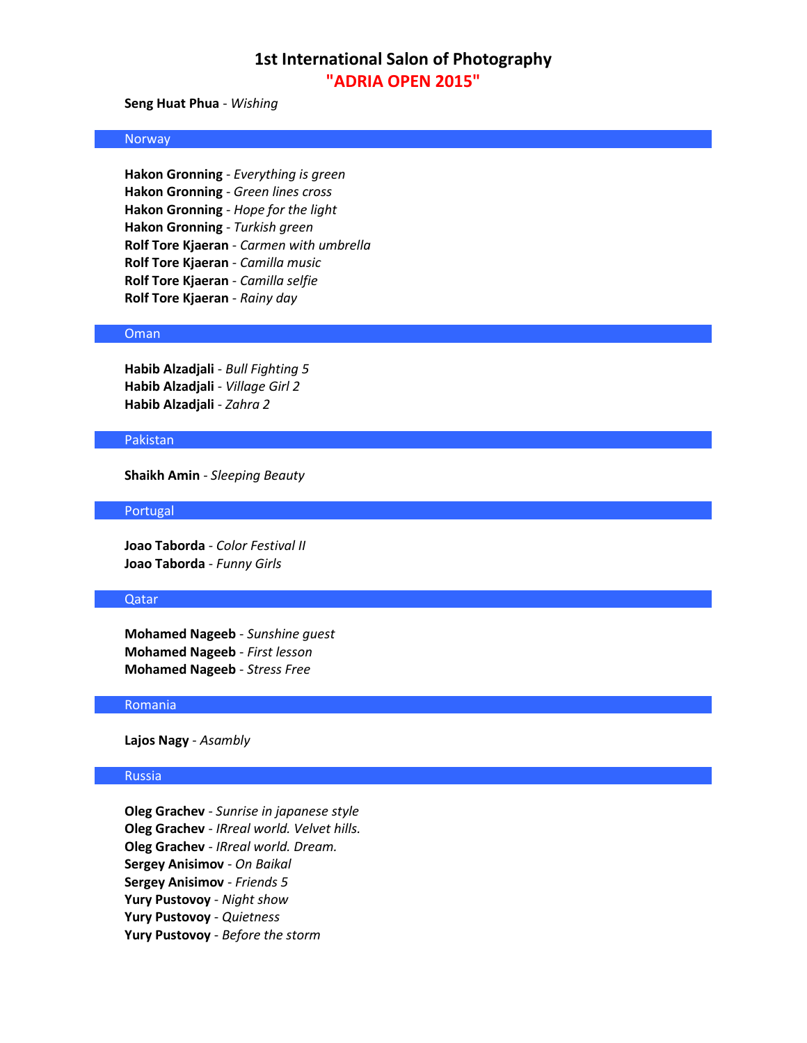**Seng Huat Phua** - *Wishing*

### Norway

**Hakon Gronning** - *Everything is green* **Hakon Gronning** - *Green lines cross* **Hakon Gronning** - *Hope for the light* **Hakon Gronning** - *Turkish green* **Rolf Tore Kjaeran** - *Carmen with umbrella* **Rolf Tore Kjaeran** - *Camilla music* **Rolf Tore Kjaeran** - *Camilla selfie* **Rolf Tore Kjaeran** - *Rainy day*

#### Oman

**Habib Alzadjali** - *Bull Fighting 5* **Habib Alzadjali** - *Village Girl 2* **Habib Alzadjali** - *Zahra 2*

#### Pakistan

**Shaikh Amin** - *Sleeping Beauty*

#### Portugal

**Joao Taborda** - *Color Festival II* **Joao Taborda** - *Funny Girls*

## Qatar

**Mohamed Nageeb** - *Sunshine guest* **Mohamed Nageeb** - *First lesson* **Mohamed Nageeb** - *Stress Free*

#### Romania

**Lajos Nagy** - *Asambly*

### Russia

**Oleg Grachev** - *Sunrise in japanese style* **Oleg Grachev** - *IRreal world. Velvet hills.* **Oleg Grachev** - *IRreal world. Dream.* **Sergey Anisimov** - *On Baikal* **Sergey Anisimov** - *Friends 5* **Yury Pustovoy** - *Night show* **Yury Pustovoy** - *Quietness* **Yury Pustovoy** - *Before the storm*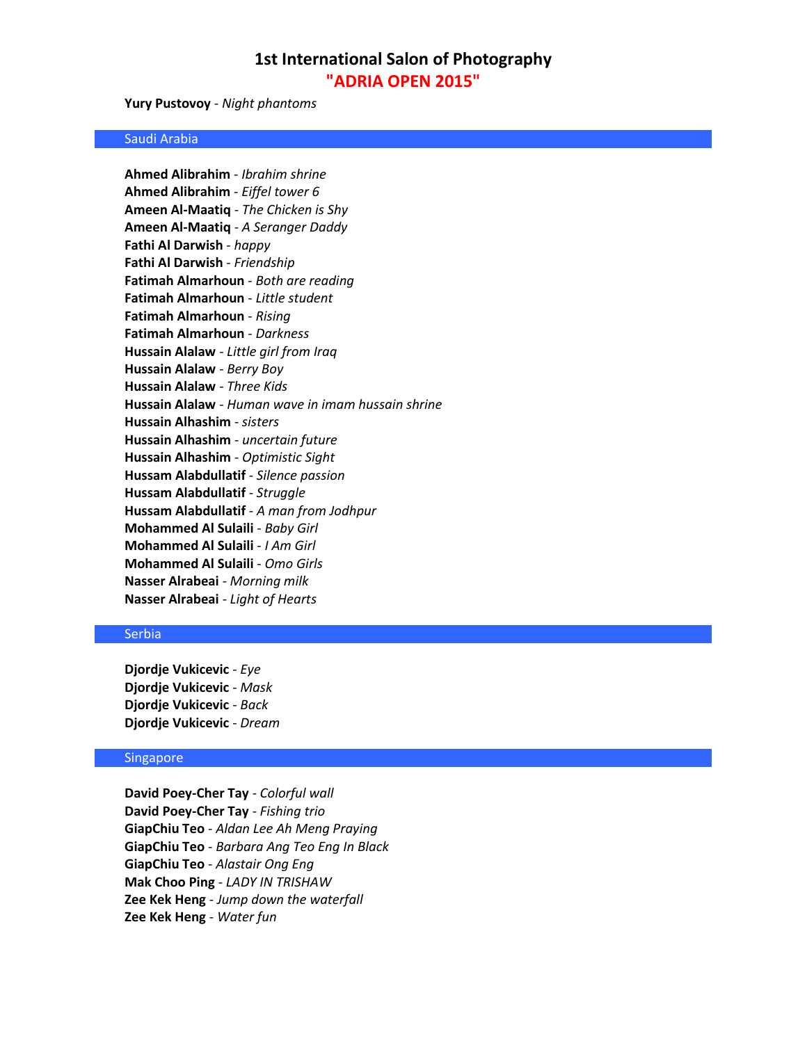**Yury Pustovoy** - *Night phantoms*

### Saudi Arabia

**Ahmed Alibrahim** - *Ibrahim shrine* **Ahmed Alibrahim** - *Eiffel tower 6* **Ameen Al-Maatiq** - *The Chicken is Shy* **Ameen Al-Maatiq** - *A Seranger Daddy* **Fathi Al Darwish** - *happy* **Fathi Al Darwish** - *Friendship* **Fatimah Almarhoun** - *Both are reading* **Fatimah Almarhoun** - *Little student* **Fatimah Almarhoun** - *Rising* **Fatimah Almarhoun** - *Darkness* **Hussain Alalaw** - *Little girl from Iraq* **Hussain Alalaw** - *Berry Boy* **Hussain Alalaw** - *Three Kids* **Hussain Alalaw** - *Human wave in imam hussain shrine* **Hussain Alhashim** - *sisters* **Hussain Alhashim** - *uncertain future* **Hussain Alhashim** - *Optimistic Sight* **Hussam Alabdullatif** - *Silence passion* **Hussam Alabdullatif** - *Struggle* **Hussam Alabdullatif** - *A man from Jodhpur* **Mohammed Al Sulaili** - *Baby Girl* **Mohammed Al Sulaili** - *I Am Girl* **Mohammed Al Sulaili** - *Omo Girls* **Nasser Alrabeai** - *Morning milk* **Nasser Alrabeai** - *Light of Hearts* 

### Serbia

**Djordje Vukicevic** - *Eye* **Djordje Vukicevic** - *Mask* **Djordje Vukicevic** - *Back* **Djordje Vukicevic** - *Dream*

#### Singapore

**David Poey-Cher Tay** - *Colorful wall* **David Poey-Cher Tay** - *Fishing trio* **GiapChiu Teo** - *Aldan Lee Ah Meng Praying* **GiapChiu Teo** - *Barbara Ang Teo Eng In Black* **GiapChiu Teo** - *Alastair Ong Eng* **Mak Choo Ping** - *LADY IN TRISHAW* **Zee Kek Heng** - *Jump down the waterfall* **Zee Kek Heng** - *Water fun*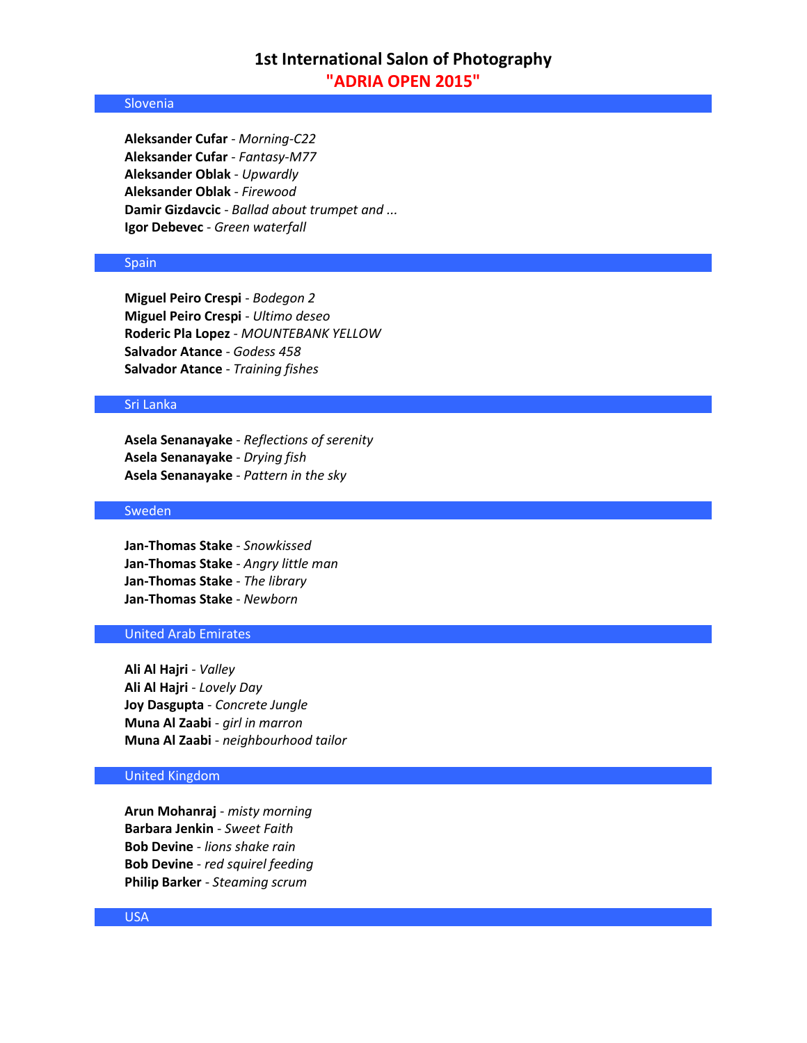### **Slovenia**

**Aleksander Cufar** - *Morning-C22* **Aleksander Cufar** - *Fantasy-M77* **Aleksander Oblak** - *Upwardly* **Aleksander Oblak** - *Firewood* **Damir Gizdavcic** - *Ballad about trumpet and ...* **Igor Debevec** - *Green waterfall*

### **Spain**

**Miguel Peiro Crespi** - *Bodegon 2* **Miguel Peiro Crespi** - *Ultimo deseo* **Roderic Pla Lopez** - *MOUNTEBANK YELLOW* **Salvador Atance** - *Godess 458* **Salvador Atance** - *Training fishes*

### Sri Lanka

**Asela Senanayake** - *Reflections of serenity* **Asela Senanayake** - *Drying fish* **Asela Senanayake** - *Pattern in the sky*

## Sweden

**Jan-Thomas Stake** - *Snowkissed* **Jan-Thomas Stake** - *Angry little man* **Jan-Thomas Stake** - *The library* **Jan-Thomas Stake** - *Newborn*

## United Arab Emirates

**Ali Al Hajri** - *Valley* **Ali Al Hajri** - *Lovely Day* **Joy Dasgupta** - *Concrete Jungle* **Muna Al Zaabi** - *girl in marron* **Muna Al Zaabi** - *neighbourhood tailor*

## United Kingdom

**Arun Mohanraj** - *misty morning* **Barbara Jenkin** - *Sweet Faith* **Bob Devine** - *lions shake rain* **Bob Devine** - *red squirel feeding* **Philip Barker** - *Steaming scrum*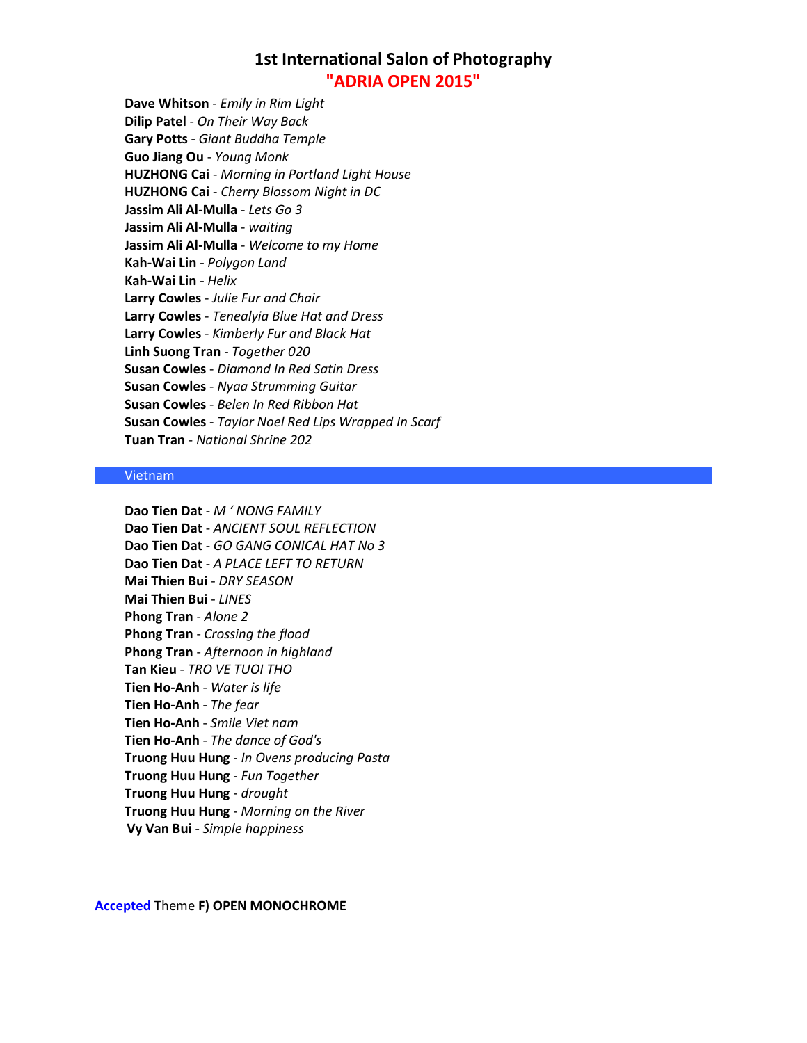**Dave Whitson** - *Emily in Rim Light* **Dilip Patel** - *On Their Way Back* **Gary Potts** - *Giant Buddha Temple* **Guo Jiang Ou** - *Young Monk* **HUZHONG Cai** - *Morning in Portland Light House* **HUZHONG Cai** - *Cherry Blossom Night in DC* **Jassim Ali Al-Mulla** - *Lets Go 3* **Jassim Ali Al-Mulla** - *waiting* **Jassim Ali Al-Mulla** - *Welcome to my Home* **Kah-Wai Lin** - *Polygon Land* **Kah-Wai Lin** - *Helix* **Larry Cowles** - *Julie Fur and Chair* **Larry Cowles** - *Tenealyia Blue Hat and Dress* **Larry Cowles** - *Kimberly Fur and Black Hat* **Linh Suong Tran** - *Together 020* **Susan Cowles** - *Diamond In Red Satin Dress* **Susan Cowles** - *Nyaa Strumming Guitar* **Susan Cowles** - *Belen In Red Ribbon Hat* **Susan Cowles** - *Taylor Noel Red Lips Wrapped In Scarf* **Tuan Tran** - *National Shrine 202*

#### Vietnam

**Dao Tien Dat** - *M ' NONG FAMILY* **Dao Tien Dat** - *ANCIENT SOUL REFLECTION* **Dao Tien Dat** - *GO GANG CONICAL HAT No 3* **Dao Tien Dat** - *A PLACE LEFT TO RETURN* **Mai Thien Bui** - *DRY SEASON* **Mai Thien Bui** - *LINES* **Phong Tran** - *Alone 2* **Phong Tran** - *Crossing the flood* **Phong Tran** - *Afternoon in highland* **Tan Kieu** - *TRO VE TUOI THO* **Tien Ho-Anh** - *Water is life* **Tien Ho-Anh** - *The fear* **Tien Ho-Anh** - *Smile Viet nam* **Tien Ho-Anh** - *The dance of God's* **Truong Huu Hung** - *In Ovens producing Pasta* **Truong Huu Hung** - *Fun Together* **Truong Huu Hung** - *drought* **Truong Huu Hung** - *Morning on the River* **Vy Van Bui** - *Simple happiness*

## **Accepted** Theme **F) OPEN MONOCHROME**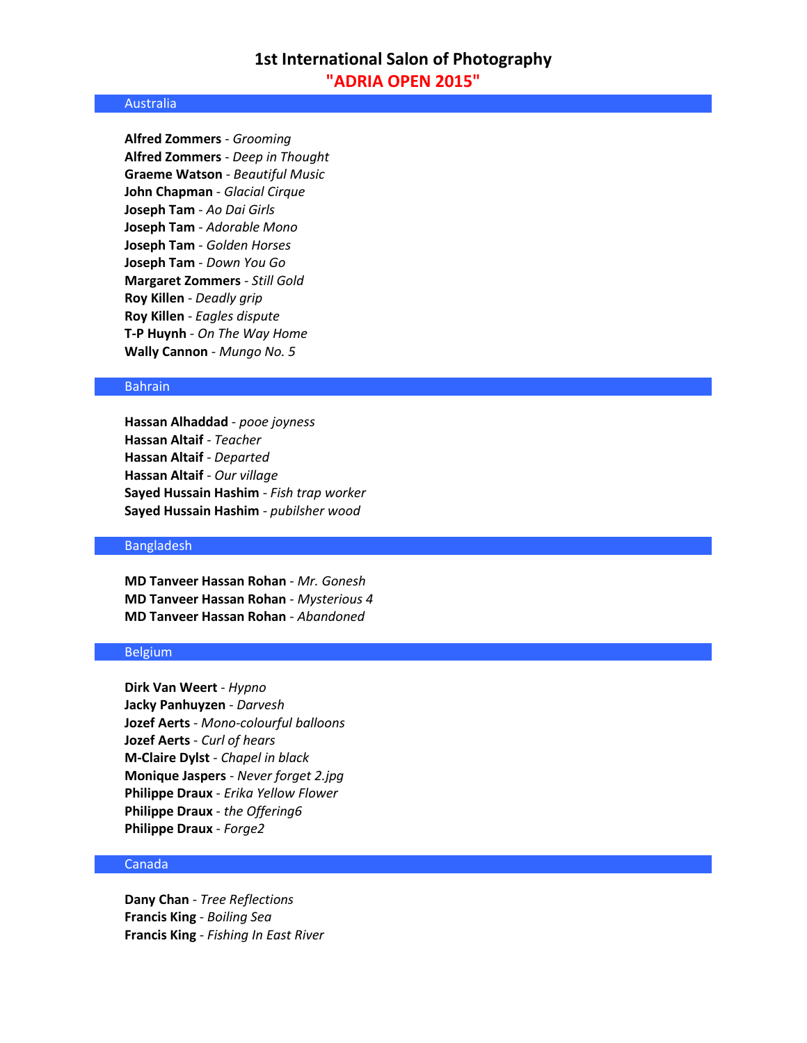### Australia

**Alfred Zommers** - *Grooming* **Alfred Zommers** - *Deep in Thought* **Graeme Watson** - *Beautiful Music* **John Chapman** - *Glacial Cirque* **Joseph Tam** - *Ao Dai Girls* **Joseph Tam** - *Adorable Mono* **Joseph Tam** - *Golden Horses* **Joseph Tam** - *Down You Go* **Margaret Zommers** - *Still Gold* **Roy Killen** - *Deadly grip* **Roy Killen** - *Eagles dispute* **T-P Huynh** - *On The Way Home* **Wally Cannon** - *Mungo No. 5*

### Bahrain

**Hassan Alhaddad** - *pooe joyness* **Hassan Altaif** - *Teacher* **Hassan Altaif** - *Departed* **Hassan Altaif** - *Our village* **Sayed Hussain Hashim** - *Fish trap worker* **Sayed Hussain Hashim** - *pubilsher wood*

### Bangladesh

**MD Tanveer Hassan Rohan** - *Mr. Gonesh* **MD Tanveer Hassan Rohan** - *Mysterious 4* **MD Tanveer Hassan Rohan** - *Abandoned*

## Belgium

**Dirk Van Weert** - *Hypno* **Jacky Panhuyzen** - *Darvesh* **Jozef Aerts** - *Mono-colourful balloons* **Jozef Aerts** - *Curl of hears* **M-Claire Dylst** - *Chapel in black* **Monique Jaspers** - *Never forget 2.jpg* **Philippe Draux** - *Erika Yellow Flower* **Philippe Draux** - *the Offering6* **Philippe Draux** - *Forge2*

### Canada

**Dany Chan** - *Tree Reflections* **Francis King** - *Boiling Sea* **Francis King** - *Fishing In East River*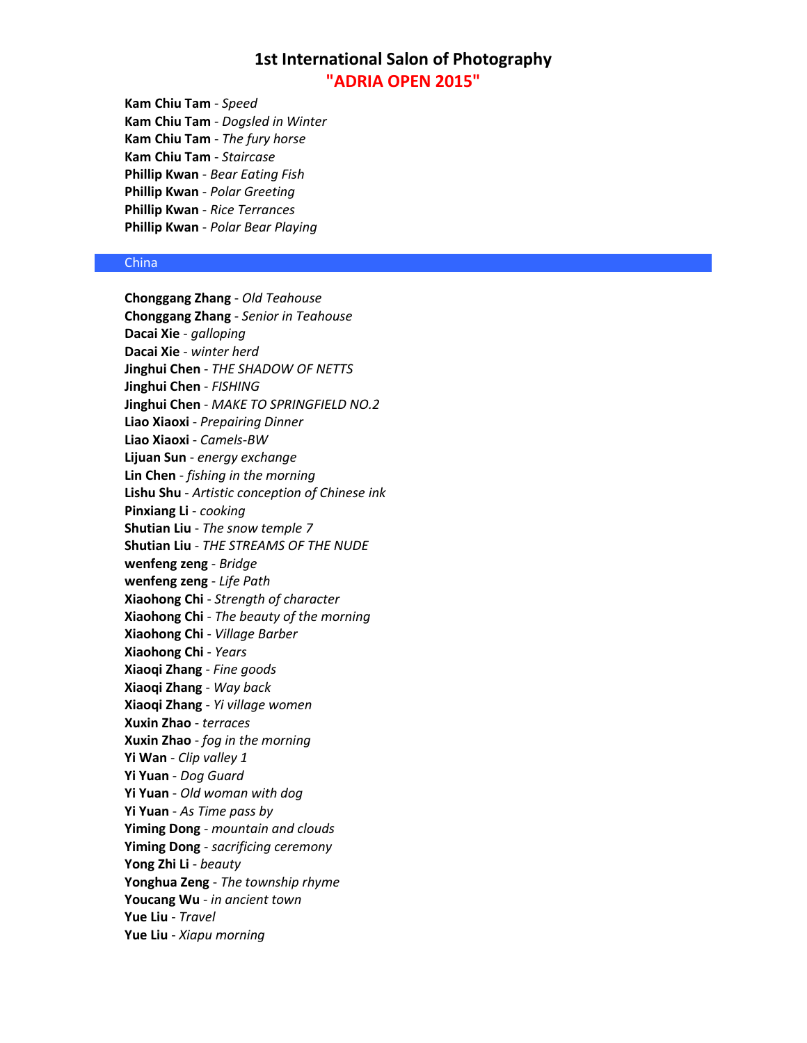**Kam Chiu Tam** - *Speed* **Kam Chiu Tam** - *Dogsled in Winter* **Kam Chiu Tam** - *The fury horse* **Kam Chiu Tam** - *Staircase* **Phillip Kwan** - *Bear Eating Fish* **Phillip Kwan** - *Polar Greeting* **Phillip Kwan** - *Rice Terrances* **Phillip Kwan** - *Polar Bear Playing*

## China

**Chonggang Zhang** - *Old Teahouse* **Chonggang Zhang** - *Senior in Teahouse* **Dacai Xie** - *galloping* **Dacai Xie** - *winter herd* **Jinghui Chen** - *THE SHADOW OF NETTS* **Jinghui Chen** - *FISHING* **Jinghui Chen** - *MAKE TO SPRINGFIELD NO.2* **Liao Xiaoxi** - *Prepairing Dinner* **Liao Xiaoxi** - *Camels-BW* **Lijuan Sun** - *energy exchange* **Lin Chen** - *fishing in the morning* **Lishu Shu** - *Artistic conception of Chinese ink* **Pinxiang Li** - *cooking* **Shutian Liu** - *The snow temple 7* **Shutian Liu** - *THE STREAMS OF THE NUDE* **wenfeng zeng** - *Bridge* **wenfeng zeng** - *Life Path* **Xiaohong Chi** - *Strength of character* **Xiaohong Chi** - *The beauty of the morning* **Xiaohong Chi** - *Village Barber* **Xiaohong Chi** - *Years* **Xiaoqi Zhang** - *Fine goods* **Xiaoqi Zhang** - *Way back* **Xiaoqi Zhang** - *Yi village women* **Xuxin Zhao** - *terraces* **Xuxin Zhao** - *fog in the morning* **Yi Wan** - *Clip valley 1* **Yi Yuan** - *Dog Guard* **Yi Yuan** - *Old woman with dog* **Yi Yuan** - *As Time pass by* **Yiming Dong** - *mountain and clouds* **Yiming Dong** - *sacrificing ceremony* **Yong Zhi Li** - *beauty* **Yonghua Zeng** - *The township rhyme* **Youcang Wu** - *in ancient town* **Yue Liu** - *Travel* **Yue Liu** - *Xiapu morning*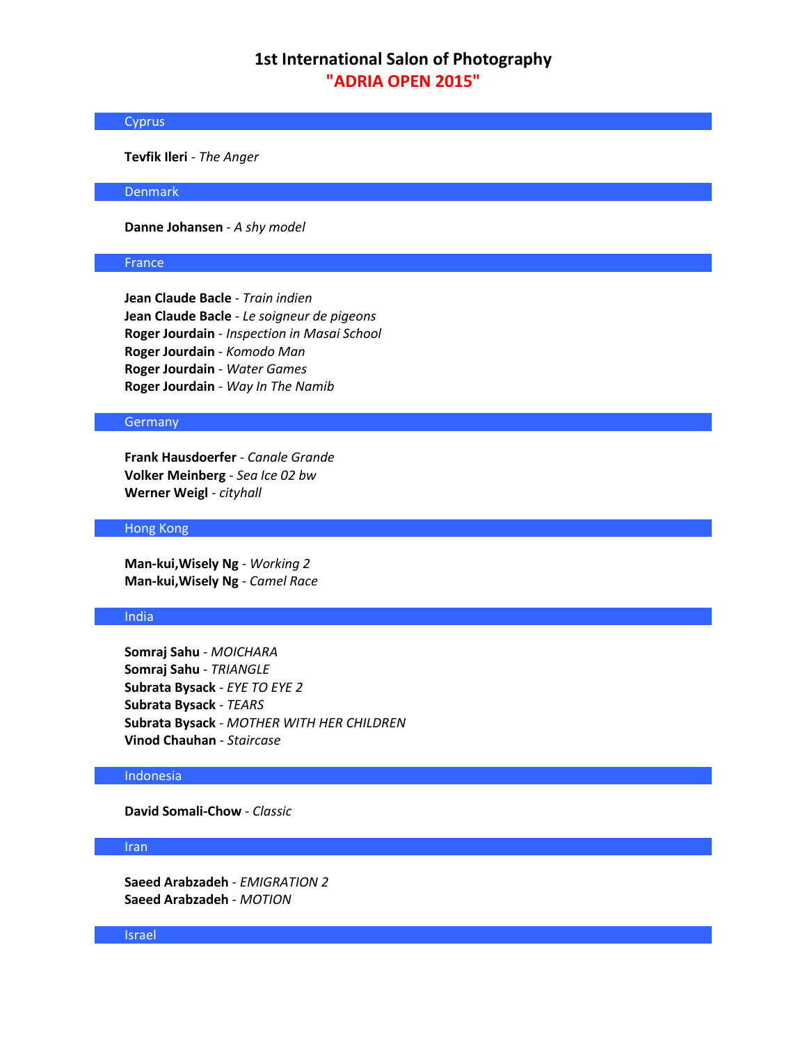## **Cyprus**

**Tevfik Ileri** - *The Anger*

### Denmark

**Danne Johansen** - *A shy model*

## France

**Jean Claude Bacle** - *Train indien* **Jean Claude Bacle** - *Le soigneur de pigeons* **Roger Jourdain** - *Inspection in Masai School* **Roger Jourdain** - *Komodo Man* **Roger Jourdain** - *Water Games* **Roger Jourdain** - *Way In The Namib*

## **Germany**

**Frank Hausdoerfer** - *Canale Grande* **Volker Meinberg** - *Sea Ice 02 bw* **Werner Weigl** - *cityhall*

#### Hong Kong

**Man-kui,Wisely Ng** - *Working 2* **Man-kui,Wisely Ng** - *Camel Race*

## India

**Somraj Sahu** - *MOICHARA* **Somraj Sahu** - *TRIANGLE* **Subrata Bysack** - *EYE TO EYE 2* **Subrata Bysack** - *TEARS* **Subrata Bysack** - *MOTHER WITH HER CHILDREN* **Vinod Chauhan** - *Staircase*

## Indonesia

**David Somali-Chow** - *Classic*

## Iran

**Saeed Arabzadeh** - *EMIGRATION 2* **Saeed Arabzadeh** - *MOTION*

### Israel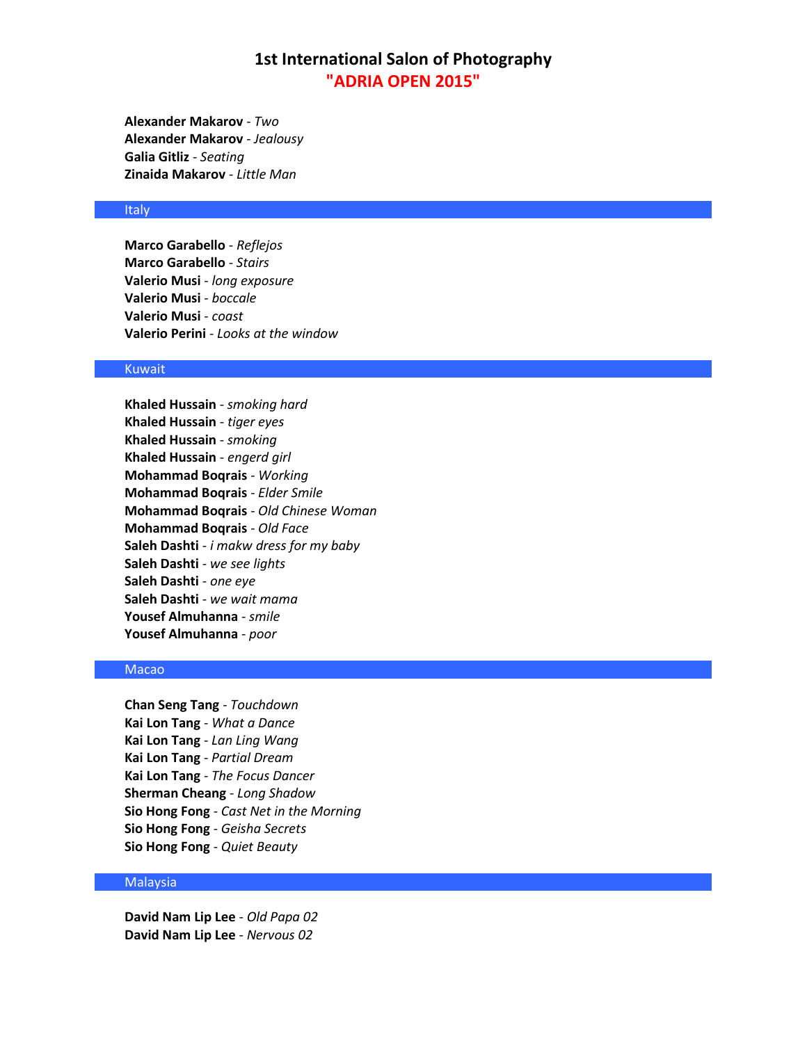**Alexander Makarov** - *Two* **Alexander Makarov** - *Jealousy* **Galia Gitliz** - *Seating* **Zinaida Makarov** - *Little Man*

## **Italy**

**Marco Garabello** - *Reflejos* **Marco Garabello** - *Stairs* **Valerio Musi** - *long exposure* **Valerio Musi** - *boccale* **Valerio Musi** - *coast* **Valerio Perini** - *Looks at the window*

## Kuwait

**Khaled Hussain** - *smoking hard* **Khaled Hussain** - *tiger eyes* **Khaled Hussain** - *smoking* **Khaled Hussain** - *engerd girl* **Mohammad Boqrais** - *Working* **Mohammad Boqrais** - *Elder Smile* **Mohammad Boqrais** - *Old Chinese Woman* **Mohammad Boqrais** - *Old Face* **Saleh Dashti** - *i makw dress for my baby* **Saleh Dashti** - *we see lights* **Saleh Dashti** - *one eye* **Saleh Dashti** - *we wait mama* **Yousef Almuhanna** - *smile* **Yousef Almuhanna** - *poor*

### Macao

**Chan Seng Tang** - *Touchdown* **Kai Lon Tang** - *What a Dance* **Kai Lon Tang** - *Lan Ling Wang* **Kai Lon Tang** - *Partial Dream* **Kai Lon Tang** - *The Focus Dancer* **Sherman Cheang** - *Long Shadow* **Sio Hong Fong** - *Cast Net in the Morning* **Sio Hong Fong** - *Geisha Secrets* **Sio Hong Fong** - *Quiet Beauty*

## **Malaysia**

**David Nam Lip Lee** - *Old Papa 02* **David Nam Lip Lee** - *Nervous 02*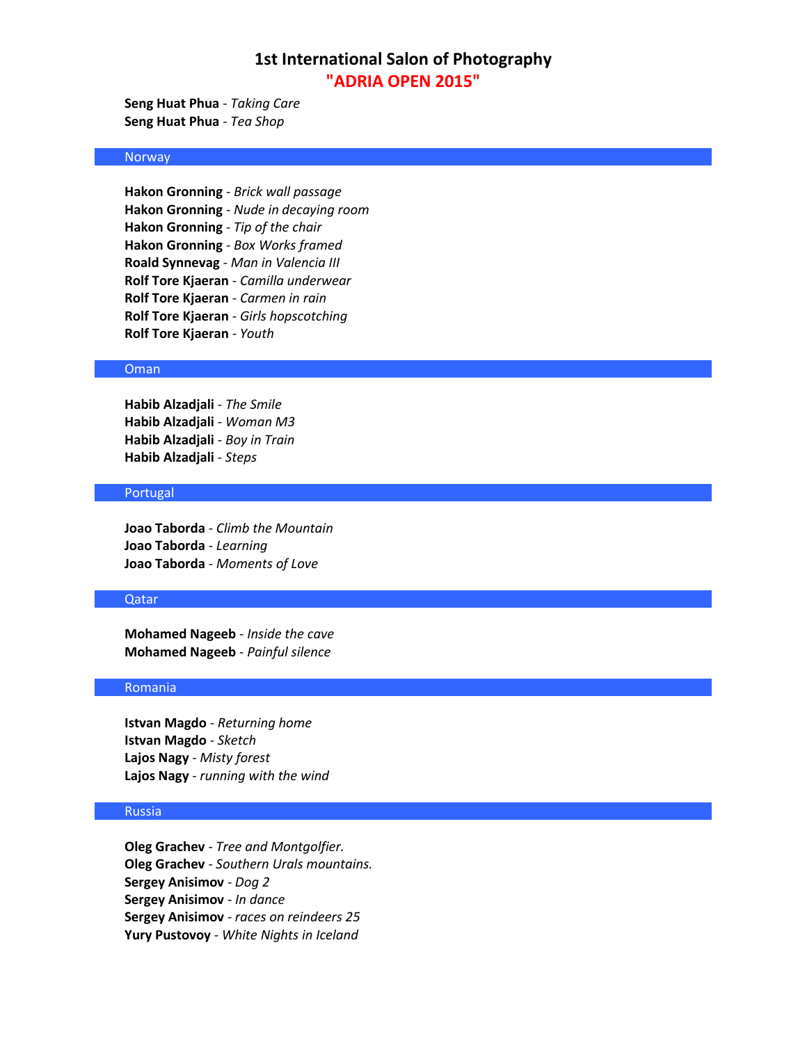**Seng Huat Phua** - *Taking Care* **Seng Huat Phua** - *Tea Shop*

## Norway

**Hakon Gronning** - *Brick wall passage* **Hakon Gronning** - *Nude in decaying room* **Hakon Gronning** - *Tip of the chair* **Hakon Gronning** - *Box Works framed* **Roald Synnevag** - *Man in Valencia III* **Rolf Tore Kjaeran** - *Camilla underwear* **Rolf Tore Kjaeran** - *Carmen in rain* **Rolf Tore Kjaeran** - *Girls hopscotching* **Rolf Tore Kjaeran** - *Youth*

## Oman

**Habib Alzadjali** - *The Smile* **Habib Alzadjali** - *Woman M3* **Habib Alzadjali** - *Boy in Train* **Habib Alzadjali** - *Steps*

## Portugal

**Joao Taborda** - *Climb the Mountain* **Joao Taborda** - *Learning* **Joao Taborda** - *Moments of Love*

## Qatar

**Mohamed Nageeb** - *Inside the cave* **Mohamed Nageeb** - *Painful silence*

## Romania

**Istvan Magdo** - *Returning home* **Istvan Magdo** - *Sketch* **Lajos Nagy** - *Misty forest* **Lajos Nagy** - *running with the wind*

## Russia

**Oleg Grachev** - *Tree and Montgolfier.* **Oleg Grachev** - *Southern Urals mountains.* **Sergey Anisimov** - *Dog 2* **Sergey Anisimov** - *In dance* **Sergey Anisimov** - *races on reindeers 25* **Yury Pustovoy** - *White Nights in Iceland*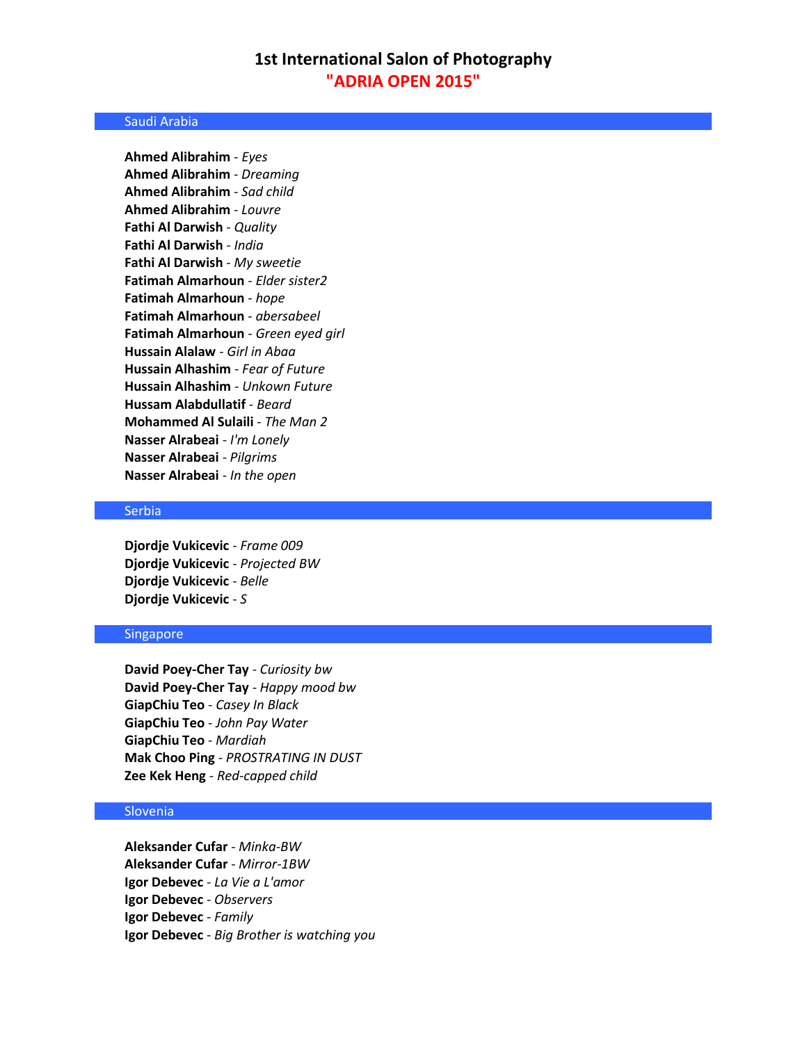### Saudi Arabia

**Ahmed Alibrahim** - *Eyes* **Ahmed Alibrahim** - *Dreaming* **Ahmed Alibrahim** - *Sad child* **Ahmed Alibrahim** - *Louvre* **Fathi Al Darwish** - *Quality* **Fathi Al Darwish** - *India* **Fathi Al Darwish** - *My sweetie* **Fatimah Almarhoun** - *Elder sister2* **Fatimah Almarhoun** - *hope* **Fatimah Almarhoun** - *abersabeel* **Fatimah Almarhoun** - *Green eyed girl* **Hussain Alalaw** - *Girl in Abaa* **Hussain Alhashim** - *Fear of Future* **Hussain Alhashim** - *Unkown Future* **Hussam Alabdullatif** - *Beard* **Mohammed Al Sulaili** - *The Man 2* **Nasser Alrabeai** - *I'm Lonely*  **Nasser Alrabeai** - *Pilgrims* **Nasser Alrabeai** - *In the open*

### Serbia

**Djordje Vukicevic** - *Frame 009* **Djordje Vukicevic** - *Projected BW* **Djordje Vukicevic** - *Belle* **Djordje Vukicevic** - *S*

### Singapore

**David Poey-Cher Tay** - *Curiosity bw* **David Poey-Cher Tay** - *Happy mood bw* **GiapChiu Teo** - *Casey In Black* **GiapChiu Teo** - *John Pay Water* **GiapChiu Teo** - *Mardiah* **Mak Choo Ping** - *PROSTRATING IN DUST* **Zee Kek Heng** - *Red-capped child*

## Slovenia

**Aleksander Cufar** - *Minka-BW* **Aleksander Cufar** - *Mirror-1BW* **Igor Debevec** - *La Vie a L'amor* **Igor Debevec** - *Observers* **Igor Debevec** - *Family* **Igor Debevec** - *Big Brother is watching you*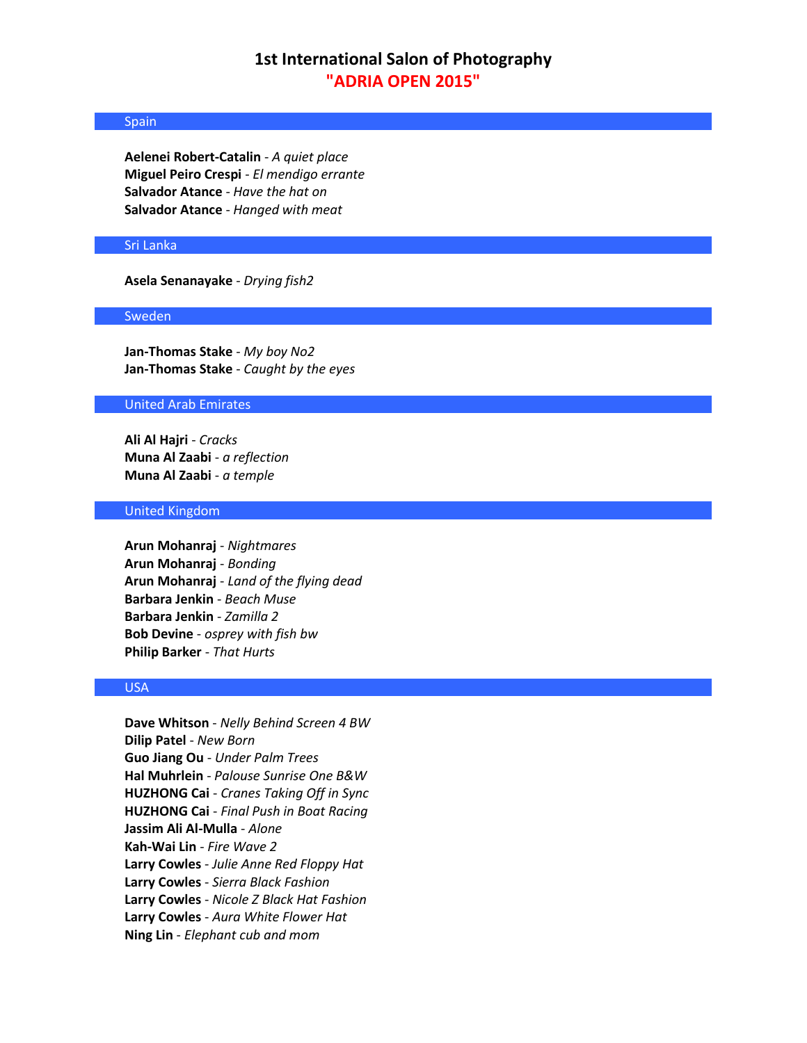## Spain

**Aelenei Robert-Catalin** - *A quiet place* **Miguel Peiro Crespi** - *El mendigo errante* **Salvador Atance** - *Have the hat on* **Salvador Atance** - *Hanged with meat*

### Sri Lanka

**Asela Senanayake** - *Drying fish2*

#### Sweden

**Jan-Thomas Stake** - *My boy No2* **Jan-Thomas Stake** - *Caught by the eyes*

### United Arab Emirates

**Ali Al Hajri** - *Cracks* **Muna Al Zaabi** - *a reflection* **Muna Al Zaabi** - *a temple*

## United Kingdom

**Arun Mohanraj** - *Nightmares* **Arun Mohanraj** - *Bonding* **Arun Mohanraj** - *Land of the flying dead* **Barbara Jenkin** - *Beach Muse* **Barbara Jenkin** - *Zamilla 2* **Bob Devine** - *osprey with fish bw* **Philip Barker** - *That Hurts*

## USA

**Dave Whitson** - *Nelly Behind Screen 4 BW* **Dilip Patel** - *New Born* **Guo Jiang Ou** - *Under Palm Trees* **Hal Muhrlein** - *Palouse Sunrise One B&W* **HUZHONG Cai** - *Cranes Taking Off in Sync* **HUZHONG Cai** - *Final Push in Boat Racing* **Jassim Ali Al-Mulla** - *Alone* **Kah-Wai Lin** - *Fire Wave 2* **Larry Cowles** - *Julie Anne Red Floppy Hat* **Larry Cowles** - *Sierra Black Fashion* **Larry Cowles** - *Nicole Z Black Hat Fashion* **Larry Cowles** - *Aura White Flower Hat* **Ning Lin** - *Elephant cub and mom*